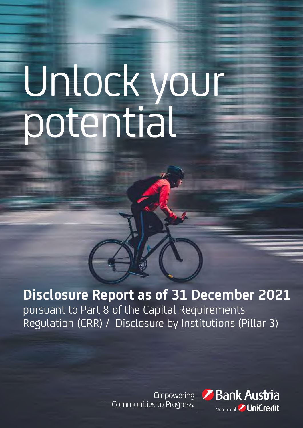# Unlock your potential

# **Disclosure Report as of 31 December 2021**

pursuant to Part 8 of the Capital Requirements Regulation (CRR) / Disclosure by Institutions (Pillar 3)

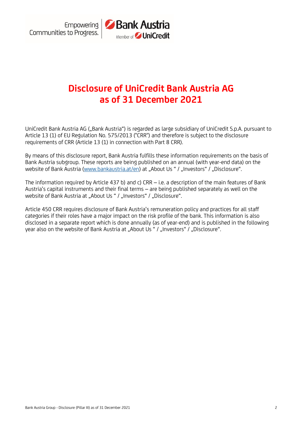

# **Disclosure of UniCredit Bank Austria AG as of 31 December 2021**

UniCredit Bank Austria AG ("Bank Austria") is regarded as large subsidiary of UniCredit S.p.A. pursuant to Article 13 (1) of EU Regulation No. 575/2013 ("CRR") and therefore is subject to the disclosure requirements of CRR (Article 13 (1) in connection with Part 8 CRR).

By means of this disclosure report, Bank Austria fulfills these information requirements on the basis of Bank Austria subgroup. These reports are being published on an annual (with year-end data) on the website of Bank Austria [\(www.bankaustria.at/en](http://www.bankaustria.at/en)) at "About Us " / "Investors" / "Disclosure".

The information required by Article 437 b) and c) CRR – i.e. a description of the main features of Bank Austria's capital instruments and their final terms – are being published separately as well on the website of Bank Austria at "About Us " / "Investors" / "Disclosure".

Article 450 CRR requires disclosure of Bank Austria's remuneration policy and practices for all staff categories if their roles have a major impact on the risk profile of the bank. This information is also disclosed in a separate report which is done annually (as of year-end) and is published in the following year also on the website of Bank Austria at "About Us " / "Investors" / "Disclosure".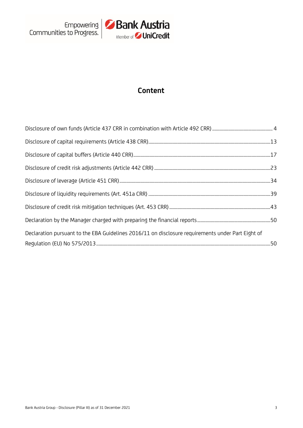

# **Content**

| Declaration pursuant to the EBA Guidelines 2016/11 on disclosure requirements under Part Eight of |  |
|---------------------------------------------------------------------------------------------------|--|
|                                                                                                   |  |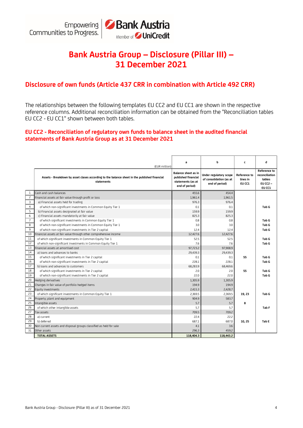

# **Bank Austria Group – Disclosure (Pillar III) – 31 December 2021**

# **Disclosure of own funds (Article 437 CRR in combination with Article 492 CRR)**

The relationships between the following templates EU CC2 and EU CC1 are shown in the respective reference columns. Additional reconciliation information can be obtained from the "Reconciliation tables EU CC2 - EU CC1" shown between both tables.

#### **EU CC2 - Reconciliation of regulatory own funds to balance sheet in the audited financial statements of Bank Austria Group as at 31 December 2021**

|                 | (EUR million)                                                                                              | a                                                                                        | b                                                                   | c                                         | d                                                                         |
|-----------------|------------------------------------------------------------------------------------------------------------|------------------------------------------------------------------------------------------|---------------------------------------------------------------------|-------------------------------------------|---------------------------------------------------------------------------|
|                 | Assets - Breakdown by asset clases according to the balance sheet in the published financial<br>statements | <b>Balance sheet as in</b><br>published financial<br>statements (as at<br>end of period) | Under requlatory scope<br>of consolidation (as at<br>end of period) | <b>Reference to</b><br>lines in<br>EU CC1 | <b>Reference to</b><br>reconciliation<br>tables<br>$EU$ CC2 $-$<br>EU CC1 |
| 1               | Cash and cash balances                                                                                     | 455.6                                                                                    | 454.4                                                               |                                           |                                                                           |
| $\overline{c}$  | Financial assets at fair value through profit or loss                                                      | 1,961.4                                                                                  | 1,961.5                                                             |                                           |                                                                           |
| $\overline{3}$  | a) Financial assets held for trading                                                                       | 976.3                                                                                    | 976.4                                                               |                                           |                                                                           |
| $\overline{4}$  | of which non-significant investments in Common Equity Tier 1                                               | 0.1                                                                                      | 0.1                                                                 |                                           | Tab G                                                                     |
| 5               | b) Financial assets designated at fair value                                                               | 159.9                                                                                    | 159.9                                                               |                                           |                                                                           |
| 6               | c) Financial assets mandatorily at fair value                                                              | 825.3                                                                                    | 825.3                                                               |                                           |                                                                           |
| $\overline{7}$  | of which significant investments in Common Equity Tier 1                                                   | 0.8                                                                                      | 0.8                                                                 |                                           | Tab G                                                                     |
| 8               | of which non-significant investments in Common Equity Tier 1                                               | 3.0                                                                                      | 3.0                                                                 |                                           | Tab G                                                                     |
| 9               | of which non-significant investments in Tier 2 capital                                                     | 12.4                                                                                     | 12.4                                                                |                                           | Tab G                                                                     |
| 10              | Financial assets at fair value through other comprehensive income                                          | 12,427.6                                                                                 | 12,427.6                                                            |                                           |                                                                           |
| 11              | of which significant investments in Common Equity Tier 1                                                   | 52.5                                                                                     | 52.5                                                                |                                           | Tab G                                                                     |
| 12              | of which non-significant investments in Common Equity Tier 1                                               | 7.6                                                                                      | 7.6                                                                 |                                           | Tab G                                                                     |
| 13              | Financial assets at amortised cost                                                                         | 97,723.2                                                                                 | 97,908.9                                                            |                                           |                                                                           |
| 14              | a) loans and advances to banks                                                                             | 29,439.3                                                                                 | 29,439.3                                                            |                                           |                                                                           |
| 15              | of which significant investments in Tier 2 capital                                                         | 0.1                                                                                      | 0.1                                                                 | 55                                        | Tab G                                                                     |
| 16              | of which non-significant investments in Tier 2 capital                                                     | 228.1                                                                                    | 228.1                                                               |                                           | Tab G                                                                     |
| 17              | b) loans and advances to customers                                                                         | 68,283.9                                                                                 | 68.469.6                                                            |                                           |                                                                           |
| 18              | of which significant investments in Tier 2 capital                                                         | 2.0                                                                                      | 2.0                                                                 | 55                                        | Tab G                                                                     |
| 19              | of which non-significant investments in Tier 2 capital                                                     | 22.0                                                                                     | 22.0                                                                |                                           | Tab G                                                                     |
| 20              | Hedging derivatives                                                                                        | 1,305.9                                                                                  | 1,305.9                                                             |                                           |                                                                           |
| 21              | Changes in fair value of portfolio hedged items                                                            | 194.9                                                                                    | 194.9                                                               |                                           |                                                                           |
| 22              | Equity investments                                                                                         | 2.415.3                                                                                  | 2,428.7                                                             |                                           |                                                                           |
| 23              | of which significant investments in Common Equity Tier 1                                                   | 2,369.5                                                                                  | 2,369.5                                                             | 19, 23                                    | Tab G                                                                     |
| 24              | Property; plant and equipment                                                                              | 904.9                                                                                    | 583.7                                                               |                                           |                                                                           |
| $\overline{25}$ | Intangible assets                                                                                          | 5.7                                                                                      | 5.7                                                                 | 8                                         |                                                                           |
| 26              | of which other intangible assets                                                                           | 5.7                                                                                      | 5.7                                                                 |                                           | Tab F                                                                     |
| 27              | <b>Tax assets</b>                                                                                          | 709.5                                                                                    | 709.2                                                               |                                           |                                                                           |
| 28              | a) current                                                                                                 | 22.4                                                                                     | 22.2                                                                |                                           |                                                                           |
| 29              | b) deferred                                                                                                | 687.1                                                                                    | 687.0                                                               | 10, 25                                    | Tab E                                                                     |
| 30              | Non current assets and disposal groups classified as held for sale                                         | 4.1                                                                                      | 3.6                                                                 |                                           |                                                                           |
| 31              | Other assets                                                                                               | 296.3                                                                                    | 459.2                                                               |                                           |                                                                           |
|                 | <b>TOTAL ASSETS</b>                                                                                        | 118,404.3                                                                                | 118,443.2                                                           |                                           |                                                                           |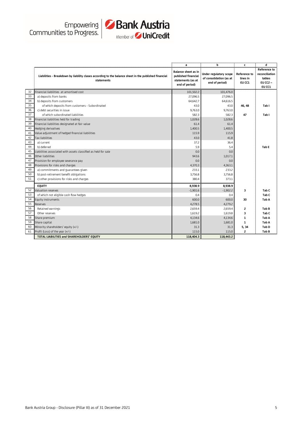



|                |                                                                                                                     | a                                                                                 | b                                                                   | c                                         | d                                                                         |
|----------------|---------------------------------------------------------------------------------------------------------------------|-----------------------------------------------------------------------------------|---------------------------------------------------------------------|-------------------------------------------|---------------------------------------------------------------------------|
|                | Liabilities - Breakdown by liability clases according to the balance sheet in the published financial<br>statements | Balance sheet as in<br>published financial<br>statements (as at<br>end of period) | Under requlatory scope<br>of consolidation (as at<br>end of period) | <b>Reference to</b><br>lines in<br>EU CC1 | <b>Reference to</b><br>reconciliation<br>tables<br>$EU$ CC2 $-$<br>EU CC1 |
| 32             | Financial liabilities at amortised cost                                                                             | 101,502.2                                                                         | 101,476.0                                                           |                                           |                                                                           |
| 33             | a) deposits from banks                                                                                              | 27,096.5                                                                          | 27,096.5                                                            |                                           |                                                                           |
| 34             | b) deposits from customers                                                                                          | 64.642.7                                                                          | 64.616.5                                                            |                                           |                                                                           |
| 35             | of which deposits from customers - Subordinated                                                                     | 43.0                                                                              | 43.0                                                                | 46, 48                                    | Tab I                                                                     |
| 36             | c) debt securities in issue                                                                                         | 9,763.0                                                                           | 9,763.0                                                             |                                           |                                                                           |
| 37             | of which subordinated liabilities                                                                                   | 582.3                                                                             | 582.3                                                               | 47                                        | Tab I                                                                     |
| 38             | Financial liabilities held for trading                                                                              | 1,028.6                                                                           | 1,028.6                                                             |                                           |                                                                           |
| 39             | Financial liabilities designated at fair value                                                                      | 61.4                                                                              | 61.4                                                                |                                           |                                                                           |
| 40             | Hedging derivatives                                                                                                 | 1,400.5                                                                           | 1,400.5                                                             |                                           |                                                                           |
| 41             | Value adjustment of hedged financial liabilities                                                                    | 115.9                                                                             | 115.9                                                               |                                           |                                                                           |
| 42             | Tax liabilities                                                                                                     | 43.0                                                                              | 41.8                                                                |                                           |                                                                           |
| 43             | a) current                                                                                                          | 37.2                                                                              | 36.4                                                                |                                           |                                                                           |
| 44             | b) deferred                                                                                                         | 5.9                                                                               | 5.4                                                                 |                                           | Tab E                                                                     |
| 45             | Liabilities associated with assets classified as held for sale                                                      | 0.0                                                                               | 0.0                                                                 |                                           |                                                                           |
| 46             | Other liabilities                                                                                                   | 943.6                                                                             | 1,017.1                                                             |                                           |                                                                           |
| 47             | Provision for employee severance pay                                                                                | 0.0                                                                               | 0.0                                                                 |                                           |                                                                           |
| 48             | Provisions for risks and charges                                                                                    | 4,370.3                                                                           | 4,363.1                                                             |                                           |                                                                           |
| 49<br>an an an | a) commitments and guarantees given                                                                                 | 233.1                                                                             | 233.2                                                               |                                           |                                                                           |
| 50<br>an an a  | b) post-retirement benefit obligations                                                                              | 3,756.8                                                                           | 3,756.8                                                             |                                           |                                                                           |
| 51             | c) other provisions for risks and charges                                                                           | 380.4                                                                             | 373.1                                                               |                                           |                                                                           |
|                | <b>EQUITY</b>                                                                                                       | 8,938.9                                                                           | 8,938.9                                                             |                                           |                                                                           |
| 52             | Valuation reserves                                                                                                  | $-1,901.6$                                                                        | $-1.902.2$                                                          | 3                                         | Tab C                                                                     |
| 53             | of which not eligible cash flow hedges                                                                              | 0.4                                                                               | 0.4                                                                 |                                           | Tab C                                                                     |
| 54             | Equity instruments                                                                                                  | 600.0                                                                             | 600.0                                                               | 30                                        | Tab A                                                                     |
| 55             | Reserves                                                                                                            | 4,278.5                                                                           | 4,279.2                                                             |                                           |                                                                           |
| 56             | Retained earnings                                                                                                   | 2,659.4                                                                           | 2,659.4                                                             | 2                                         | Tab B                                                                     |
| 57             | Other reserves                                                                                                      | 1,619.2                                                                           | 1,619.8                                                             | 3                                         | Tab <sub>C</sub>                                                          |
| 58             | Share premium                                                                                                       | 4,134.6                                                                           | 4,134.6                                                             | $\mathbf{1}$                              | Tab A                                                                     |
| 59             | Share capital                                                                                                       | 1,681.0                                                                           | 1,681.0                                                             | $\mathbf{1}$                              | Tab A                                                                     |
| 60             | Minority shareholders' equity (+/-)                                                                                 | 31.3                                                                              | 31.3                                                                | 5, 34                                     | Tab D                                                                     |
| 61             | Profit (Loss) of the year (+/-)                                                                                     | 115.0                                                                             | 115.0                                                               | $\overline{2}$                            | Tab B                                                                     |
|                | TOTAL LIABILITIES and SHAREHOLDERS' EQUITY                                                                          | 118,404.3                                                                         | 118,443.2                                                           |                                           |                                                                           |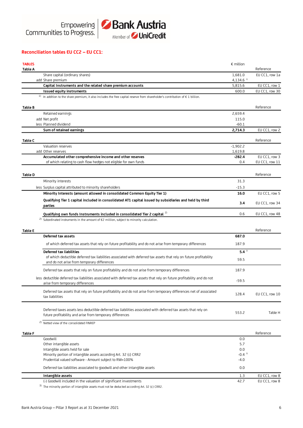

#### **Reconciliation tables EU CC2 – EU CC1:**

| <b>TABLES</b>  |                                                                                                                                         | $\epsilon$ million      |                |
|----------------|-----------------------------------------------------------------------------------------------------------------------------------------|-------------------------|----------------|
| Table A        |                                                                                                                                         |                         | Reference      |
|                | Share capital (ordinary shares)                                                                                                         | 1.681.0                 | EU CC1, row 1a |
|                | add Share premium                                                                                                                       | $4,134.6$ <sup>1)</sup> |                |
|                | Capital Instruments and the related share premium accounts                                                                              | 5,815.6                 | EU CC1, row 1  |
|                | Issued equity instruments                                                                                                               | 600.0                   | EU CC1, row 30 |
|                | 1) In addition to the share premium, it also includes the free capital reserve from shareholder's contribution of $\epsilon$ 1 billion. |                         |                |
| Table B        |                                                                                                                                         |                         | Reference      |
|                | Retained earnings                                                                                                                       | 2,659.4                 |                |
|                | add Net profit                                                                                                                          | 115.0                   |                |
|                | less Planned dividend                                                                                                                   | $-60.1$                 |                |
|                | Sum of retained earnings                                                                                                                | 2,714.3                 | EU CC1, row 2  |
| <b>Table C</b> |                                                                                                                                         |                         | Reference      |
|                | Valuation reserves                                                                                                                      | $-1,902.2$              |                |
|                | add Other reserves                                                                                                                      | 1,619.8                 |                |
|                | Accumulated other comprehensive income and other reserves                                                                               | $-282.4$                | EU CC1, row 3  |
|                | of which relating to cash flow hedges not eligible for own funds                                                                        | 0.4                     | EU CC1, row 11 |
| <b>Table D</b> |                                                                                                                                         |                         | Reference      |
|                | Minority interests                                                                                                                      | 31.3                    |                |
|                | less Surplus capital attributed to minority shareholders                                                                                | $-15.3$                 |                |
|                | Minority Interests (amount allowed in consolidated Common Equity Tier 1)                                                                | 16.0                    | EU CC1, row 5  |
|                |                                                                                                                                         |                         |                |
|                | Qualifying Tier 1 capital included in consolidated AT1 capital issued by subsidiaries and held by third<br>parties                      | 3.4                     | EU CC1, row 34 |
|                | Qualifying own funds Instruments included in consolidated Tier 2 capital 2)                                                             | 0.6                     | EU CC1, row 48 |
|                | <sup>2)</sup> Subordinated instruments in the amount of €2 million, subject to minority calculation.                                    |                         |                |
|                |                                                                                                                                         |                         |                |
| <b>Table E</b> |                                                                                                                                         |                         | Reference      |
|                | Deferred tax assets                                                                                                                     | 687.0                   |                |
|                | of which deferred tax assets that rely on future profitability and do not arise from temporary differences                              | 187.9                   |                |
|                | Deferred tax liabilities                                                                                                                | $5.4^{2}$               |                |
|                | of which deductible deferred tax liabilities associated with deferred tax assets that rely on future profitability                      |                         |                |
|                | and do not arise from temporary differences                                                                                             | 59.5                    |                |
|                | Deferred tax assets that rely on future profitability and do not arise from temporary differences                                       | 187.9                   |                |
|                | less deductible deferred tax liabilities associated with deferred tax assets that rely on future profitability and do not               |                         |                |
|                | arise from temporary differences                                                                                                        | $-59.5$                 |                |
|                | Deferred tax assets that rely on future profitability and do not arise from temporary differences net of associated                     | 128.4                   | EU CC1, row 10 |
|                | tax liabilities                                                                                                                         |                         |                |
|                | Deferred taxes assets less deductible deferred tax liabilities associated with deferred tax assets that rely on                         |                         |                |
|                | future profitability and arise from temporary differences                                                                               | 553.2                   | Table H        |
|                | <sup>2)</sup> Netted view of the consolidated FINREP                                                                                    |                         |                |
|                |                                                                                                                                         |                         |                |
| Table F        |                                                                                                                                         |                         | Reference      |
|                | Goodwill                                                                                                                                | 0.0                     |                |
|                | Other intangible assets                                                                                                                 | 5.7                     |                |
|                | Intangible assets held for sale                                                                                                         | 0.0                     |                |
|                | Minority portion of intangible assets according Art. 32 (c) CRR2                                                                        | $-0.4$ <sup>3)</sup>    |                |
|                | Prudential valued software - Amount subject to RW=100%                                                                                  | $-4.0$                  |                |
|                | Deferred tax liabilities associated to goodwill and other intangible assets                                                             | 0.0                     |                |
|                | Intangible assets                                                                                                                       | 1.3                     | EU CC1, row 8  |
|                | (-) Goodwill included in the valuation of significant investments                                                                       | 42.7                    | EU CC1, row 8  |
|                | <sup>3)</sup> The minority portion of intangible assets must not be deducted according Art. 32 (c) CRR2.                                |                         |                |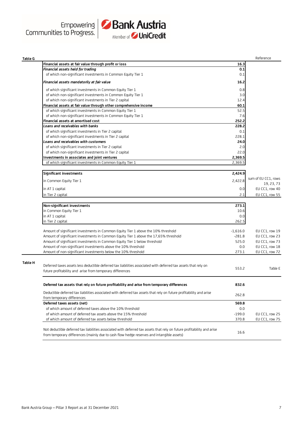

| <b>Table G</b> |                                                                                                                         |            | Reference           |
|----------------|-------------------------------------------------------------------------------------------------------------------------|------------|---------------------|
|                | Financial assets at fair value through profit or loss                                                                   | 16.3       |                     |
|                | Financial assets held for trading                                                                                       | 0.1        |                     |
|                | of which non-significant investments in Common Equity Tier 1                                                            | 0.1        |                     |
|                | Financial assets mandatorily at fair value                                                                              | 16.2       |                     |
|                | of which significant investments in Common Equity Tier 1                                                                | 0.8        |                     |
|                | of which non-significant investments in Common Equity Tier 1                                                            | 3.0        |                     |
|                | of which non-significant investments in Tier 2 capital                                                                  | 12.4       |                     |
|                | Financial assets at fair value through other comprehensive income                                                       | 60.1       |                     |
|                | of which significant investments in Common Equity Tier 1                                                                | 52.5       |                     |
|                | of which non-significant investments in Common Equity Tier 1                                                            | 7.6        |                     |
|                | Financial assets at amortised cost                                                                                      | 252.2      |                     |
|                | Loans and receivables with banks                                                                                        | 228.2      |                     |
|                | of which significant investments in Tier 2 capital                                                                      | 0.1        |                     |
|                | of which non-significant investments in Tier 2 capital                                                                  | 228.1      |                     |
|                | Loans and receivables with customers                                                                                    | 24.0       |                     |
|                | of which significant investments in Tier 2 capital                                                                      | 2.0        |                     |
|                | of which non-significant investments in Tier 2 capital                                                                  | 22.0       |                     |
|                | Investments in associates and joint ventures                                                                            | 2,369.5    |                     |
|                | of which significant investments in Common Equity Tier 1                                                                | 2,369.5    |                     |
|                |                                                                                                                         |            |                     |
|                | Significant investments                                                                                                 | 2,424.9    | sum of EU CC1, rows |
|                | in Common Equity Tier 1                                                                                                 | 2,422.8    | 19, 23, 73          |
|                | in AT 1 capital                                                                                                         | 0.0        | EU CC1, row 40      |
|                | in Tier 2 capital                                                                                                       | 2.1        | EU CC1, row 55      |
|                |                                                                                                                         |            |                     |
|                | Non-significant investments                                                                                             | 273.1      |                     |
|                | in Common Equity Tier 1                                                                                                 | 10.6       |                     |
|                | in AT 1 capital                                                                                                         | 0.0        |                     |
|                | in Tier 2 capital                                                                                                       | 262.5      |                     |
|                | Amount of significant investments in Common Equity Tier 1 above the 10% threshold                                       | $-1,616.0$ | EU CC1, row 19      |
|                | Amount of significant investments in Common Equity Tier 1 above the 17,65% threshold                                    | $-281.8$   | EU CC1, row 23      |
|                | Amount of significant investments in Common Equity Tier 1 below threshold                                               | 525.0      | EU CC1, row 73      |
|                | Amount of non-significant investments above the 10% threshold                                                           | 0.0        | EU CC1, row 18      |
|                | Amount of non-significant investments below the 10% threshold                                                           | 273.1      | EU CC1, row 72      |
| Table H        |                                                                                                                         |            |                     |
|                | Deferred taxes assets less deductible deferred tax liabilities associated with deferred tax assets that rely on         | 553.2      | Table E             |
|                | future profitability and arise from temporary differences                                                               |            |                     |
|                |                                                                                                                         |            |                     |
|                | Deferred tax assets that rely on future profitability and arise from temporary differences                              | 832.6      |                     |
|                | Deductible deferred tax liabilities associated with deferred tax assets that rely on future profitability and arise     | 262.8      |                     |
|                | from temporary differences                                                                                              |            |                     |
|                | Deferred taxes assets (net)                                                                                             | 569.8      |                     |
|                | of which amount of deferred taxes above the 10% threshold                                                               | 0.0        |                     |
|                | of which amount of deferred tax assets above the 15% threshold                                                          | $-199.0$   | EU CC1, row 25      |
|                | of which amount of deferred tax assets below threshold                                                                  | 370.8      | EU CC1, row 75      |
|                | Not deductible deferred tax liabilities associated with deferred tax assets that rely on future profitability and arise | 16.6       |                     |
|                | from temporary differences (mainly due to cash flow hedge reserves and intangible assets)                               |            |                     |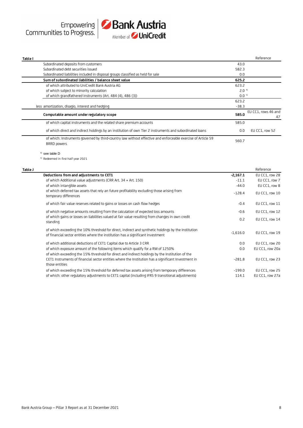

| Table I                                                                                                                            |                  | Reference                 |
|------------------------------------------------------------------------------------------------------------------------------------|------------------|---------------------------|
| Subordinated deposits from customers                                                                                               | 43.0             |                           |
| Subordinated debt securities issued                                                                                                | 582.3            |                           |
| Subordinated liabilities included in disposal groups classified as held for sale                                                   | 0.0              |                           |
| Sum of subordinated liabilities / balance sheet value                                                                              | 625.2            |                           |
| of which attributed to UniCredit Bank Austria AG                                                                                   | 623.2            |                           |
| of which subject to minority calculation                                                                                           | 2.0 <sup>4</sup> |                           |
| of which grandfathered instruments (Art. 484 (4), 486 (3))                                                                         | 0.0 <sup>5</sup> |                           |
|                                                                                                                                    | 623.2            |                           |
| less amortization, disagio, interest and hedging                                                                                   | $-38.3$          |                           |
| Computable amount under requlatory scope                                                                                           | 585.0            | EU CC1, rows 46 and<br>47 |
| of which capital instruments and the related share premium accounts                                                                | 585.0            |                           |
| of which direct and indirect holdings by an institution of own Tier 2 instruments and subordinated loans                           | 0.0              | EU CC1, row 52            |
| of which: Instruments governed by third-country law without effective and enforceable exercise of Article 59<br><b>BRRD</b> powers | 560.7            |                           |
| $4)$ see table D                                                                                                                   |                  |                           |

4)<br>5) <sup>4)</sup> see table D

Redeemed in first half year 2021

| Table J |                                                                                                                                                                                        |            | Reference       |
|---------|----------------------------------------------------------------------------------------------------------------------------------------------------------------------------------------|------------|-----------------|
|         | Deductions from and adjustments to CET1                                                                                                                                                | $-2,167.1$ | EU CC1, row 28  |
|         | of which Additional value adjustments (CRR Art. $34 +$ Art. 150)                                                                                                                       | $-11.1$    | EU CC1, row 7   |
|         | of which intangible assets                                                                                                                                                             | $-44.0$    | EU CC1, row 8   |
|         | of which deferred tax assets that rely an future profitability excluding those arising from<br>temporary differences                                                                   | $-128.4$   | EU CC1, row 10  |
|         | of which fair value reserves related to gains or losses on cash flow hedges                                                                                                            | $-0.4$     | EU CC1, row 11  |
|         | of which negative amounts resulting from the calculation of expected loss amounts                                                                                                      | $-0.6$     | EU CC1, row 12  |
|         | of which gains or losses on liabilities valued at fair value resulting from changes in own credit<br>standing                                                                          | 0.2        | EU CC1, row 14  |
|         | of which exceeding the 10% threshold for direct, indirect and synthetic holdings by the Institution<br>of financial sector entities where the institution has a significant Investment | $-1,616.0$ | EU CC1, row 19  |
|         | of which additional deductions of CET1 Capital due to Article 3 CRR                                                                                                                    | 0.0        | EU CC1, row 20  |
|         | of which exposure amount of the following items which qualify for a RW of 1250%                                                                                                        | 0.0        | EU CC1, row 20a |
|         | of which exceeding the 15% threshold for direct and indirect holdings by the Institution of the                                                                                        |            |                 |
|         | CET1 Instruments of financial sector entities where the Institution has a significant Investment in<br>those entities                                                                  | $-281.8$   | EU CC1, row 23  |
|         | of which exceeding the 15% threshold for deferred tax assets arising from temporary differences                                                                                        | $-199.0$   | EU CC1, row 25  |
|         | of which: other regulatory adjustments to CET1 capital (including IFRS 9 transitional adjustments)                                                                                     | 114.1      | EU CC1, row 27a |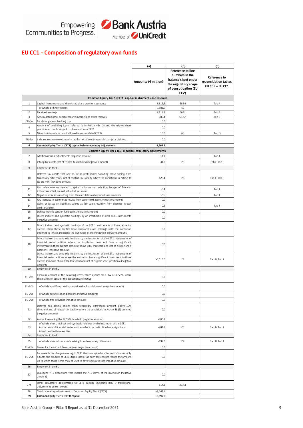

## **EU CC1 - Composition of regulatory own funds**

|                         |                                                                                                                                                                                                                                                                                            | (a)                 | (b)                                                                                                               | (c)                                                             |
|-------------------------|--------------------------------------------------------------------------------------------------------------------------------------------------------------------------------------------------------------------------------------------------------------------------------------------|---------------------|-------------------------------------------------------------------------------------------------------------------|-----------------------------------------------------------------|
|                         |                                                                                                                                                                                                                                                                                            | Amounts (€ million) | <b>Reference to line</b><br>numbers in the<br>balance sheet under<br>the regulatory scope<br>of consolidation (EU | <b>Reference to</b><br>reconciliation tables<br>EU CC2 - EU CC1 |
|                         | Common Equity Tier 1 (CET1) capital: instruments and reserves                                                                                                                                                                                                                              |                     | CC2)                                                                                                              |                                                                 |
| $\,1\,$                 | Capital instruments and the related share premium accounts                                                                                                                                                                                                                                 | 5,815.6             | 58.59                                                                                                             | Tab A                                                           |
|                         | of which: ordinary shares                                                                                                                                                                                                                                                                  | 1,681.0             | 59                                                                                                                |                                                                 |
| $\overline{c}$          | Retained earnings                                                                                                                                                                                                                                                                          | 2,714.3             | 56.61                                                                                                             | Tab B                                                           |
| $\overline{\mathbf{3}}$ | Accumulated other comprehensive income (and other reserves)                                                                                                                                                                                                                                | $-282.4$            | 52, 57                                                                                                            | Tab C                                                           |
| EU-3a                   | Funds for general banking risk                                                                                                                                                                                                                                                             | 0.0                 |                                                                                                                   |                                                                 |
| $\overline{4}$          | Amount of qualifying items referred to in Article 484 (3) and the related share<br>premium accounts subject to phase out from CET1                                                                                                                                                         | 0.0                 |                                                                                                                   |                                                                 |
| 5                       | Minority interests (amount allowed in consolidated CET1)                                                                                                                                                                                                                                   | 16.0                | 60                                                                                                                | Tab D                                                           |
| EU-5a                   | Independently reviewed interim profits net of any foreseeable charge or dividend                                                                                                                                                                                                           | 0.0                 |                                                                                                                   |                                                                 |
| 6                       | Common Equity Tier 1 (CET1) capital before regulatory adjustments                                                                                                                                                                                                                          | 8,263.5             |                                                                                                                   |                                                                 |
|                         | Common Equity Tier 1 (CET1) capital: regulatory adjustments                                                                                                                                                                                                                                |                     |                                                                                                                   |                                                                 |
| 7                       | Additional value adjustments (negative amount)                                                                                                                                                                                                                                             | $-11.1$             |                                                                                                                   | Tab J                                                           |
| 8                       | Intangible assets (net of related tax liability) (negative amount)                                                                                                                                                                                                                         | $-44.0$             | 25                                                                                                                | Tab F, Tab J                                                    |
| 9                       | Empty set in the EU                                                                                                                                                                                                                                                                        |                     |                                                                                                                   |                                                                 |
|                         |                                                                                                                                                                                                                                                                                            |                     |                                                                                                                   |                                                                 |
| 10                      | Deferred tax assets that rely on future profitability excluding those arising from<br>temporary differences (net of related tax liability where the conditions in Article 38<br>(3) are met) (negative amount)                                                                             | $-128.4$            | 29                                                                                                                | Tab E, Tab J                                                    |
| 11                      | Fair value reserves related to gains or losses on cash flow hedges of financial<br>instruments that are not valued at fair value                                                                                                                                                           | $-0.4$              |                                                                                                                   | Tab J                                                           |
| 12                      | Negative amounts resulting from the calculation of expected loss amounts                                                                                                                                                                                                                   | $-0.6$              |                                                                                                                   | Tab J                                                           |
| 13                      | Any increase in equity that results from securitised assets (negative amount)                                                                                                                                                                                                              | 0.0                 |                                                                                                                   |                                                                 |
| 14                      | Gains or losses on liabilities valued at fair value resulting from changes in own                                                                                                                                                                                                          | 0.2                 |                                                                                                                   | Tab J                                                           |
| 15                      | credit standing<br>Defined-benefit pension fund assets (negative amount)                                                                                                                                                                                                                   | 0.0                 |                                                                                                                   |                                                                 |
| 16                      | Direct, indirect and synthetic holdings by an institution of own CET1 instruments                                                                                                                                                                                                          | 0.0                 |                                                                                                                   |                                                                 |
|                         | (negative amount)                                                                                                                                                                                                                                                                          |                     |                                                                                                                   |                                                                 |
| 17                      | Direct, indirect and synthetic holdings of the CET 1 instruments of financial sector<br>entities where those entities have reciprocal cross holdings with the institution<br>designed to inflate artificially the own funds of the institution (negative amount)                           | 0.0                 |                                                                                                                   |                                                                 |
| 18                      | Direct, indirect and synthetic holdings by the institution of the CET1 instruments of<br>financial sector entities where the institution does not have a significant<br>investment in those entities (amount above 10% threshold and net of eligible short<br>positions) (negative amount) | 0.0                 |                                                                                                                   |                                                                 |
| 19                      | Direct, indirect and synthetic holdings by the institution of the CET1 instruments of<br>financial sector entities where the institution has a significant investment in those<br>entities (amount above 10% threshold and net of eligible short positions) (negative<br>amount)           | $-1,616.0$          | 23                                                                                                                | Tab G, Tab J                                                    |
| 20                      | Empty set in the EU                                                                                                                                                                                                                                                                        |                     |                                                                                                                   |                                                                 |
| EU-20a                  | Exposure amount of the following items which qualify for a RW of 1250%, where<br>the institution opts for the deduction alternative                                                                                                                                                        | 0.0                 |                                                                                                                   |                                                                 |
| EU-20b                  | of which: qualifying holdings outside the financial sector (negative amount)                                                                                                                                                                                                               | 0.0                 |                                                                                                                   |                                                                 |
| EU-20c                  | of which: securitisation positions (negative amount)                                                                                                                                                                                                                                       | 0.0                 |                                                                                                                   |                                                                 |
| EU-20d                  | of which: free deliveries (negative amount)                                                                                                                                                                                                                                                | 0.0                 |                                                                                                                   |                                                                 |
| 21                      | Deferred tax assets arising from temporary differences (amount above 10%<br>threshold, net of related tax liability where the conditions in Article 38 (3) are met)<br>(negative amount)                                                                                                   | 0.0                 |                                                                                                                   |                                                                 |
| 22                      | Amount exceeding the 17,65% threshold (negative amount)                                                                                                                                                                                                                                    | $-480.8$            |                                                                                                                   |                                                                 |
| 23                      | of which: direct, indirect and synthetic holdings by the institution of the CET1<br>instruments of financial sector entities where the institution has a significant<br>investment in those entities                                                                                       | $-281.8$            | 23                                                                                                                | Tab G, Tab J                                                    |
| 24                      | Empty set in the EU                                                                                                                                                                                                                                                                        |                     |                                                                                                                   |                                                                 |
| 25                      | of which: deferred tax assets arising from temporary differences                                                                                                                                                                                                                           | $-199.0$            | 29                                                                                                                | Tab H, Tab J                                                    |
| EU-25a                  | Losses for the current financial year (negative amount)                                                                                                                                                                                                                                    | 0.0                 |                                                                                                                   |                                                                 |
| EU-25b                  | Foreseeable tax charges relating to CET1 items except where the institution suitably<br>adjusts the amount of CET1 items insofar as such tax charges reduce the amount<br>up to which those items may be used to cover risks or losses (negative amount)                                   | 0.0                 |                                                                                                                   |                                                                 |
| 26                      | Empty set in the EU                                                                                                                                                                                                                                                                        |                     |                                                                                                                   |                                                                 |
| 27                      | Qualifying AT1 deductions that exceed the AT1 items of the institution (negative<br>amount)                                                                                                                                                                                                | 0.0                 |                                                                                                                   |                                                                 |
| 27a                     | Other regulatory adjustments to CET1 capital (including IFRS 9 transitional<br>adjustments when relevant)                                                                                                                                                                                  | 114.1               | 49, 51                                                                                                            |                                                                 |
| 28                      | Total regulatory adjustments to Common Equity Tier 1 (CET1)                                                                                                                                                                                                                                | $-2,167.1$          |                                                                                                                   |                                                                 |
| 29                      | Common Equity Tier 1 (CET1) capital                                                                                                                                                                                                                                                        | 6,096.5             |                                                                                                                   |                                                                 |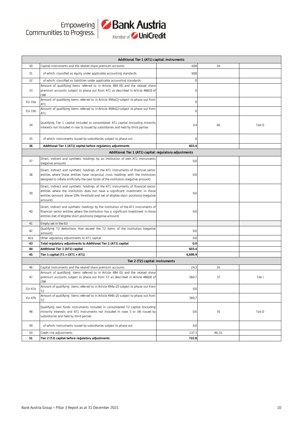

| Additional Tier 1 (AT1) capital: instruments |                                                                                                                                                                                                                                                                        |                  |        |       |
|----------------------------------------------|------------------------------------------------------------------------------------------------------------------------------------------------------------------------------------------------------------------------------------------------------------------------|------------------|--------|-------|
| 30                                           | Capital instruments and the related share premium accounts                                                                                                                                                                                                             | 600              | 54     |       |
| 31                                           | of which: classified as equity under applicable accounting standards                                                                                                                                                                                                   | 600              |        |       |
| 32                                           | of which: classified as liabilities under applicable accounting standards                                                                                                                                                                                              | $\boldsymbol{0}$ |        |       |
| 33                                           | Amount of qualifying items referred to in Article 484 (4) and the related share<br>premium accounts subject to phase out from AT1 as described in Article 486(3) of<br><b>CRR</b>                                                                                      | 0                |        |       |
| EU-33a                                       | Amount of qualifying items referred to in Article 494a(1) subject to phase out from<br>AT1                                                                                                                                                                             | 0                |        |       |
| EU-33b                                       | Amount of qualifying items referred to in Article 494b(1) subject to phase out from<br>AT1                                                                                                                                                                             | $\boldsymbol{0}$ |        |       |
| 34                                           | Qualifying Tier 1 capital included in consolidated AT1 capital (including minority<br>interests not included in row 5) issued by subsidiaries and held by third parties                                                                                                | 3.4              | 60     | Tab D |
| 35                                           | of which: instruments issued by subsidiaries subject to phase out                                                                                                                                                                                                      | $\mathbf 0$      |        |       |
| 36                                           | Additional Tier 1 (AT1) capital before regulatory adjustments                                                                                                                                                                                                          | 603.4            |        |       |
|                                              | Additional Tier 1 (AT1) capital: regulatory adjustments                                                                                                                                                                                                                |                  |        |       |
| 37                                           | Direct, indirect and synthetic holdings by an institution of own AT1 instruments<br>(negative amount)                                                                                                                                                                  | 0.0              |        |       |
| 38                                           | Direct, indirect and synthetic holdings of the AT1 instruments of financial sector<br>entities where those entities have reciprocal cross holdings with the institution<br>designed to inflate artificially the own funds of the institution (negative amount)         | 0.0              |        |       |
| 39                                           | Direct, indirect and synthetic holdings of the AT1 instruments of financial sector<br>entities where the institution does not have a significant investment in those<br>entities (amount above 10% threshold and net of eligible short positions) (negative<br>amount) | 0.0              |        |       |
| 40                                           | Direct, indirect and synthetic holdings by the institution of the AT1 instruments of<br>financial sector entities where the institution has a significant investment in those<br>entities (net of eligible short positions) (negative amount)                          | 0.0              |        |       |
| 41                                           | Empty set in the EU                                                                                                                                                                                                                                                    |                  |        |       |
| 42                                           | Qualifying T2 deductions that exceed the T2 items of the institution (negative<br>amount)                                                                                                                                                                              | 0.0              |        |       |
| 42a                                          | Other regulatory adjustments to AT1 capital                                                                                                                                                                                                                            | 0.0              |        |       |
| 43                                           | Total regulatory adjustments to Additional Tier 1 (AT1) capital                                                                                                                                                                                                        | 0.0              |        |       |
| 44                                           | Additional Tier 1 (AT1) capital                                                                                                                                                                                                                                        | 603.4            |        |       |
| 45                                           | Tier 1 capital (T1 = $CET1 + AT1$ )                                                                                                                                                                                                                                    | 6,699.9          |        |       |
|                                              | Tier 2 (T2) capital: instruments                                                                                                                                                                                                                                       |                  |        |       |
| 46                                           | Capital instruments and the related share premium accounts<br>Amount of qualifying items referred to in Article 484 (5) and the related share                                                                                                                          | 24.3             | 35     |       |
| 47                                           | premium accounts subject to phase out from T2 as described in Article 486(4) of<br><b>CRR</b>                                                                                                                                                                          | 560.7            | 37     | Tab I |
| EU-47a                                       | Amount of qualifying items referred to in Article 494a (2) subject to phase out from<br>T2                                                                                                                                                                             | 0.0              |        |       |
| EU-47b                                       | Amount of qualifying items referred to in Article 494b (2) subject to phase out from<br>T2                                                                                                                                                                             | 560.7            |        |       |
| 48                                           | Qualifying own funds instruments included in consolidated T2 capital (including<br>minority interests and AT1 instruments not included in rows 5 or 34) issued by<br>subsidiaries and held by third parties                                                            | 0.6              | 35     | Tab D |
| 49                                           | of which: instruments issued by subsidiaries subject to phase out                                                                                                                                                                                                      | 0.0              |        |       |
| 50                                           | Credit risk adjustments                                                                                                                                                                                                                                                | 137.3            | 49, 51 |       |
| 51                                           | Tier 2 (T2) capital before regulatory adjustments                                                                                                                                                                                                                      | 722.8            |        |       |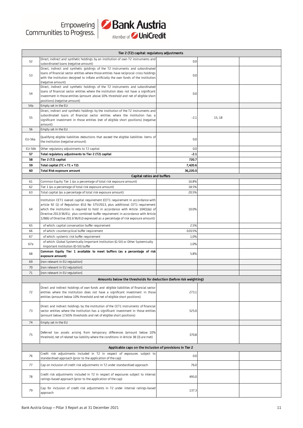

|        | Member of <b>y UI II'LI EUIL</b>                                                                                                                                                                                                                                                                                                                                                                                                     |          |        |  |  |  |
|--------|--------------------------------------------------------------------------------------------------------------------------------------------------------------------------------------------------------------------------------------------------------------------------------------------------------------------------------------------------------------------------------------------------------------------------------------|----------|--------|--|--|--|
|        | Tier 2 (T2) capital: regulatory adjustments                                                                                                                                                                                                                                                                                                                                                                                          |          |        |  |  |  |
| 52     | Direct, indirect and synthetic holdings by an institution of own T2 instruments and<br>subordinated loans (negative amount)                                                                                                                                                                                                                                                                                                          | 0.0      |        |  |  |  |
| 53     | Direct, indirect and synthetic goldings of the T2 instruments and subordinated<br>loans of financial sector entities where those entities have reciprocal cross holdings<br>with the institution designed to inflate artificially the own funds of the institution<br>(negative amount)                                                                                                                                              | 0.0      |        |  |  |  |
| 54     | Direct, indirect and synthetic holdings of the T2 instruments and subordinated<br>loans of financial sector entities where the institution does not have a significant<br>investment in those entities (amount above 10% threshold and net of eligible short<br>positions) (negative amount)                                                                                                                                         | 0.0      |        |  |  |  |
| 54a    | Empty set in the EU                                                                                                                                                                                                                                                                                                                                                                                                                  |          |        |  |  |  |
| 55     | Direct, indirect and synthetic holdings by the institution of the T2 instruments and<br>subordinated loans of financial sector entities where the institution has a<br>significant investment in those entities (net of eligible short positions) (negative<br>amount)                                                                                                                                                               | $-2.1$   | 15, 18 |  |  |  |
| 56     | Empty set in the EU                                                                                                                                                                                                                                                                                                                                                                                                                  |          |        |  |  |  |
| EU-56a | Qualifying eligible liabilities deductions that exceed the eligible liabilities items of<br>the institution (negative amount)                                                                                                                                                                                                                                                                                                        | 0.0      |        |  |  |  |
| EU-56b | Other regulatory adjustments to T2 capital                                                                                                                                                                                                                                                                                                                                                                                           | 0.0      |        |  |  |  |
| 57     | Total regulatory adjustments to Tier 2 (T2) capital                                                                                                                                                                                                                                                                                                                                                                                  | $-2.1$   |        |  |  |  |
| 58     | Tier 2 (T2) capital                                                                                                                                                                                                                                                                                                                                                                                                                  | 720.7    |        |  |  |  |
| 59     | Total capital (TC = $T1 + T2$ )                                                                                                                                                                                                                                                                                                                                                                                                      | 7,420.6  |        |  |  |  |
| 60     | <b>Total Risk exposure amount</b>                                                                                                                                                                                                                                                                                                                                                                                                    | 36,220.0 |        |  |  |  |
|        | Capital ratios and buffers                                                                                                                                                                                                                                                                                                                                                                                                           |          |        |  |  |  |
| 61     | Common Equity Tier 1 (as a percentage of total risk exposure amount)                                                                                                                                                                                                                                                                                                                                                                 | 16.8%    |        |  |  |  |
| 62     | Tier 1 (as a percentage of total risk exposure amount)                                                                                                                                                                                                                                                                                                                                                                               | 18.5%    |        |  |  |  |
| 63     | Total capital (as a percentage of total risk exposure amount)                                                                                                                                                                                                                                                                                                                                                                        | 20.5%    |        |  |  |  |
| 64     | Institution CET1 overall capital requirement (CET1 requirement in accordance with<br>article 92 (1) of Regulation (EU) No 575/2013, plus additional CET1 requirement<br>which the institution is required to hold in accordance with Article 104(1)(a) of<br>Directive 2013/36/EU, plus combined buffer requirement in accordance with Article<br>128(6) of Directive 2013/36/EU) expressed as a percentage of risk exposure amount) | 10.0%    |        |  |  |  |
| 65     | of which: capital conservation buffer requirement                                                                                                                                                                                                                                                                                                                                                                                    | 2.5%     |        |  |  |  |
| 66     | of which: countercyclical buffer requirement                                                                                                                                                                                                                                                                                                                                                                                         | 0.015%   |        |  |  |  |
| 67     | of which: systemic risk buffer requirement                                                                                                                                                                                                                                                                                                                                                                                           | 1.0%     |        |  |  |  |
| 67a    | of which: Global Systemically Important Institution (G-SII) or Other Systemically<br>Important Institution (O-SII) buffer                                                                                                                                                                                                                                                                                                            | 1.0%     |        |  |  |  |
| 68     | Common Equity Tier 1 available to meet buffers (as a percentage of risk<br>exposure amount)                                                                                                                                                                                                                                                                                                                                          | 5.8%     |        |  |  |  |
| 69     | [non relevant in EU regulation]                                                                                                                                                                                                                                                                                                                                                                                                      |          |        |  |  |  |
| 70     | [non relevant in EU regulation]                                                                                                                                                                                                                                                                                                                                                                                                      |          |        |  |  |  |
| 71     | [non relevant in EU regulation]                                                                                                                                                                                                                                                                                                                                                                                                      |          |        |  |  |  |
|        | Amounts below the thresholds for deduction (before risk weighting)                                                                                                                                                                                                                                                                                                                                                                   |          |        |  |  |  |
|        |                                                                                                                                                                                                                                                                                                                                                                                                                                      |          |        |  |  |  |
| 72     | Direct and indirect holdings of own funds and eligible liabilities of financial sector<br>entities where the institution does not have a significant investment in those<br>entities (amount below 10% threshold and net of eligible short positions)                                                                                                                                                                                | 273.1    |        |  |  |  |
| 73     | Direct and indirect holdings by the institution of the CET1 instruments of financial<br>sector entities where the institution has a significant investment in those entities<br>(amount below 17.65% thresholds and net of eligible short positions)                                                                                                                                                                                 | 525.0    |        |  |  |  |
| 74     | Empty set in the EU                                                                                                                                                                                                                                                                                                                                                                                                                  |          |        |  |  |  |
| 75     | Deferred tax assets arising from temporary differences (amount below 10%<br>threshold, net of related tax liability where the conditions in Article 38 (3) are met)                                                                                                                                                                                                                                                                  | 370.8    |        |  |  |  |
|        | Applicable caps on the inclusion of provisions in Tier 2                                                                                                                                                                                                                                                                                                                                                                             |          |        |  |  |  |
| 76     | Credit risk adjustments included in T2 in respect of exposures subject to<br>standardised approach (prior to the application of the cap)                                                                                                                                                                                                                                                                                             | 0.0      |        |  |  |  |
| 77     | Cap on inclusion of credit risk adjustments in T2 under standardised approach                                                                                                                                                                                                                                                                                                                                                        | 76.0     |        |  |  |  |
| 78     | Credit risk adjustments included in T2 in respect of exposures subject to internal<br>ratings-based approach (prior to the application of the cap)                                                                                                                                                                                                                                                                                   | 495.0    |        |  |  |  |
| 79     | Cap for inclusion of credit risk adjustments in T2 under internal ratings-based<br>approach                                                                                                                                                                                                                                                                                                                                          | 137.3    |        |  |  |  |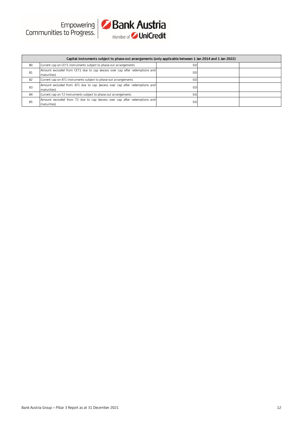|    | Capital instruments subject to phase-out arrangements (only applicable between 1 Jan 2014 and 1 Jan 2022) |     |  |  |  |  |
|----|-----------------------------------------------------------------------------------------------------------|-----|--|--|--|--|
| 80 | Current cap on CET1 instruments subject to phase out arrangements                                         | 0.0 |  |  |  |  |
| 81 | Amount excluded from CET1 due to cap (excess over cap after redemptions and<br>maturities)                | 0.0 |  |  |  |  |
| 82 | Current cap on AT1 instruments subject to phase out arrangements                                          | 0.0 |  |  |  |  |
| 83 | Amount excluded from AT1 due to cap (excess over cap after redemptions and<br>maturities)                 | 0.0 |  |  |  |  |
| 84 | Current cap on T2 instruments subject to phase out arrangements                                           | 0.0 |  |  |  |  |
| 85 | Amount excluded from T2 due to cap (excess over cap after redemptions and<br>maturities)                  | 0.0 |  |  |  |  |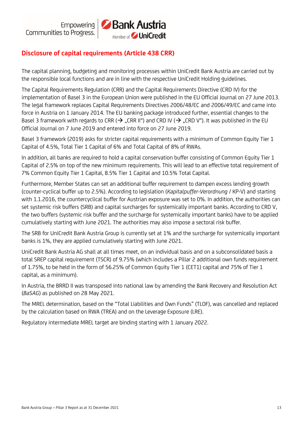

# **Disclosure of capital requirements (Article 438 CRR)**

The capital planning, budgeting and monitoring processes within UniCredit Bank Austria are carried out by the responsible local functions and are in line with the respective UniCredit Holding guidelines.

The Capital Requirements Regulation (CRR) and the Capital Requirements Directive (CRD IV) for the implementation of Basel 3 in the European Union were published in the EU Official Journal on 27 June 2013. The legal framework replaces Capital Requirements Directives 2006/48/EC and 2006/49/EC and came into force in Austria on 1 January 2014. The EU banking package introduced further, essential changes to the Basel 3 framework with regards to CRR ( $\rightarrow$  "CRR II") and CRD IV ( $\rightarrow$  "CRD V"). It was published in the EU Official Journal on 7 June 2019 and entered into force on 27 June 2019.

Basel 3 framework (2019) asks for stricter capital requirements with a minimum of Common Equity Tier 1 Capital of 4.5%, Total Tier 1 Capital of 6% and Total Capital of 8% of RWAs.

In addition, all banks are required to hold a capital conservation buffer consisting of Common Equity Tier 1 Capital of 2.5% on top of the new minimum requirements. This will lead to an effective total requirement of 7% Common Equity Tier 1 Capital, 8.5% Tier 1 Capital and 10.5% Total Capital.

Furthermore, Member States can set an additional buffer requirement to dampen excess lending growth (counter-cyclical buffer up to 2.5%). According to legislation (*Kapitalpuffer-Verordnung* / KP-V) and starting with 1.1.2016, the countercyclical buffer for Austrian exposure was set to 0%. In addition, the authorities can set systemic risk buffers (SRB) and capital surcharges for systemically important banks. According to CRD V, the two buffers (systemic risk buffer and the surcharge for systemically important banks) have to be applied cumulatively starting with June 2021. The authorities may also impose a sectoral risk buffer.

The SRB for UniCredit Bank Austria Group is currently set at 1% and the surcharge for systemically important banks is 1%, they are applied cumulatively starting with June 2021.

UniCredit Bank Austria AG shall at all times meet, on an individual basis and on a subconsolidated basis a total SREP capital requirement (TSCR) of 9.75% (which includes a Pillar 2 additional own funds requirement of 1.75%, to be held in the form of 56.25% of Common Equity Tier 1 (CET1) capital and 75% of Tier 1 capital, as a minimum).

In Austria, the BRRD II was transposed into national law by amending the Bank Recovery and Resolution Act (*BaSAG*) as published on 28 May 2021.

The MREL determination, based on the "Total Liabilities and Own Funds" (TLOF), was cancelled and replaced by the calculation based on RWA (TREA) and on the Leverage Exposure (LRE).

Regulatory intermediate MREL target are binding starting with 1 January 2022.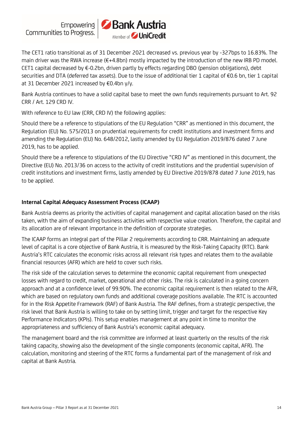Empowering Communities to Progress.



The CET1 ratio transitional as of 31 December 2021 decreased vs. previous year by -327bps to 16.83%. The main driver was the RWA increase (€+4.8bn) mostly impacted by the introduction of the new IRB PD model. CET1 capital decreased by €-0.2bn, driven partly by effects regarding DBO (pension obligations), debt securities and DTA (deferred tax assets). Due to the issue of additional tier 1 capital of €0.6 bn, tier 1 capital at 31 December 2021 increased by €0.4bn y/y.

Bank Austria continues to have a solid capital base to meet the own funds requirements pursuant to Art. 92 CRR / Art. 129 CRD IV.

With reference to EU law (CRR, CRD IV) the following applies:

Should there be a reference to stipulations of the EU Regulation "CRR" as mentioned in this document, the Regulation (EU) No. 575/2013 on prudential requirements for credit institutions and investment firms and amending the Regulation (EU) No. 648/2012, lastly amended by EU Regulation 2019/876 dated 7 June 2019, has to be applied.

Should there be a reference to stipulations of the EU Directive "CRD IV" as mentioned in this document, the Directive (EU) No. 2013/36 on access to the activity of credit institutions and the prudential supervision of credit institutions and investment firms, lastly amended by EU Directive 2019/878 dated 7 June 2019, has to be applied.

# **Internal Capital Adequacy Assessment Process (ICAAP)**

Bank Austria deems as priority the activities of capital management and capital allocation based on the risks taken, with the aim of expanding business activities with respective value creation. Therefore, the capital and its allocation are of relevant importance in the definition of corporate strategies.

The ICAAP forms an integral part of the Pillar 2 requirements according to CRR. Maintaining an adequate level of capital is a core objective of Bank Austria, it is measured by the Risk-Taking Capacity (RTC). Bank Austria's RTC calculates the economic risks across all relevant risk types and relates them to the available financial resources (AFR) which are held to cover such risks.

The risk side of the calculation serves to determine the economic capital requirement from unexpected losses with regard to credit, market, operational and other risks. The risk is calculated in a going concern approach and at a confidence level of 99.90%. The economic capital requirement is then related to the AFR, which are based on regulatory own funds and additional coverage positions available. The RTC is accounted for in the Risk Appetite Framework (RAF) of Bank Austria. The RAF defines, from a strategic perspective, the risk level that Bank Austria is willing to take on by setting limit, trigger and target for the respective Key Performance Indicators (KPIs). This setup enables management at any point in time to monitor the appropriateness and sufficiency of Bank Austria's economic capital adequacy.

The management board and the risk committee are informed at least quarterly on the results of the risk taking capacity, showing also the development of the single components (economic capital, AFR). The calculation, monitoring and steering of the RTC forms a fundamental part of the management of risk and capital at Bank Austria.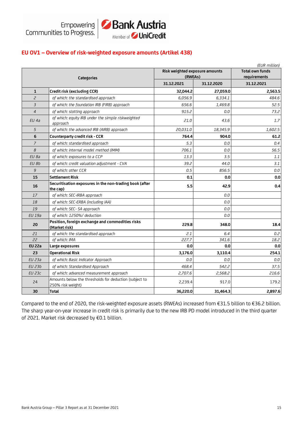

# **EU OV1 – Overview of risk-weighted exposure amounts (Artikel 438)**

|                |                                                                             |                                           |            | (EUR million)                          |  |
|----------------|-----------------------------------------------------------------------------|-------------------------------------------|------------|----------------------------------------|--|
|                | <b>Categories</b>                                                           | Risk weighted exposure amounts<br>(RWEAs) |            | <b>Total own funds</b><br>requirements |  |
|                |                                                                             | 31.12.2021                                | 31.12.2020 |                                        |  |
| $\mathbf{1}$   | Credit risk (excluding CCR)                                                 | 32,044.2                                  | 27,059.0   | 2,563.5                                |  |
| $\overline{c}$ | of which: the standardised approach                                         | 6,056.9                                   | 6,334.1    | 484.6                                  |  |
| 3              | of which: the foundation IRB (FIRB) approach                                | 656.6                                     | 1,469.8    | 52.5                                   |  |
| $\overline{4}$ | of which: slotting approach                                                 | 915.2                                     | 0.0        | 73.2                                   |  |
| $EU$ 4a        | of which: equity IRB under the simple riskweighted<br>approach              | 21.0                                      | 43.6       | 1.7                                    |  |
| 5              | of which: the advanced IRB (AIRB) approach                                  | 20,031.0                                  | 18,345.9   | 1,602.5                                |  |
| 6              | Counterparty credit risk - CCR                                              | 764.4                                     | 904.0      | 61.2                                   |  |
| $\overline{7}$ | of which: standardised approach                                             | 5.3                                       | 0.0        | 0.4                                    |  |
| 8              | of which: internal model method (IMM)                                       | 706.1                                     | 0.0        | 56.5                                   |  |
| EU 8a          | of which: exposures to a CCP                                                | 13.3                                      | 3.5        | 1.1                                    |  |
| EU 8b          | of which: credit valuation adjustment - CVA                                 | 39.2                                      | 44.0       | 3.1                                    |  |
| 9              | of which: other CCR                                                         | 0.5                                       | 856.5      | 0.0                                    |  |
| 15             | <b>Settlement Risk</b>                                                      | 0.1                                       | 0.0        | 0.0                                    |  |
| 16             | Securitisation exposures in the non-trading book (after<br>the cap)         | 5.5                                       | 42.9       | 0.4                                    |  |
| 17             | of which: SEC-IRBA approach                                                 |                                           | 0.0        |                                        |  |
| 18             | of which: SEC-ERBA (including IAA)                                          |                                           | 0.0        |                                        |  |
| 19             | of which: SEC- SA approach                                                  |                                           | 0.0        |                                        |  |
| <b>EU 19a</b>  | of which: 1250%/ deduction                                                  |                                           | 0.0        |                                        |  |
| 20             | Position, foreign exchange and commodities risks<br>(Market risk)           | 229.8                                     | 348.0      | 18.4                                   |  |
| 21             | of which: the standardised approach                                         | 2.1                                       | 6.4        | 0.2                                    |  |
| 22             | of which: IMA                                                               | 227.7                                     | 341.6      | 18.2                                   |  |
| <b>EU 22a</b>  | Large exposures                                                             | 0.0                                       | 0.0        | 0.0                                    |  |
| 23             | <b>Operational Risk</b>                                                     | 3,176.0                                   | 3,110.4    | 254.1                                  |  |
| <b>EU 23a</b>  | of which: Basic Indicator Approach                                          | 0.0                                       | 0.0        | 0.0                                    |  |
| EU 23b         | of which: Standardised Approach                                             | 468.4                                     | 542.2      | 37.5                                   |  |
| <b>EU 23c</b>  | of which: advanced measurement approach                                     | 2,707.6                                   | 2,568.2    | 216.6                                  |  |
| 24             | Amounts below the thresholds for deduction (subject to<br>250% risk weight) | 2,239.4                                   | 917.0      | 179.2                                  |  |
| 30             | <b>Total</b>                                                                | 36,220.0                                  | 31,464.3   | 2,897.6                                |  |

Compared to the end of 2020, the risk-weighted exposure assets (RWEAs) increased from €31.5 billion to €36.2 billion. The sharp year-on-year increase in credit risk is primarily due to the new IRB PD model introduced in the third quarter of 2021. Market risk decreased by €0.1 billion.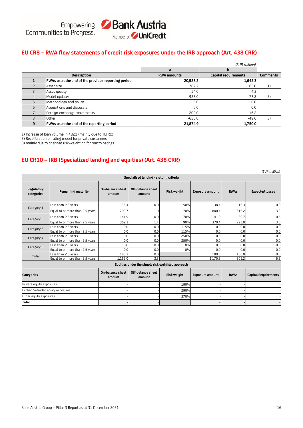#### **EU CR8 – RWA flow statements of credit risk exposures under the IRB approach (Art. 438 CRR)**

|   |                                                     |                    | (EUR million)        |                 |
|---|-----------------------------------------------------|--------------------|----------------------|-----------------|
|   |                                                     | a                  |                      |                 |
|   | <b>Description</b>                                  | <b>RWA amounts</b> | Capital requirements | <b>Comments</b> |
|   | RWAs as at the end of the previous reporting period | 20,528.2           | 1,642.3              |                 |
|   | Asset size                                          | 787.7              | 63.0                 |                 |
|   | Asset quality                                       | 54.0               | 4.3                  |                 |
| 4 | Model updates                                       | 923.0              | 73.8                 |                 |
|   | Methodology and policy                              | 0.0                | 0.0                  |                 |
| 6 | Acquisitions and disposals                          | 0.0                | 0.0                  |                 |
|   | Foreign exchange movements                          | 202.0              | 16.2                 |                 |
| 8 | <b>Other</b>                                        | $-620.0$           | $-49.6$              |                 |
| 9 | RWAs as at the end of the reporting period          | 21,874.9           | 1,750.0              |                 |

1) Increase of loan volume in 4Q21 (mainly due to TLTRO)

2) Recalibration of rating model for private customers

3) mainly due to changed risk-weighting for macro hedges

#### **EU CR10 – IRB (Specialized lending and equities) (Art. 438 CRR)**

|                                  |                                 |                            |                                                  |             |                        |             | (EUR million)               |
|----------------------------------|---------------------------------|----------------------------|--------------------------------------------------|-------------|------------------------|-------------|-----------------------------|
|                                  |                                 |                            | Specialised lending - slotting criteria          |             |                        |             |                             |
| Regulatory<br>categories         | Remaining maturity              | On-balance sheet<br>amount | Off-balance sheet<br>amount                      | Risk weight | <b>Exposure amount</b> | <b>RWAs</b> | <b>Expected losses</b>      |
| Category 1                       | Less than 2.5 years             | 38.4                       | 0.0                                              | 50%         | 38.4                   | 16.3        | 0.0                         |
|                                  | Equal to or more than 2.5 years | 799.7                      | 1.0                                              | 70%         | 800.4                  | 516.2       | 3.2                         |
| Category 2                       | Less than 2.5 years             | 141.9                      | 0.0                                              | 70%         | 141.9                  | 89.7        | 0.6                         |
|                                  | Equal to or more than 2.5 years | 369.3                      | 1.4                                              | 90%         | 370.4                  | 293.0       | 3.0                         |
| Category 3                       | Less than 2.5 years             | 0.0                        | 0.0                                              | 115%        | 0.0                    | 0.0         | 0.0                         |
|                                  | Equal to or more than 2.5 years | 0.0                        | 0.0                                              | 115%        | 0.0                    | 0.0         | 0.0                         |
| Category 4                       | Less than 2.5 years             | 0.0                        | 0.0                                              | 250%        | 0.0                    | 0.0         | 0.0                         |
|                                  | Equal to or more than 2.5 years | 0.0                        | 0.0                                              | 250%        | 0.0                    | 0.0         | 0.0                         |
| Category 5                       | Less than 2.5 years             | 0.0                        | 0.0                                              | 0%          | 0.0                    | 0.0         | 0.0                         |
|                                  | Equal to or more than 2.5 years | 0.0                        | 0.0                                              | 0%          | 0.0                    | 0.0         | 0.0                         |
| <b>Total</b>                     | Less than 2.5 years             | 180.3                      | 0.0                                              |             | 180.3                  | 106.0       | 0.6                         |
|                                  | Equal to or more than 2.5 years | 1,169.0                    | 2.3                                              |             | 1,170.8                | 809.2       | 6.2                         |
|                                  |                                 |                            | Equities under the simple risk-weighted approach |             |                        |             |                             |
| <b>Categories</b>                |                                 | On-balance sheet<br>amount | Off-balance sheet<br>amount                      | Risk weight | <b>Exposure amount</b> | <b>RWAs</b> | <b>Capital Requirements</b> |
| Private equity exposures         |                                 |                            |                                                  | 190%        |                        |             |                             |
| Exchange-traded equity exposures |                                 |                            |                                                  | 290%        |                        |             |                             |
| Other equity exposures           |                                 |                            |                                                  | 370%        |                        |             |                             |
| <b>Total</b>                     |                                 |                            |                                                  |             |                        |             |                             |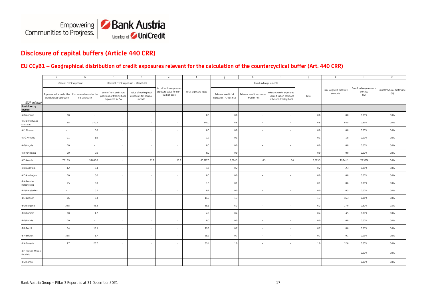

# **Disclosure of capital buffers (Article 440 CRR)**

#### **EU CCyB1 – Geographical distribution of credit exposures relevant for the calculation of the countercyclical buffer (Art. 440 CRR)**

|                                  | $\overline{a}$                                                             | b            | $\Gamma$                                                               | d                                                         | e                                                                   |                      | $\mathsf{q}$                                    |                                            |                                                                                  |         |                                   |                                         | m                                  |
|----------------------------------|----------------------------------------------------------------------------|--------------|------------------------------------------------------------------------|-----------------------------------------------------------|---------------------------------------------------------------------|----------------------|-------------------------------------------------|--------------------------------------------|----------------------------------------------------------------------------------|---------|-----------------------------------|-----------------------------------------|------------------------------------|
|                                  | General credit exposures                                                   |              | Relevant credit exposures - Market risk                                |                                                           |                                                                     |                      |                                                 | Own fund requirements                      |                                                                                  |         |                                   |                                         |                                    |
| (EUR million)                    | Exposure value under the Exposure value under the<br>standardised approach | IRB approach | Sum of long and short<br>positions of trading book<br>exposures for SA | Value of trading book<br>exposures for internal<br>models | Securitisation exposures<br>Exposure value for non-<br>trading book | Total exposure value | Relevant credit risk<br>exposures - Credit risk | Relevant credit exposures<br>- Market risk | Relevant credit exposures<br>Securitisation positions<br>in the non-trading book | Total   | Risk-weighted exposure<br>amounts | Own fund requirements<br>weights<br>(%) | Countercyclical buffer rate<br>(%) |
| <b>Breakdown by</b><br>country:  |                                                                            |              |                                                                        |                                                           |                                                                     |                      |                                                 |                                            |                                                                                  |         |                                   |                                         |                                    |
| (AD) Andorra                     | 0.0                                                                        | $\sim$       | $\sim$                                                                 | $\sim$                                                    | $\sim$                                                              | 0.0                  | 0.0                                             | $\sim$                                     |                                                                                  | 0.0     | 0.0                               | 0.00%                                   | 0.0%                               |
| (AE) United Arab<br>Emirates     | $4.8\,$                                                                    | 370.2        |                                                                        | $\sim$                                                    | $\sim$                                                              | 375.0                | 6.8                                             | $\sim$                                     | $\sim$                                                                           | 6.8     | 84.5                              | 0.32%                                   | 0.0%                               |
| (AL) Albania                     | $\sim$                                                                     | 0.0          |                                                                        | $\sim$                                                    | $\sim$                                                              | 0.0                  | 0.0                                             |                                            |                                                                                  | 0.0     | 0.0                               | 0.00%                                   | 0.0%                               |
| (AM) Armenia                     | 0.1                                                                        | 1.6          |                                                                        | $\sim$                                                    | $\sim$                                                              | 1.7                  | 0.1                                             |                                            |                                                                                  | 0.1     | 1.8                               | 0.01%                                   | 0.0%                               |
| (AO) Angola                      | $0.0\,$                                                                    |              |                                                                        | $\sim$                                                    | $\sim$                                                              | 0.0                  | $0.0\,$                                         |                                            |                                                                                  | 0.0     | $0.0\,$                           | 0.00%                                   | 0.0%                               |
| (AR) Argentina                   | 0.0                                                                        | 0.0          |                                                                        | $\sim$                                                    | $\sim$                                                              | 0.0                  | 0.0                                             | ٠                                          | $\sim$                                                                           | 0.0     | 0.0                               | 0.00%                                   | 0.0%                               |
| (AT) Austria                     | 7,116.9                                                                    | 53,655.0     |                                                                        | 91.9                                                      | 13.8                                                                | 60,877.6             | 1,594.3                                         | 0.5                                        | 0.4                                                                              | 1,595.3 | 19,941.1                          | 76.30%                                  | 0.0%                               |
| (AU) Australia                   | 4.2                                                                        | 0.4          |                                                                        | $\sim$                                                    | $\sim$                                                              | 4.6                  | 0.2                                             |                                            |                                                                                  | 0.2     | 2.3                               | 0.01%                                   | 0.0%                               |
| (AZ) Azerbaijan                  | 0.0                                                                        | 0.0          |                                                                        | $\sim$                                                    | $\sim$                                                              | 0.0                  | 0.0                                             | $\overline{\phantom{a}}$                   |                                                                                  | 0.0     | 0.0                               | 0.00%                                   | 0.0%                               |
| (BA) Bosnia-<br>Herzegovina      | $1.5\,$                                                                    | 0.0          |                                                                        | $\sim$                                                    | $\sim$                                                              | 1.5                  | 0.1                                             | $\sim$                                     | $\sim$                                                                           | 0.1     | 0.6                               | 0.00%                                   | 0.0%                               |
| (BD) Bangladesh                  | $\sim$                                                                     | 0.2          |                                                                        | $\sim$                                                    | $\sim$                                                              | 0.2                  | 0.0                                             |                                            | $\sim$                                                                           | 0.0     | 0.3                               | 0.00%                                   | 0.0%                               |
| (BE) Belgium                     | 9.6                                                                        | 2.3          |                                                                        | $\sim$                                                    | $\sim$                                                              | 11.9                 | 1.3                                             |                                            |                                                                                  | 1.3     | 16.3                              | 0.06%                                   | 0.0%                               |
| (BG) Bulgaria                    | 24.8                                                                       | 43.3         |                                                                        | $\sim$                                                    | $\sim$                                                              | 68.1                 | 6.2                                             |                                            |                                                                                  | 6.2     | 77.9                              | 0.30%                                   | 0.5%                               |
| (BH) Bahrain                     | 0.0                                                                        | 4.2          |                                                                        | $\sim$                                                    | $\sim$                                                              | 4.2                  | 0.4                                             | $\sim$                                     |                                                                                  | 0.4     | 4.5                               | 0.02%                                   | 0.0%                               |
| (BO) Bolivia                     | $0.0\,$                                                                    | $\sim$       |                                                                        | $\sim$                                                    | $\sim$                                                              | 0.0                  | 0.0                                             |                                            |                                                                                  | 0.0     | 0.0                               | 0.00%                                   | 0.0%                               |
| (BR) Brazil                      | 7.4                                                                        | 12.5         | $\sim$                                                                 | $\sim$                                                    | $\sim$                                                              | 19.8                 | 0.7                                             | $\sim$                                     |                                                                                  | 0.7     | $8.6\,$                           | 0.03%                                   | 0.0%                               |
| (BY) Belarus                     | 36.5                                                                       | 1.7          |                                                                        | $\sim$                                                    | $\sim$                                                              | 38.2                 | 0.7                                             |                                            |                                                                                  | 0.7     | 9.1                               | 0.03%                                   | 0.0%                               |
| (CA) Canada                      | 8.7                                                                        | 26.7         |                                                                        | $\sim$                                                    | $\sim$                                                              | 35.4                 | 1.0                                             | $\sim$                                     | $\sim$                                                                           | 1.0     | 12.6                              | 0.05%                                   | 0.0%                               |
| (CF) Central African<br>Republic | $\sim$                                                                     | $\sim$       |                                                                        | $\sim$                                                    | $\sim$                                                              |                      | $\sim$                                          | ٠                                          |                                                                                  | $\sim$  | ٠                                 | 0.00%                                   | 0.0%                               |
| (CG) Congo                       | $\sim$                                                                     |              |                                                                        | $\sim$                                                    | $\sim$                                                              | $\sim$               | $\sim$                                          |                                            |                                                                                  | $\sim$  | $\sim$                            | 0.00%                                   | 0.0%                               |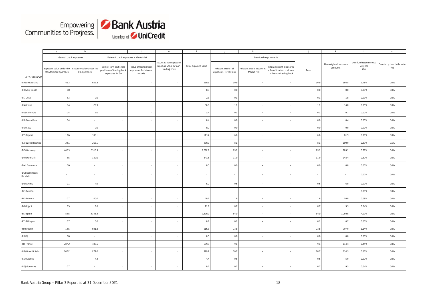

|                            | $\mathsf{a}$                                      | b                                        | $\mathsf{C}$                                                           | $\mathsf{d}$                                              | e                                                                   | f                    | $\mathfrak{g}$                                  | h                                          | -i.                                                                                |         | $\mathsf{k}$                      | $\mathbb{R}$                            | ${\sf m}$                          |
|----------------------------|---------------------------------------------------|------------------------------------------|------------------------------------------------------------------------|-----------------------------------------------------------|---------------------------------------------------------------------|----------------------|-------------------------------------------------|--------------------------------------------|------------------------------------------------------------------------------------|---------|-----------------------------------|-----------------------------------------|------------------------------------|
|                            | General credit exposures                          |                                          | Relevant credit exposures - Market risk                                |                                                           |                                                                     |                      |                                                 | Own fund requirements                      |                                                                                    |         |                                   |                                         |                                    |
| (EUR million)              | Exposure value under the<br>standardised approach | Exposure value under the<br>IRB approach | Sum of long and short<br>positions of trading book<br>exposures for SA | Value of trading book<br>exposures for internal<br>models | Securitisation exposures<br>Exposure value for non-<br>trading book | Total exposure value | Relevant credit risk<br>exposures - Credit risk | Relevant credit exposures<br>- Market risk | Relevant credit exposures<br>- Securitisation positions<br>in the non-trading book | Total   | Risk-weighted exposure<br>amounts | Own fund requirements<br>weights<br>(%) | Countercyclical buffer rate<br>(%) |
| (CH) Switzerland           | 46.3                                              | 622.8                                    | $\sim$                                                                 | $\sim$                                                    | $\sim$                                                              | 669.1                | 30.9                                            |                                            | $\overline{\phantom{a}}$                                                           | 30.9    | 386.5                             | 1.48%                                   | 0.0%                               |
| (CI) Ivory Coast           | 0.0                                               | $\overline{\phantom{a}}$                 |                                                                        | $\sim$                                                    | $\overline{\phantom{a}}$                                            | 0.0                  | 0.0                                             |                                            | $\sim$                                                                             | 0.0     | 0.0                               | 0.00%                                   | 0.0%                               |
| (CL) Chile                 | 2.3                                               | 0.0                                      | ×.                                                                     | $\sim$                                                    | $\sim$                                                              | 2.3                  | 0.1                                             |                                            | $\sim$                                                                             | 0.1     | $1.8\,$                           | 0.01%                                   | 0.0%                               |
| (CN) China                 | 6.4                                               | 29.9                                     | ×.                                                                     | $\sim$                                                    | $\sim$                                                              | 36.3                 | $1.1\,$                                         |                                            | $\sim$                                                                             | $1.1\,$ | 14.0                              | 0.05%                                   | 0.0%                               |
| (CO) Colombia              | 0.4                                               | 2.0                                      |                                                                        | $\sim$                                                    | $\sim$                                                              | 2.4                  | 0.1                                             |                                            |                                                                                    | 0.1     | 0.7                               | 0.00%                                   | 0.0%                               |
| (CR) Costa Rica            | 0.4                                               | $\overline{\phantom{a}}$                 |                                                                        | $\sim$                                                    | $\overline{\phantom{a}}$                                            | 0.4                  | 0.0                                             |                                            |                                                                                    | 0.0     | 0.4                               | 0.00%                                   | 0.0%                               |
| (CU) Cuba                  | $\sim$                                            | 0.0                                      |                                                                        | $\sim$                                                    | $\overline{\phantom{a}}$                                            | 0.0                  | $0.0\,$                                         |                                            | $\sim$                                                                             | 0.0     | 0.0                               | 0.00%                                   | 0.0%                               |
| (CY) Cyprus                | 13.6                                              | 100.1                                    | $\sim$                                                                 | $\sim$                                                    | $\sim$                                                              | 113.7                | 6.6                                             |                                            | $\sim$                                                                             | 6.6     | 81.9                              | 0.31%                                   | 0.0%                               |
| (CZ) Czech Republic        | 24.1                                              | 215.1                                    | $\sim$                                                                 | $\sim$                                                    | $\sim$                                                              | 239.2                | 8.1                                             | $\sim$                                     | $\sim$                                                                             | 8.1     | 100.9                             | 0.39%                                   | 0.5%                               |
| (DE) Germany               | 466.3                                             | 2,315.9                                  |                                                                        | $\sim$                                                    | $\overline{\phantom{a}}$                                            | 2,782.2              | 79.1                                            |                                            | $\overline{\phantom{a}}$                                                           | 79.1    | 989.1                             | 3.78%                                   | 0.0%                               |
| (DK) Denmark               | 4.5                                               | 339.0                                    | ÷.                                                                     | $\sim$                                                    | $\overline{\phantom{a}}$                                            | 343.5                | 11.9                                            |                                            | $\sim$                                                                             | 11.9    | 148.4                             | 0.57%                                   | 0.0%                               |
| (DM) Dominica              | 0.0                                               | $\sim$                                   | $\overline{\phantom{a}}$                                               | $\sim$                                                    | $\overline{\phantom{a}}$                                            | 0.0                  | 0.0                                             |                                            | $\sim$                                                                             | 0.0     | $0.0\,$                           | 0.00%                                   | 0.0%                               |
| (DO) Dominican<br>Republic | $\sim$                                            | $\sim$                                   | $\sim$                                                                 | $\sim$                                                    | $\sim$                                                              | $\sim$               | $\mathbf{r}$                                    |                                            | ÷.                                                                                 | $\sim$  | $\sim$                            | 0.00%                                   | 0.0%                               |
| (DZ) Algeria               | 0.1                                               | 4.9                                      | ÷.                                                                     | $\sim$                                                    | $\sim$                                                              | 5.0                  | 0.5                                             | $\sim$                                     | $\sim$                                                                             | 0.5     | 6.0                               | 0.02%                                   | 0.0%                               |
| (EC) Ecuador               | $\sim$                                            | $\overline{\phantom{a}}$                 | $\sim$                                                                 | $\sim$                                                    | $\sim$                                                              | $\sim$               | $\sim$                                          |                                            | $\sim$                                                                             | $\sim$  | $\sim$                            | 0.00%                                   | 0.0%                               |
| (EE) Estonia               | 0.7                                               | 40.0                                     | ÷.                                                                     | $\sim$                                                    | $\sim$                                                              | 40.7                 | 1.6                                             | $\sim$                                     | $\sim$                                                                             | 1.6     | 20.0                              | 0.08%                                   | 0.0%                               |
| (EG) Egypt                 | 7.5                                               | 3.6                                      |                                                                        | $\sim$                                                    | $\overline{\phantom{a}}$                                            | 11.2                 | 0.7                                             |                                            | $\overline{\phantom{a}}$                                                           | 0.7     | 9.3                               | 0.04%                                   | 0.0%                               |
| (ES) Spain                 | 54.5                                              | 2,345.4                                  | ×.                                                                     | $\sim$                                                    | $\sim$                                                              | 2,399.9              | 84.0                                            |                                            | $\sim$                                                                             | 84.0    | 1,050.5                           | 4.02%                                   | 0.0%                               |
| (ET) Ethiopia              | 0.7                                               | 0.0                                      | $\overline{\phantom{a}}$                                               | $\sim$                                                    | $\sim$                                                              | 0.7                  | 0.1                                             |                                            | $\sim$                                                                             | 0.1     | 0.7                               | 0.00%                                   | 0.0%                               |
| (FI) Finland               | 14.5                                              | 601.8                                    | $\sim$                                                                 | $\sim$                                                    | $\sim$                                                              | 616.3                | 23.8                                            |                                            | $\sim$                                                                             | 23.8    | 297.9                             | 1.14%                                   | 0.0%                               |
| (FJ) Fiji                  | 0.0                                               | ×,                                       |                                                                        | $\sim$                                                    | $\overline{\phantom{a}}$                                            | 0.0                  | 0.0                                             |                                            | $\sim$                                                                             | 0.0     | 0.0                               | 0.00%                                   | 0.0%                               |
| (FR) France                | 287.2                                             | 402.5                                    |                                                                        | $\sim$                                                    | $\sim$                                                              | 689.7                | 9.1                                             |                                            |                                                                                    | 9.1     | 114.4                             | 0.44%                                   | 0.0%                               |
| (GB) Great Britain         | 102.2                                             | 277.0                                    | $\overline{\phantom{a}}$                                               | $\sim$                                                    | $\sim$                                                              | 379.2                | 10.7                                            |                                            | $\sim$                                                                             | 10.7    | 134.3                             | 0.51%                                   | 0.0%                               |
| (GE) Georgia               | $\sim$                                            | 4.4                                      | $\sim$                                                                 | $\sim$                                                    | $\sim$                                                              | 4.4                  | 0.5                                             | $\sim$                                     | $\sim$                                                                             | 0.5     | 5.9                               | 0.02%                                   | 0.0%                               |
| (GG) Guernsey              | 0.7                                               | $\sim$                                   |                                                                        |                                                           | $\overline{\phantom{a}}$                                            | 0.7                  | 0.7                                             |                                            |                                                                                    | 0.7     | 9.3                               | 0.04%                                   | 0.0%                               |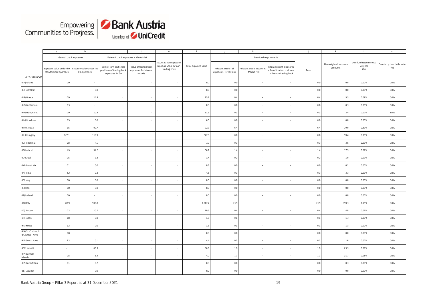

|                                           | $\overline{a}$                                    | b                                        | $\mathsf{C}$                                                           | d                                                         | e                                                                   | $\mathsf{f}$         | $\mathfrak{g}$                                  | h                                          |                                                                                    |         | $\mathbf k$                       |                                         | m                                  |
|-------------------------------------------|---------------------------------------------------|------------------------------------------|------------------------------------------------------------------------|-----------------------------------------------------------|---------------------------------------------------------------------|----------------------|-------------------------------------------------|--------------------------------------------|------------------------------------------------------------------------------------|---------|-----------------------------------|-----------------------------------------|------------------------------------|
|                                           | General credit exposures                          |                                          | Relevant credit exposures - Market risk                                |                                                           |                                                                     |                      |                                                 | Own fund requirements                      |                                                                                    |         |                                   |                                         |                                    |
| (EUR million)                             | Exposure value under the<br>standardised approach | Exposure value under the<br>IRB approach | Sum of long and short<br>positions of trading book<br>exposures for SA | Value of trading book<br>exposures for internal<br>models | Securitisation exposures<br>Exposure value for non-<br>trading book | Total exposure value | Relevant credit risk<br>exposures - Credit risk | Relevant credit exposures<br>- Market risk | Relevant credit exposures<br>- Securitisation positions<br>in the non-trading book | Total   | Risk-weighted exposure<br>amounts | Own fund requirements<br>weights<br>(%) | Countercyclical buffer rate<br>(%) |
| (GH) Ghana                                | $0.0\,$                                           | $\mathcal{L}$                            | $\sim$                                                                 |                                                           | $\cdot$                                                             | $0.0\,$              | $0.0\,$                                         |                                            | $\sim$                                                                             | $0.0\,$ | 0.0                               | 0.00%                                   | 0.0%                               |
| (GI) Gibraltar                            | $\sim$                                            | 0.0                                      | ÷                                                                      |                                                           | ×,                                                                  | 0.0                  | 0.0                                             |                                            |                                                                                    | 0.0     | 0.0                               | 0.00%                                   | 0.0%                               |
| (GR) Greece                               | 0.9                                               | 14.8                                     | $\mathcal{L}_{\mathcal{A}}$                                            |                                                           | $\overline{\phantom{a}}$                                            | 15.7                 | 0.4                                             |                                            |                                                                                    | 0.4     | 5.3                               | 0.02%                                   | 0.0%                               |
| (GT) Guatemala                            | 0.3                                               | ÷,                                       | ÷.                                                                     |                                                           | ×,                                                                  | 0.3                  | 0.0                                             |                                            |                                                                                    | 0.0     | 0.3                               | 0.00%                                   | 0.0%                               |
| (HK) Hong Kong                            | 0.9                                               | 10.8                                     | $\sim$                                                                 |                                                           | $\sim$                                                              | 11.6                 | 0.3                                             |                                            |                                                                                    | 0.3     | 3.4                               | 0.01%                                   | 1.0%                               |
| (HN) Honduras                             | 6.5                                               | 0.0                                      | ÷.                                                                     |                                                           | $\overline{\phantom{a}}$                                            | 6.5                  | $0.0\,$                                         |                                            |                                                                                    | $0.0\,$ | 0.0                               | 0.00%                                   | 0.0%                               |
| (HR) Croatia                              | 1.5                                               | 90.7                                     | $\mathcal{L}_{\mathcal{A}}$                                            |                                                           | $\sim$                                                              | 92.2                 | 6.4                                             |                                            |                                                                                    | 6.4     | 79.9                              | 0.31%                                   | 0.0%                               |
| (HU) Hungary                              | 127.1                                             | 119.9                                    | ÷.                                                                     |                                                           | $\sim$                                                              | 247.0                | 8.0                                             |                                            | $\overline{\phantom{a}}$                                                           | 8.0     | 99.4                              | 0.38%                                   | 0.0%                               |
| (ID) Indonesia                            | 0.8                                               | 7.1                                      | ÷.                                                                     |                                                           | $\sim$                                                              | 7.9                  | 0.3                                             |                                            |                                                                                    | 0.3     | 3.5                               | 0.01%                                   | 0.0%                               |
| (IE) Ireland                              | 1.9                                               | 54.2                                     | $\sim$                                                                 |                                                           | $\cdot$                                                             | 56.1                 | $1.4\,$                                         |                                            | $\overline{\phantom{a}}$                                                           | 1.4     | 17.5                              | 0.07%                                   | 0.0%                               |
| (IL) Israel                               | $0.5\,$                                           | 2.8                                      | ÷.                                                                     |                                                           | $\sim$                                                              | 3.4                  | 0.2                                             |                                            |                                                                                    | 0.2     | 1.9                               | 0.01%                                   | 0.0%                               |
| (IM) Isle of Man                          | $0.1\,$                                           | 0.0                                      | $\sim$                                                                 | $\sim$                                                    | $\overline{\phantom{a}}$                                            | 0.1                  | 0.0                                             |                                            | $\overline{\phantom{a}}$                                                           | 0.0     | $0.1\,$                           | 0.00%                                   | 0.0%                               |
| (IN) India                                | 4.2                                               | 0.3                                      | ÷.                                                                     |                                                           | $\cdot$                                                             | 4.5                  | 0.3                                             |                                            |                                                                                    | 0.3     | 3.3                               | 0.01%                                   | 0.0%                               |
| (IQ) Iraq                                 | 0.0                                               | 0.0                                      | $\sim$                                                                 |                                                           | $\sim$                                                              | 0.0                  | 0.0                                             |                                            | $\sim$                                                                             | 0.0     | 0.0                               | 0.00%                                   | 0.0%                               |
| (IR) Iran                                 | $0.0\,$                                           | 0.0                                      | ÷.                                                                     |                                                           | $\cdot$                                                             | 0.0                  | 0.0                                             |                                            |                                                                                    | 0.0     | 0.0                               | 0.00%                                   | 0.0%                               |
| (IS) Iceland                              | 0.0                                               | $\sim$                                   | $\sim$                                                                 |                                                           | $\sim$                                                              | 0.0                  | 0.0                                             |                                            |                                                                                    | 0.0     | 0.0                               | 0.00%                                   | 0.0%                               |
| (IT) Italy                                | 83.9                                              | 933.8                                    | ÷.                                                                     |                                                           | $\sim$                                                              | 1,017.7              | 23.9                                            |                                            |                                                                                    | 23.9    | 299.3                             | 1.15%                                   | 0.0%                               |
| (JO) Jordan                               | 0.3                                               | 10.2                                     | ×.                                                                     |                                                           | $\sim$                                                              | 10.6                 | 0.4                                             |                                            | $\sim$                                                                             | 0.4     | 4.8                               | 0.02%                                   | 0.0%                               |
| (JP) Japan                                | $1.8\,$                                           | 0.0                                      | $\overline{\phantom{a}}$                                               |                                                           | $\cdot$                                                             | $1.8\,$              | 0.1                                             |                                            | $\sim$                                                                             | 0.1     | 1.3                               | 0.00%                                   | 0.0%                               |
| (KE) Kenya                                | $1.2\,$                                           | 0.0                                      | ×.                                                                     |                                                           | $\sim$                                                              | 1.3                  | 0.1                                             |                                            | $\sim$                                                                             | 0.1     | $1.3\,$                           | 0.00%                                   | 0.0%                               |
| (KN) St. Christoph<br>(St. Kitts) - Nevis | $0.0\,$                                           | $\overline{\phantom{a}}$                 | $\sim$                                                                 |                                                           | $\sim$                                                              | $0.0\,$              | 0.0                                             |                                            |                                                                                    | 0.0     | 0.0                               | 0.00%                                   | 0.0%                               |
| (KR) South Korea                          | 4.3                                               | 0.1                                      | ×.                                                                     |                                                           | $\sim$                                                              | 4.4                  | 0.1                                             |                                            | $\sim$                                                                             | 0.1     | 1.6                               | 0.01%                                   | 0.0%                               |
| (KW) Kuwait                               | $\sim$                                            | 66.3                                     | ÷.                                                                     |                                                           | $\sim$                                                              | 66.3                 | 1.9                                             |                                            | $\overline{\phantom{a}}$                                                           | 1.9     | 23.3                              | 0.09%                                   | 0.0%                               |
| (KY) Cayman<br>Islands                    | 0.8                                               | 3.2                                      | $\sim$                                                                 | $\sim$                                                    | $\sim$                                                              | 4.0                  | $1.7\,$                                         |                                            | $\sim$                                                                             | $1.7$   | 21.7                              | 0.08%                                   | 0.0%                               |
| (KZ) Kazakhstan                           | 0.1                                               | 0.2                                      | ×.                                                                     |                                                           | $\cdot$                                                             | 0.3                  | 0.0                                             |                                            | $\sim$                                                                             | 0.0     | 0.3                               | 0.00%                                   | 0.0%                               |
| (LB) Lebanon                              | $\sim$                                            | 0.0                                      | $\mathcal{L}_{\mathcal{A}}$                                            |                                                           | $\overline{\phantom{a}}$                                            | 0.0                  | $0.0\,$                                         |                                            |                                                                                    | 0.0     | $0.0\,$                           | 0.00%                                   | 0.0%                               |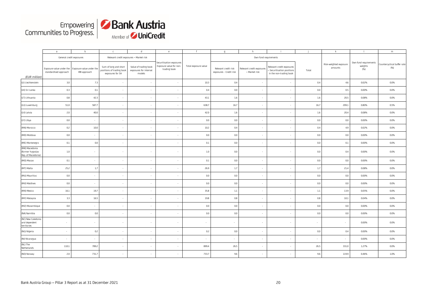

|                                                          | $\overline{a}$                                                             | $\mathfrak b$            | $\mathsf{C}$                                                           | $\mathsf{d}$                                              | e                                                                   | $\mathsf{f}$         | $\mathbf{g}$                                    | h                                          |                                                                                    |         | $\mathbf k$                       | - 1                                     | m                                  |
|----------------------------------------------------------|----------------------------------------------------------------------------|--------------------------|------------------------------------------------------------------------|-----------------------------------------------------------|---------------------------------------------------------------------|----------------------|-------------------------------------------------|--------------------------------------------|------------------------------------------------------------------------------------|---------|-----------------------------------|-----------------------------------------|------------------------------------|
|                                                          |                                                                            | General credit exposures |                                                                        | Relevant credit exposures - Market risk                   |                                                                     |                      |                                                 | Own fund requirements                      |                                                                                    |         |                                   |                                         |                                    |
| (EUR million)                                            | Exposure value under the Exposure value under the<br>standardised approach | IRB approach             | Sum of long and short<br>positions of trading book<br>exposures for SA | Value of trading book<br>exposures for internal<br>models | Securitisation exposures<br>Exposure value for non-<br>trading book | Total exposure value | Relevant credit risk<br>exposures - Credit risk | Relevant credit exposures<br>- Market risk | Relevant credit exposures<br>- Securitisation positions<br>in the non-trading book | Total   | Risk-weighted exposure<br>amounts | Own fund requirements<br>weights<br>(%) | Countercyclical buffer rate<br>(%) |
| (LI) Liechtenstein                                       | 3.0                                                                        | 7.3                      |                                                                        | $\sim$                                                    | $\sim$                                                              | 10.3                 | 0.4                                             |                                            | $\sim$                                                                             | 0.4     | 4.6                               | 0.02%                                   | 0.0%                               |
| (LK) Sri Lanka                                           | 0.3                                                                        | 0.1                      |                                                                        | $\sim$                                                    | $\sim$                                                              | 0.4                  | 0.0                                             | $\sim$                                     | $\sim$                                                                             | 0.0     | 0.5                               | 0.00%                                   | 0.0%                               |
| (LT) Lithuania                                           | $0.8\,$                                                                    | 42.3                     |                                                                        | $\sim$                                                    | $\sim$                                                              | 43.1                 | 1.6                                             |                                            | $\sim$                                                                             | 1.6     | 20.5                              | 0.08%                                   | 0.0%                               |
| (LU) Luxemburg                                           | 51.0                                                                       | 587.7                    |                                                                        | $\sim$                                                    | $\sim$                                                              | 638.7                | 16.7                                            |                                            | $\sim$                                                                             | 16.7    | 209.1                             | 0.80%                                   | 0.5%                               |
| (LV) Latvia                                              | 2.0                                                                        | 40.0                     |                                                                        | $\sim$                                                    | $\overline{\phantom{a}}$                                            | 42.0                 | 1.6                                             | $\sim$                                     | $\sim$                                                                             | 1.6     | 20.4                              | 0.08%                                   | 0.0%                               |
| (LY) Libya                                               | 0.0                                                                        | $\sim$                   |                                                                        | $\sim$                                                    | $\sim$                                                              | $0.0\,$              | 0.0                                             |                                            | $\sim$                                                                             | 0.0     | 0.0                               | 0.00%                                   | 0.0%                               |
| (MA) Morocco                                             | 0.2                                                                        | 10.0                     | $\sim$                                                                 | $\sim$                                                    | $\sim$                                                              | 10.2                 | 0.4                                             | $\sim$                                     | $\sim$                                                                             | 0.4     | 4.9                               | 0.02%                                   | 0.0%                               |
| (MD) Moldova                                             | $0.0\,$                                                                    | $\sim$                   |                                                                        | $\sim$                                                    | $\sim$                                                              | $0.0\,$              | 0.0                                             | $\sim$                                     | $\sim$                                                                             | 0.0     | 0.0                               | 0.00%                                   | 0.0%                               |
| (ME) Montenegro                                          | 0.1                                                                        | 0.0                      |                                                                        | $\sim$                                                    | $\sim$                                                              | 0.1                  | 0.0                                             | $\sim$                                     | $\sim$                                                                             | 0.0     | 0.1                               | 0.00%                                   | 0.0%                               |
| (MK) Macedonia<br>(former Yugoslav<br>Rep. of Macedonia) | 1.0                                                                        | $\overline{\phantom{a}}$ | $\sim$                                                                 | $\sim$                                                    | $\sim$                                                              | $1.0\,$              | 0.0                                             | $\sim$                                     | $\sim$                                                                             | 0.0     | 0.4                               | 0.00%                                   | 0.0%                               |
| (MO) Macao                                               | 0.1                                                                        | ×.                       |                                                                        | $\sim$                                                    | $\sim$                                                              | 0.1                  | 0.0                                             |                                            |                                                                                    | 0.0     | 0.0                               | 0.00%                                   | 0.0%                               |
| (MT) Malta                                               | 25.2                                                                       | 1.7                      |                                                                        | $\sim$                                                    | $\sim$                                                              | 26.9                 | 1.7                                             | $\sim$                                     | $\sim$                                                                             | 1.7     | 21.4                              | 0.08%                                   | 0.0%                               |
| (MU) Mauritius                                           | 0.0                                                                        | $\overline{\phantom{a}}$ |                                                                        | $\sim$                                                    | $\sim$                                                              | $0.0\,$              | 0.0                                             |                                            | ٠                                                                                  | 0.0     | 0.0                               | 0.00%                                   | 0.0%                               |
| (MV) Maldives                                            | 0.0                                                                        | ×                        | $\sim$                                                                 | $\sim$                                                    | $\sim$                                                              | 0.0                  | 0.0                                             | $\sim$                                     | $\sim$                                                                             | 0.0     | 0.0                               | 0.00%                                   | 0.0%                               |
| (MX) Mexico                                              | 16.1                                                                       | 19.7                     |                                                                        | $\sim$                                                    | $\sim$                                                              | 35.8                 | $1.1\,$                                         |                                            | $\sim$                                                                             | $1.1\,$ | 13.9                              | 0.05%                                   | 0.0%                               |
| (MY) Malaysia                                            | 3.3                                                                        | 16.5                     | $\sim$                                                                 | $\sim$                                                    | $\overline{\phantom{a}}$                                            | 19.8                 | 0.8                                             | $\sim$                                     | $\sim$                                                                             | 0.8     | 10.1                              | 0.04%                                   | 0.0%                               |
| (MZ) Mozambique                                          | $0.0\,$                                                                    | $\overline{\phantom{a}}$ |                                                                        | $\sim$                                                    | $\overline{\phantom{a}}$                                            | 0.0                  | 0.0                                             |                                            | $\overline{\phantom{a}}$                                                           | 0.0     | 0.0                               | 0.00%                                   | 0.0%                               |
| (NA) Namibia                                             | $0.0\,$                                                                    | 0.0                      |                                                                        | $\sim$                                                    | $\sim$                                                              | $0.0\,$              | 0.0                                             |                                            |                                                                                    | 0.0     | 0.0                               | 0.00%                                   | 0.0%                               |
| (NC) New Caledonia<br>and dependent<br>territories       | $\sim$                                                                     | $\overline{\phantom{a}}$ |                                                                        | $\sim$                                                    | $\overline{\phantom{a}}$                                            | $\sim$               | $\sim$                                          | $\sim$                                     | $\overline{\phantom{a}}$                                                           | $\sim$  | $\sim$                            | 0.00%                                   | 0.0%                               |
| (NG) Nigeria                                             | $\sim$                                                                     | 0.2                      |                                                                        | $\sim$                                                    | $\sim$                                                              | 0.2                  | 0.0                                             |                                            | $\sim$                                                                             | 0.0     | 0.4                               | 0.00%                                   | 0.0%                               |
| (NI) Nicaragua                                           | $\sim$                                                                     | ×.                       | $\sim$                                                                 | $\sim$                                                    | $\overline{\phantom{a}}$                                            | $\sim$               | $\sim$                                          | $\sim$                                     | $\mathcal{L}_{\mathcal{A}}$                                                        | $\sim$  | $\sim$                            | 0.00%                                   | 0.0%                               |
| (NL) The<br>Netherlands                                  | 110.1                                                                      | 789.2                    |                                                                        | $\sim$                                                    | $\sim$                                                              | 899.4                | 26.5                                            |                                            | $\sim$                                                                             | 26.5    | 331.0                             | 1.27%                                   | 0.0%                               |
| (NO) Norway                                              | 2.0                                                                        | 731.7                    |                                                                        | $\sim$                                                    | $\sim$                                                              | 733.7                | 9.6                                             | $\sim$                                     | $\overline{\phantom{a}}$                                                           | 9.6     | 119.9                             | 0.46%                                   | 1.0%                               |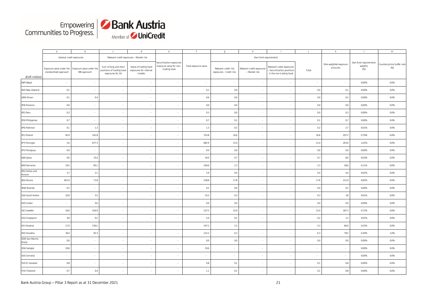

|                            | $\mathsf{a}$                                      | $\mathbf b$                              | $\mathsf{C}$                                                           | d                                                         | e                                                                   | f                    | $\mathfrak{g}$                                  | h                                          |                                                                                    |        | $\mathbf k$                       |                                         | m                                  |
|----------------------------|---------------------------------------------------|------------------------------------------|------------------------------------------------------------------------|-----------------------------------------------------------|---------------------------------------------------------------------|----------------------|-------------------------------------------------|--------------------------------------------|------------------------------------------------------------------------------------|--------|-----------------------------------|-----------------------------------------|------------------------------------|
|                            | General credit exposures                          |                                          | Relevant credit exposures - Market risk                                |                                                           |                                                                     |                      |                                                 | Own fund requirements                      |                                                                                    |        |                                   |                                         |                                    |
| (EUR million)              | Exposure value under the<br>standardised approach | Exposure value under the<br>IRB approach | Sum of long and short<br>positions of trading book<br>exposures for SA | Value of trading book<br>exposures for internal<br>models | Securitisation exposures<br>Exposure value for non-<br>trading book | Total exposure value | Relevant credit risk<br>exposures - Credit risk | Relevant credit exposures<br>- Market risk | Relevant credit exposures<br>- Securitisation positions<br>in the non-trading book | Total  | Risk-weighted exposure<br>amounts | Own fund requirements<br>weights<br>(%) | Countercyclical buffer rate<br>(%) |
| (NP) Nepal                 | $\overline{\phantom{a}}$                          | $\overline{\phantom{a}}$                 |                                                                        | $\sim$                                                    | $\sim$                                                              | $\sim$               | $\overline{\phantom{a}}$                        |                                            | $\hat{\phantom{a}}$                                                                | $\sim$ |                                   | 0.00%                                   | 0.0%                               |
| (NZ) New Zealand           | 0.1                                               |                                          |                                                                        |                                                           |                                                                     | 0.1                  | $0.0\,$                                         |                                            |                                                                                    | 0.0    | 0.1                               | 0.00%                                   | 0.0%                               |
| (OM) Oman                  | 0.1                                               | 0.4                                      | ٠                                                                      | $\sim$                                                    | $\overline{\phantom{a}}$                                            | 0.6                  | 0.0                                             |                                            | $\overline{\phantom{a}}$                                                           | 0.0    | 0.5                               | 0.00%                                   | 0.0%                               |
| (PA) Panama                | $0.0\,$                                           | $\overline{\phantom{a}}$                 | ÷                                                                      | $\sim$                                                    | $\overline{\phantom{a}}$                                            | 0.0                  | 0.0                                             |                                            |                                                                                    | 0.0    | 0.0                               | 0.00%                                   | 0.0%                               |
| (PE) Peru                  | 0.3                                               | ×                                        | $\mathcal{L}_{\mathcal{A}}$                                            | $\sim$                                                    | $\sim$                                                              | 0.3                  | 0.0                                             |                                            | $\sim$                                                                             | 0.0    | 0.3                               | 0.00%                                   | 0.0%                               |
| (PH) Philippines           | 0.7                                               | $\sim$                                   | $\sim$                                                                 | $\sim$                                                    | $\sim$                                                              | 0.7                  | 0.1                                             |                                            |                                                                                    | 0.1    | 0.7                               | 0.00%                                   | 0.0%                               |
| (PK) Pakistan              | 0.1                                               | 1.3                                      |                                                                        | $\mathbf{r}$                                              | ÷,                                                                  | 1.3                  | 0.2                                             |                                            |                                                                                    | 0.2    | 2.7                               | 0.01%                                   | 0.0%                               |
| (PL) Poland                | 92.0                                              | 241.8                                    | $\overline{\phantom{a}}$                                               | $\sim$                                                    | $\overline{\phantom{a}}$                                            | 333.8                | 16.6                                            |                                            | $\sim$                                                                             | 16.6   | 207.2                             | 0.79%                                   | 0.0%                               |
| (PT) Portugal              | 5.6                                               | 677.3                                    |                                                                        | $\sim$                                                    | $\overline{\phantom{a}}$                                            | 682.9                | 21.0                                            |                                            |                                                                                    | 21.0   | 263.0                             | 1.01%                                   | 0.0%                               |
| (PY) Paraguay              | 0.0                                               | ×                                        |                                                                        |                                                           | $\sim$                                                              | 0.0                  | 0.0                                             |                                            | $\sim$                                                                             | 0.0    | 0.0                               | 0.00%                                   | 0.0%                               |
| (QA) Qatar                 | 0.6                                               | 33.4                                     |                                                                        |                                                           | $\overline{\phantom{a}}$                                            | 34.0                 | 0.7                                             |                                            |                                                                                    | 0.7    | 8.6                               | 0.03%                                   | 0.0%                               |
| (RO) Romania               | 19.5                                              | 85.1                                     | $\overline{\phantom{a}}$                                               | $\sim$                                                    | $\overline{\phantom{a}}$                                            | 104.6                | 2.3                                             |                                            | $\sim$                                                                             | 2.3    | 28.6                              | 0.11%                                   | 0.0%                               |
| (RS) Serbia and<br>Kosovo  | 3.7                                               | 2.1                                      |                                                                        | $\sim$                                                    | $\overline{\phantom{a}}$                                            | 5.9                  | 0.4                                             |                                            |                                                                                    | 0.4    | 4.4                               | 0.02%                                   | 0.0%                               |
| (RU) Russia                | 467.0                                             | 71.8                                     |                                                                        | $\sim$                                                    | $\sim$                                                              | 538.8                | 17.8                                            |                                            | $\sim$                                                                             | 17.8   | 221.9                             | 0.85%                                   | 0.0%                               |
| (RW) Ruanda                | 0.2                                               | ×                                        |                                                                        | $\sim$                                                    | $\sim$                                                              | 0.2                  | 0.0                                             |                                            | $\sim$                                                                             | 0.0    | 0.2                               | 0.00%                                   | 0.0%                               |
| (SA) Saudi Arabia          | 10.9                                              | 3.5                                      | $\overline{\phantom{a}}$                                               | $\sim$                                                    | $\sim$                                                              | 14.3                 | 0.3                                             |                                            | $\sim$                                                                             | 0.3    | 3.8                               | 0.01%                                   | 0.0%                               |
| (SD) Sudan                 |                                                   | 0.0                                      | $\overline{\phantom{a}}$                                               | $\sim$                                                    | $\overline{\phantom{a}}$                                            | 0.0                  | $0.0\,$                                         |                                            | $\sim$                                                                             | 0.0    | 0.0                               | 0.00%                                   | 0.0%                               |
| (SE) Sweden                | 10.6                                              | 526.9                                    | $\sim$                                                                 | $\sim$                                                    | $\sim$                                                              | 537.5                | 15.0                                            |                                            | $\sim$                                                                             | 15.0   | 187.3                             | 0.72%                                   | 0.0%                               |
| (SG) Singapore             | 4.8                                               | 0.2                                      |                                                                        | $\sim$                                                    | $\overline{\phantom{a}}$                                            | 5.0                  | 0.2                                             |                                            | $\sim$                                                                             | 0.2    | $3.1\,$                           | 0.01%                                   | 0.0%                               |
| (SI) Slovenia              | 17.0                                              | 230.1                                    | $\sim$                                                                 | $\sim$                                                    | $\sim$                                                              | 247.1                | 5.3                                             |                                            | $\sim$                                                                             | 5.3    | 66.0                              | 0.25%                                   | 0.0%                               |
| (SK) Slovakia              | 30.0                                              | 92.3                                     |                                                                        | $\sim$                                                    | $\overline{\phantom{a}}$                                            | 122.2                | 6.3                                             |                                            | $\sim$                                                                             | 6.3    | 78.5                              | 0.30%                                   | 1.0%                               |
| (SM) San Marino<br>(Italy) | $0.0\,$                                           | $\overline{\phantom{a}}$                 | $\mathcal{L}_{\mathcal{A}}$                                            | $\sim$                                                    | $\sim$                                                              | 0.0                  | $0.0\,$                                         | $\sim$                                     | $\sim$                                                                             | 0.0    | 0.0                               | 0.00%                                   | 0.0%                               |
| (SN) Senegal               | 19.6                                              | $\overline{\phantom{a}}$                 | $\sim$                                                                 | $\sim$                                                    | $\overline{\phantom{a}}$                                            | 19.6                 | $\sim$                                          | $\sim$                                     | $\sim$                                                                             | $\sim$ | $\sim$                            | 0.00%                                   | 0.0%                               |
| (SO) Somalia               | $\sim$                                            | $\overline{\phantom{a}}$                 | $\sim$                                                                 | $\sim$                                                    | $\sim$                                                              | $\sim$               | $\sim$                                          | $\sim$                                     | $\sim$                                                                             | $\sim$ | $\sim$                            | 0.00%                                   | 0.0%                               |
| (SV) El Salvador           | 0.8                                               | $\sim$                                   | $\sim$                                                                 | $\sim$                                                    | $\sim$                                                              | 0.8                  | 0.1                                             |                                            | $\sim$                                                                             | 0.1    | 0.8                               | 0.00%                                   | 0.0%                               |
| (TH) Thailand              | 0.7                                               | 0.4                                      |                                                                        |                                                           | $\sim$                                                              | $1.1\,$              | $0.1\,$                                         |                                            |                                                                                    | 0.1    | $0.8\,$                           | 0.00%                                   | 0.0%                               |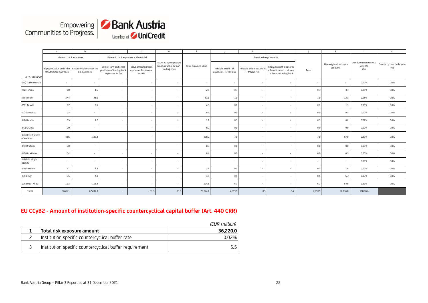

|                                  | $\overline{a}$                                                             | h            | $\Gamma$                                                               | $\mathsf{d}$                                              | $\rho$                                                              |                      | q                                               | h                                          |                                                                                    |         |                                   |                                          | m                                  |
|----------------------------------|----------------------------------------------------------------------------|--------------|------------------------------------------------------------------------|-----------------------------------------------------------|---------------------------------------------------------------------|----------------------|-------------------------------------------------|--------------------------------------------|------------------------------------------------------------------------------------|---------|-----------------------------------|------------------------------------------|------------------------------------|
|                                  | General credit exposures                                                   |              | Relevant credit exposures - Market risk                                |                                                           |                                                                     |                      |                                                 | Own fund requirements                      |                                                                                    |         |                                   |                                          |                                    |
| (EUR million)                    | Exposure value under the Exposure value under the<br>standardised approach | IRB approach | Sum of long and short<br>positions of trading book<br>exposures for SA | Value of trading book<br>exposures for internal<br>models | Securitisation exposures<br>Exposure value for non-<br>trading book | Total exposure value | Relevant credit risk<br>exposures - Credit risk | Relevant credit exposures<br>- Market risk | Relevant credit exposures<br>- Securitisation positions<br>in the non-trading book | Total   | Risk-weighted exposure<br>amounts | Own fund requirements<br>weights<br>(% ) | Countercyclical buffer rate<br>(%) |
| (TM) Turkmenistan                | $\sim$                                                                     | $\sim$       | $\sim$                                                                 | $\sim$                                                    | $\sim$                                                              | $\sim$               | $\sim$                                          |                                            | $\sim$                                                                             | $\sim$  | $\sim$                            | 0.00%                                    | 0.0%                               |
| (TN) Tunisia                     | 1.0                                                                        | 1.5          | $\sim$                                                                 | $\sim$                                                    | $\sim$                                                              | 2.6                  | 0.3                                             | $\sim$                                     | $\sim$                                                                             | 0.3     | 3.3                               | 0.01%                                    | 0.0%                               |
| (TR) Turkey                      | 37.4                                                                       | 25.6         | $\sim$                                                                 | $\sim$                                                    | $\sim$                                                              | 63.1                 | $1.0\,$                                         | $\sim$                                     | $\sim$                                                                             | $1.0\,$ | 12.3                              | 0.05%                                    | 0.0%                               |
| (TW) Taiwan                      | 0.7                                                                        | 3.6          | $\sim$                                                                 | $\sim$                                                    | $\sim$                                                              | 4.3                  | 0.1                                             | $\sim$                                     | $\sim$                                                                             | 0.1     | $1.1\,$                           | 0.00%                                    | 0.0%                               |
| (TZ) Tanzania                    | 0.2                                                                        | $\sim$       | $\sim$                                                                 | $\sim$                                                    | $\sim$                                                              | 0.2                  | 0.0                                             |                                            |                                                                                    | 0.0     | 0.2                               | 0.00%                                    | 0.0%                               |
| (UA) Ukraine                     | 0.5                                                                        | 1.2          | $\sim$                                                                 | $\sim$                                                    | $\sim$                                                              | 1.7                  | 0.3                                             |                                            | ٠                                                                                  | 0.3     | 4.2                               | 0.02%                                    | 0.0%                               |
| (UG) Uganda                      | 0.0                                                                        | $\sim$       | $\sim$                                                                 | $\sim$                                                    | $\sim$                                                              | 0.0                  | 0.0                                             | $\sim$                                     | $\sim$                                                                             | 0.0     | 0.0                               | 0.00%                                    | 0.0%                               |
| (US) United States<br>of America | 43.6                                                                       | 186.4        | $\sim$                                                                 | $\sim$                                                    | $\sim$                                                              | 230.0                | 7.0                                             |                                            | $\sim$                                                                             | 7.0     | 87.0                              | 0.33%                                    | 0.0%                               |
| (UY) Uruguay                     | 0.0                                                                        | $\sim$       | $\sim$                                                                 | $\sim$                                                    | $\sim$                                                              | 0.0                  | 0.0                                             | $\sim$                                     | ٠                                                                                  | 0.0     | 0.0                               | 0.00%                                    | 0.0%                               |
| (UZ) Uzbekistan                  | 0.4                                                                        | $\sim$       | $\sim$                                                                 | $\sim$                                                    | $\sim$                                                              | 0.4                  | 0.0                                             | $\sim$                                     | $\sim$                                                                             | 0.0     | 0.3                               | 0.00%                                    | 0.0%                               |
| (VG) Brit. Virgin<br>Islands     | $\sim$                                                                     | $\sim$       | $\sim$                                                                 | $\sim$                                                    | $\sim$                                                              | $\sim$               | $\sim$                                          |                                            | $\sim$                                                                             | $\sim$  | $\sim$                            | 0.00%                                    | 0.0%                               |
| (VN) Vietnam                     | 2.1                                                                        | 1.3          | $\sim$                                                                 | $\sim$                                                    | $\sim$                                                              | 3.4                  | 0.1                                             | $\sim$                                     | $\sim$                                                                             | 0.1     | 1.8                               | 0.01%                                    | 0.0%                               |
| (XX) Other                       | 0.5                                                                        | 4.0          | $\sim$                                                                 | $\sim$                                                    | $\sim$                                                              | 4.5                  | 0.5                                             | $\sim$                                     | $\sim$                                                                             | 0.5     | 6.3                               | 0.02%                                    | 0.0%                               |
| (ZA) South Africa                | 11.3                                                                       | 113.2        | $\sim$                                                                 | $\sim$                                                    | $\sim$                                                              | 124.5                | 6.7                                             | $\sim$                                     | $\sim$                                                                             | 6.7     | 84.0                              | 0.32%                                    | 0.0%                               |
| Total                            | 9,481.1                                                                    | 67,287.3     | $\sim$                                                                 | 91.9                                                      | 13.8                                                                | 76,874.1             | 2,089.9                                         | 0.5                                        | 0.4                                                                                | 2,090.9 | 26,136.0                          | 100.00%                                  |                                    |

# **EU CCyB2 - Amount of institution-specific countercyclical capital buffer (Art. 440 CRR)**

|                                                         | (EUR million) |
|---------------------------------------------------------|---------------|
| Total risk exposure amount                              | 36.220.0      |
| Institution specific countercyclical buffer rate        | $0.02\%$      |
| Institution specific countercyclical buffer requirement | 55            |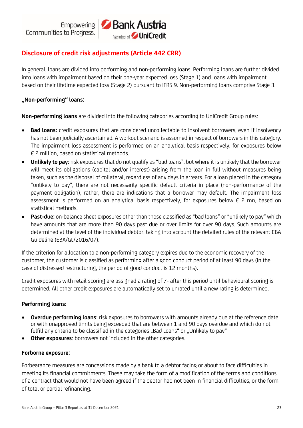# Bank Austria Member of **UniCredit**

# **Disclosure of credit risk adjustments (Article 442 CRR)**

In general, loans are divided into performing and non-performing loans. Performing loans are further divided into loans with impairment based on their one-year expected loss (Stage 1) and loans with impairment based on their lifetime expected loss (Stage 2) pursuant to IFRS 9. Non-performing loans comprise Stage 3.

# **"Non-performing" loans:**

**Non-performing loans** are divided into the following categories according to UniCredit Group rules:

- **Bad loans:** credit exposures that are considered uncollectable to insolvent borrowers, even if insolvency has not been judicially ascertained. A workout scenario is assumed in respect of borrowers in this category. The impairment loss assessment is performed on an analytical basis respectively, for exposures below € 2 million, based on statistical methods.
- **Unlikely to pay**: risk exposures that do not qualify as "bad loans", but where it is unlikely that the borrower will meet its obligations (capital and/or interest) arising from the loan in full without measures being taken, such as the disposal of collateral, regardless of any days in arrears. For a loan placed in the category "unlikely to pay", there are not necessarily specific default criteria in place (non-performance of the payment obligation); rather, there are indications that a borrower may default. The impairment loss assessment is performed on an analytical basis respectively, for exposures below € 2 mn, based on statistical methods.
- **Past-due:** on-balance sheet exposures other than those classified as "bad loans" or "unlikely to pay" which have amounts that are more than 90 days past due or over limits for over 90 days. Such amounts are determined at the level of the individual debtor, taking into account the detailed rules of the relevant EBA Guideline (EBA/GL/2016/07).

If the criterion for allocation to a non-performing category expires due to the economic recovery of the customer, the customer is classified as performing after a good conduct period of at least 90 days (in the case of distressed restructuring, the period of good conduct is 12 months).

Credit exposures with retail scoring are assigned a rating of 7- after this period until behavioural scoring is determined. All other credit exposures are automatically set to unrated until a new rating is determined.

# **Performing loans:**

- **Overdue performing loans**: risk exposures to borrowers with amounts already due at the reference date or with unapproved limits being exceeded that are between 1 and 90 days overdue and which do not fulfill any criteria to be classified in the categories "Bad Loans" or "Unlikely to pay"
- **Other exposures**: borrowers not included in the other categories.

#### **Forborne exposure:**

Forbearance measures are concessions made by a bank to a debtor facing or about to face difficulties in meeting its financial commitments. These may take the form of a modification of the terms and conditions of a contract that would not have been agreed if the debtor had not been in financial difficulties, or the form of total or partial refinancing.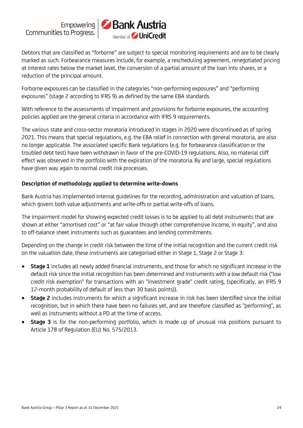

Debtors that are classified as "forborne" are subject to special monitoring requirements and are to be clearly marked as such. Forbearance measures include, for example, a rescheduling agreement, renegotiated pricing at interest rates below the market level, the conversion of a partial amount of the loan into shares, or a reduction of the principal amount.

Forborne exposures can be classified in the categories "non-performing exposures" and "performing exposures" (stage 2 according to IFRS 9) as defined by the same EBA standards.

With reference to the assessments of impairment and provisions for forborne exposures, the accounting policies applied are the general criteria in accordance with IFRS 9 requirements.

The various state and cross-sector moratoria introduced in stages in 2020 were discontinued as of spring 2021. This means that special regulations, e.g. the EBA relief in connection with general moratoria, are also no longer applicable. The associated specific Bank regulations (e.g. for forbearance classification or the troubled debt test) have been withdrawn in favor of the pre-COVID-19 regulations. Also, no material cliff effect was observed in the portfolio with the expiration of the moratoria. By and large, special regulations have given way again to normal credit risk processes.

#### **Description of methodology applied to determine write-downs**

Bank Austria has implemented internal guidelines for the recording, administration and valuation of loans, which govern both value adjustments and write-offs or partial write-offs of loans.

The impairment model for showing expected credit losses is to be applied to all debt instruments that are shown at either "amortised cost" or "at fair value through other comprehensive income, in equity", and also to off-balance sheet instruments such as guarantees and lending commitments.

Depending on the change in credit risk between the time of the initial recognition and the current credit risk on the valuation date, these instruments are categorised either in Stage 1, Stage 2 or Stage 3:

- **Stage 1** includes all newly added financial instruments, and those for which no significant increase in the default risk since the initial recognition has been determined and instruments with a low default risk ("low credit risk exemption" for transactions with an "investment grade" credit rating, (specifically, an IFRS 9 12-month probability of default of less than 30 basis points)).
- **Stage 2** includes instruments for which a significant increase in risk has been identified since the initial recognition, but in which there have been no failures yet, and are therefore classified as "performing", as well as instruments without a PD at the time of access.
- **Stage 3** is for the non-performing portfolio, which is made up of unusual risk positions pursuant to Article 178 of Regulation (EU) No. 575/2013.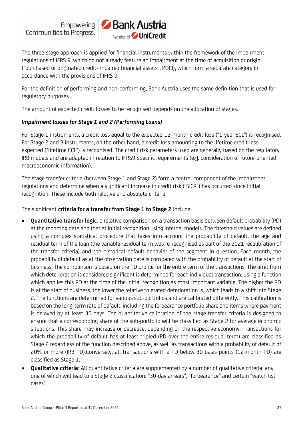

The three-stage approach is applied for financial instruments within the framework of the impairment regulations of IFRS 9, which do not already feature an impairment at the time of acquisition or origin ("purchased or originated credit-impaired financial assets", POCI), which form a separate category in accordance with the provisions of IFRS 9.

For the definition of performing and non-performing, Bank Austria uses the same definition that is used for regulatory purposes.

The amount of expected credit losses to be recognised depends on the allocation of stages.

# *Impairment losses for Stage 1 and 2 (Performing Loans)*

For Stage 1 instruments, a credit loss equal to the expected 12-month credit loss ("1-year ECL") is recognised. For Stage 2 and 3 instruments, on the other hand, a credit loss amounting to the lifetime credit loss expected ("lifetime ECL") is recognised. The credit risk parameters used are generally based on the regulatory IRB models and are adapted in relation to IFRS9-specific requirements (e.g. consideration of future-oriented macroeconomic information).

The stage transfer criteria (between Stage 1 and Stage 2) form a central component of the impairment regulations and determine when a significant increase in credit risk ("SICR") has occurred since initial recognition. These include both relative and absolute criteria.

The significant **criteria for a transfer from Stage 1 to Stage 2** include:

- **Quantitative transfer logic**: a relative comparison on a transaction basis between default probability (PD) at the reporting date and that at initial recognition using internal models. The threshold values are defined using a complex statistical procedure that takes into account the probability of default, the age and residual term of the loan (the variable residual term was re-recognised as part of the 2021 recalibration of the transfer criteria) and the historical default behavior of the segment in question. Each month, the probability of default as at the observation date is compared with the probability of default at the start of business. The comparison is based on the PD profile for the entire term of the transactions. The limit from which deterioration is considered significant is determined for each individual transaction, using a function which applies this PD at the time of the initial recognition as most important variable. The higher the PD is at the start of business, the lower the relative tolerated deterioration is, which leads to a shift into Stage 2. The functions are determined for various sub-portfolios and are calibrated differently. This calibration is based on the long-term rate of default, including the forbearance portfolio share and items where payment is delayed by at least 30 days. The quantitative calibration of the stage transfer criteria is designed to ensure that a corresponding share of the sub-portfolio will be classified as Stage 2 for average economic situations. This share may increase or decrease, depending on the respective economy. Transactions for which the probability of default has at least tripled (PD over the entire residual term) are classified as Stage 2 regardless of the function described above, as well as transactions with a probability of default of 20% or more (IRB PD).Conversely, all transactions with a PD below 30 basis points (12-month PD) are classified as Stage 1.
- **Qualitative criteria**: All quantitative criteria are supplemented by a number of qualitative criteria, any one of which will lead to a Stage 2 classification: "30-day arrears", "forbearance" and certain "watch list cases".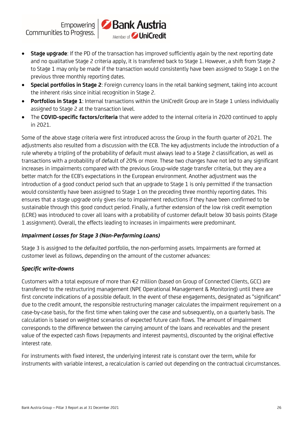

- **Stage upgrade**: If the PD of the transaction has improved sufficiently again by the next reporting date and no qualitative Stage 2 criteria apply, it is transferred back to Stage 1. However, a shift from Stage 2 to Stage 1 may only be made if the transaction would consistently have been assigned to Stage 1 on the previous three monthly reporting dates.
- **Special portfolios in Stage 2**: Foreign currency loans in the retail banking segment, taking into account the inherent risks since initial recognition in Stage 2.
- **Portfolios in Stage 1**: Internal transactions within the UniCredit Group are in Stage 1 unless individually assigned to Stage 2 at the transaction level.
- The **COVID-specific factors/criteria** that were added to the internal criteria in 2020 continued to apply in 2021.

Some of the above stage criteria were first introduced across the Group in the fourth quarter of 2021. The adjustments also resulted from a discussion with the ECB. The key adjustments include the introduction of a rule whereby a tripling of the probability of default must always lead to a Stage 2 classification, as well as transactions with a probability of default of 20% or more. These two changes have not led to any significant increases in impairments compared with the previous Group-wide stage transfer criteria, but they are a better match for the ECB's expectations in the European environment. Another adjustment was the introduction of a good conduct period such that an upgrade to Stage 1 is only permitted if the transaction would consistently have been assigned to Stage 1 on the preceding three monthly reporting dates. This ensures that a stage upgrade only gives rise to impairment reductions if they have been confirmed to be sustainable through this good conduct period. Finally, a further extension of the low risk credit exemption (LCRE) was introduced to cover all loans with a probability of customer default below 30 basis points (Stage 1 assignment). Overall, the effects leading to increases in impairments were predominant.

# *Impairment Losses for Stage 3 (Non-Performing Loans)*

Stage 3 is assigned to the defaulted portfolio, the non-performing assets. Impairments are formed at customer level as follows, depending on the amount of the customer advances:

# *Specific write-downs*

Customers with a total exposure of more than €2 million (based on Group of Connected Clients, GCC) are transferred to the restructuring management (NPE Operational Management & Monitoring) until there are first concrete indications of a possible default. In the event of these engagements, designated as "significant" due to the credit amount, the responsible restructuring manager calculates the impairment requirement on a case-by-case basis, for the first time when taking over the case and subsequently, on a quarterly basis. The calculation is based on weighted scenarios of expected future cash flows. The amount of impairment corresponds to the difference between the carrying amount of the loans and receivables and the present value of the expected cash flows (repayments and interest payments), discounted by the original effective interest rate.

For instruments with fixed interest, the underlying interest rate is constant over the term, while for instruments with variable interest, a recalculation is carried out depending on the contractual circumstances.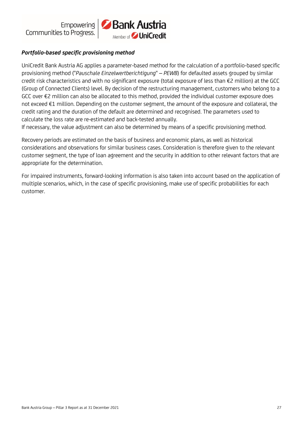

# *Portfolio-based specific provisioning method*

UniCredit Bank Austria AG applies a parameter-based method for the calculation of a portfolio-based specific provisioning method ("*Pauschale Einzelwertberichtigung*" – *PEWB*) for defaulted assets grouped by similar credit risk characteristics and with no significant exposure (total exposure of less than €2 million) at the GCC (Group of Connected Clients) level. By decision of the restructuring management, customers who belong to a GCC over €2 million can also be allocated to this method, provided the individual customer exposure does not exceed €1 million. Depending on the customer segment, the amount of the exposure and collateral, the credit rating and the duration of the default are determined and recognised. The parameters used to calculate the loss rate are re-estimated and back-tested annually.

If necessary, the value adjustment can also be determined by means of a specific provisioning method.

Recovery periods are estimated on the basis of business and economic plans, as well as historical considerations and observations for similar business cases. Consideration is therefore given to the relevant customer segment, the type of loan agreement and the security in addition to other relevant factors that are appropriate for the determination.

For impaired instruments, forward-looking information is also taken into account based on the application of multiple scenarios, which, in the case of specific provisioning, make use of specific probabilities for each customer.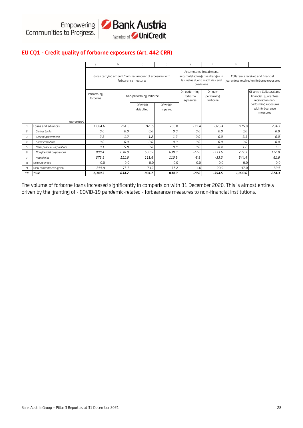

## **EU CQ1 - Credit quality of forborne exposures (Art. 442 CRR)**

|                |                              | a                      | b                                                      | c                       | d                    | e                                                                                                             |                                   | h       |                                                                                 |
|----------------|------------------------------|------------------------|--------------------------------------------------------|-------------------------|----------------------|---------------------------------------------------------------------------------------------------------------|-----------------------------------|---------|---------------------------------------------------------------------------------|
|                |                              |                        | Gross carrying amount/nominal amount of exposures with | forbearance measures    |                      | Accumulated impairment,<br>accumulated negative changes in<br>fair value due to credit risk and<br>provisions |                                   |         | Collaterals received and financial<br>quarantees received on forborne exposures |
|                |                              | Performing<br>forborne |                                                        | Non-performing forborne |                      | On performing<br>forborne<br>exposures                                                                        | On non-<br>performing<br>forborne |         | Of which: Collateral and<br>financial guarantees<br>received on non-            |
|                |                              |                        |                                                        | Of which<br>defaulted   | Of which<br>impaired |                                                                                                               |                                   |         | performing exposures<br>with forbearance<br>measures                            |
|                | (EUR million)                |                        |                                                        |                         |                      |                                                                                                               |                                   |         |                                                                                 |
| $\mathbf{1}$   | Loans and advances           | 1,084.6                | 761.5                                                  | 761.5                   | 760.8                | $-31.4$                                                                                                       | $-375.4$                          | 975.0   | 234.7                                                                           |
| $\overline{c}$ | Central banks                | 0.0                    | 0.0                                                    | 0.0                     | 0.0                  | 0.0                                                                                                           | 0.0                               | 0.0     | 0.0                                                                             |
| 3              | General governments          | 2.2                    | 1.2                                                    | 1.2                     | 1.2                  | 0.0                                                                                                           | 0.0                               | 2.1     | 0.0                                                                             |
| $\overline{4}$ | Credit institutions          | 0.0                    | 0.0                                                    | 0.0                     | 0.0                  | 0.0                                                                                                           | 0.0                               | 0.0     | 0.0                                                                             |
| 5              | Other financial corporations | 0.1                    | 9.8                                                    | 9.8                     | 9.8                  | 0.0                                                                                                           | $-8.4$                            | 1.2     | 1.1                                                                             |
| 6              | Non-financial corporations   | 808.4                  | 638.9                                                  | 638.9                   | 638.9                | $-22.6$                                                                                                       | $-333.6$                          | 727.3   | 172.0                                                                           |
| $\overline{7}$ | Households                   | 273.9                  | 111.6                                                  | 111.6                   | 110.9                | $-8.8$                                                                                                        | $-33.3$                           | 244.4   | 61.6                                                                            |
| 8              | Debt Securities              | 0.0                    | 0.0                                                    | 0.0                     | 0.0                  | 0.0                                                                                                           | 0.0                               | 0.0     | 0.0                                                                             |
| 9              | Loan commitments given       | 255.9                  | 73.2                                                   | 73.2                    | 73.2                 | 1.6                                                                                                           | 20.9                              | 47.0    | 39.6                                                                            |
| 10             | <b>Total</b>                 | 1,340.5                | 834.7                                                  | 834.7                   | 834.0                | $-29.8$                                                                                                       | $-354.5$                          | 1,022.0 | 274.3                                                                           |

The volume of forborne loans increased significantly in comparision with 31 December 2020. This is almost entirely driven by the granting of - COVID-19 pandemic-related - forbearance measures to non-financial institutions.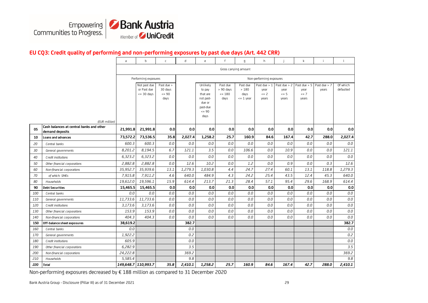

#### **EU CQ3: Credit quality of performing and non-performing exposures by past due days (Art. 442 CRR)**

|     |                                                             | a                   | b                                                   | $\mathsf{C}$                            | d       | e                                                                                   | f                                          | g                                      | h                                        |                                             | $\mathsf{k}$                                | j.                    | $\mathbf{I}$          |
|-----|-------------------------------------------------------------|---------------------|-----------------------------------------------------|-----------------------------------------|---------|-------------------------------------------------------------------------------------|--------------------------------------------|----------------------------------------|------------------------------------------|---------------------------------------------|---------------------------------------------|-----------------------|-----------------------|
|     |                                                             |                     |                                                     |                                         |         |                                                                                     | Gross carrying amount                      |                                        |                                          |                                             |                                             |                       |                       |
|     |                                                             |                     | Performing exposures                                |                                         |         |                                                                                     |                                            |                                        | Non-performing exposures                 |                                             |                                             |                       |                       |
|     | (EUR million)                                               |                     | Not past due<br>or Past due<br>$\epsilon$ = 30 days | Past due ><br>30 days<br>$= 90$<br>days |         | Unlikely<br>to pay<br>that are<br>not past-<br>due or<br>past-due<br>$= 90$<br>days | Past due<br>$> 90$ days<br>$= 180$<br>days | Past due<br>>180<br>days<br>$= 1$ year | Past due $> 1$<br>year<br>$= 2$<br>vears | Past due $> 2$<br>year<br>$\leq$ 5<br>years | Past due $> 5$<br>year<br>$\leq$ 7<br>vears | Past due > 7<br>years | Of which<br>defaulted |
| 05  | Cash balances at central banks and other<br>demand deposits | 21,991.8            | 21,991.8                                            | 0.0                                     | 0.0     | 0.0                                                                                 | 0.0                                        | 0.0                                    | 0.0                                      | 0.0                                         | 0.0                                         | 0.0                   | 0.0                   |
| 10  | Loans and advances                                          | 73,572.2            | 73,536.5                                            | 35.8                                    | 2,027.4 | 1,258.2                                                                             | 25.7                                       | 160.9                                  | 84.6                                     | 167.4                                       | 42.7                                        | 288.0                 | 2,027.4               |
| 20  | Central banks                                               | 600.3               | 600.3                                               | 0.0                                     | 0.0     | 0.0                                                                                 | 0.0                                        | 0.0                                    | 0.0                                      | 0.0                                         | 0.0                                         | 0.0                   | 0.0                   |
| 30  | General governments                                         | 8,201.2             | 8,194.5                                             | 6.7                                     | 121.1   | 3.5                                                                                 | 0.0                                        | 106.6                                  | 0.0                                      | 10.9                                        | 0.0                                         | 0.0                   | 121.1                 |
| 40  | Credit institutions                                         | 6,323.2             | 6,323.2                                             | 0.0                                     | 0.0     | 0.0                                                                                 | 0.0                                        | 0.0                                    | 0.0                                      | 0.0                                         | 0.0                                         | 0.0                   | 0.0                   |
| 50  | Other financial corporations                                | 2,882.8             | 2,882.8                                             | 0.0                                     | 12.6    | 10.2                                                                                | 0.0                                        | 1.2                                    | 0.0                                      | 0.9                                         | 0.0                                         | 0.3                   | 12.6                  |
| 60  | Non-financial corporations                                  | 35,952.7            | 35,939.6                                            | 13.1                                    | 1,279.3 | 1,030.8                                                                             | 4.4                                        | 24.7                                   | 27.4                                     | 60.1                                        | 13.1                                        | 118.8                 | 1,279.3               |
| 70  | of which: SMEs                                              | 7,915.8             | 7,911.2                                             | 4.6                                     | 640.0   | 484.9                                                                               | 4.3                                        | 24.2                                   | 25.4                                     | 43.5                                        | 12.4                                        | 45.3                  | 640.0                 |
| 80  | Households                                                  | 19,612.0            | 19,596.1                                            | 15.9                                    | 614.4   | 213.7                                                                               | 21.3                                       | 28.4                                   | 57.1                                     | 95.4                                        | 29.6                                        | 168.9                 | 614.4                 |
| 90  | <b>Debt Securities</b>                                      | 15,465.5            | 15,465.5                                            | 0.0                                     | 0.0     | 0.0                                                                                 | 0.0                                        | 0.0                                    | 0.0                                      | 0.0                                         | 0.0                                         | 0.0                   | 0.0                   |
| 100 | Central banks                                               | 0.0                 | 0.0                                                 | 0.0                                     | 0.0     | 0.0                                                                                 | 0.0                                        | 0.0                                    | 0.0                                      | 0.0                                         | 0.0                                         | 0.0                   | $0.0\,$               |
| 110 | General governments                                         | 11,733.6            | 11,733.6                                            | 0.0                                     | 0.0     | 0.0                                                                                 | 0.0                                        | 0.0                                    | 0.0                                      | 0.0                                         | 0.0                                         | 0.0                   | 0.0                   |
| 120 | Credit institutions                                         | 3,173.6             | 3,173.6                                             | 0.0                                     | 0.0     | 0.0                                                                                 | 0.0                                        | $0.0\,$                                | 0.0                                      | 0.0                                         | 0.0                                         | 0.0                   | 0.0                   |
| 130 | Other financial corporations                                | 153.9               | 153.9                                               | 0.0                                     | 0.0     | 0.0                                                                                 | 0.0                                        | 0.0                                    | 0.0                                      | 0.0                                         | 0.0                                         | 0.0                   | $0.0\,$               |
| 140 | Non-financial corporations                                  | 404.3               | 404.3                                               | 0.0                                     | 0.0     | 0.0                                                                                 | 0.0                                        | 0.0                                    | 0.0                                      | 0.0                                         | 0.0                                         | 0.0                   | 0.0                   |
| 150 | Off-balance sheet exposures                                 | 38,619.2            |                                                     |                                         | 382.7   |                                                                                     |                                            |                                        |                                          |                                             |                                             |                       | 382.7                 |
| 160 | Central banks                                               | 0.0                 |                                                     |                                         | 0.0     |                                                                                     |                                            |                                        |                                          |                                             |                                             |                       | $0.0\,$               |
| 170 | General governments                                         | 1.922.2             |                                                     |                                         | 0.2     |                                                                                     |                                            |                                        |                                          |                                             |                                             |                       | 0.2                   |
| 180 | Credit institutions                                         | 605.9               |                                                     |                                         | 0.0     |                                                                                     |                                            |                                        |                                          |                                             |                                             |                       | 0.0                   |
| 190 | Other financial corporations                                | 6,282.9             |                                                     |                                         | 3.5     |                                                                                     |                                            |                                        |                                          |                                             |                                             |                       | 3.5                   |
| 200 | Non-financial corporations                                  | 24,222.8            |                                                     |                                         | 369.2   |                                                                                     |                                            |                                        |                                          |                                             |                                             |                       | 369.2                 |
| 210 | Households                                                  | 5,585.4             |                                                     |                                         | 9.8     |                                                                                     |                                            |                                        |                                          |                                             |                                             |                       | 9.8                   |
| 220 | <b>Total</b>                                                | 149,648.7 110,993.7 |                                                     | 35.8                                    | 2,410.1 | 1,258.2                                                                             | 25.7                                       | 160.9                                  | 84.6                                     | 167.4                                       | 42.7                                        | 288.0                 | 2,410.1               |

Non-performing exposures decreased by € 188 million as compared to 31 December 2020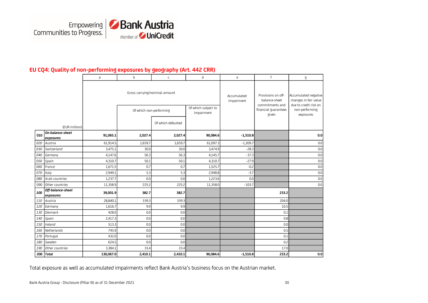

## **EU CQ4: Quality of non-performing exposures by geography (Art. 442 CRR)**

|     |                                | a         | b                             | $\mathsf C$             | d                                 | e                         | f                                                      | g                                                                      |
|-----|--------------------------------|-----------|-------------------------------|-------------------------|-----------------------------------|---------------------------|--------------------------------------------------------|------------------------------------------------------------------------|
|     |                                |           | Gross carrying/nominal amount |                         |                                   | Accumulated<br>impairment | Provisions on off-<br>balance-sheet<br>commitments and | Accumulated negative<br>changes in fair value<br>due to credit risk on |
|     |                                |           |                               | Of which non-performing | Of which subject to<br>impairment |                           | financial guarantees<br>given                          | non-performing<br>exposures                                            |
|     | (EUR million)                  |           |                               | Of which defaulted      |                                   |                           |                                                        |                                                                        |
| 010 | On-balance-sheet<br>exposures  | 91,065.1  | 2,027.4                       | 2,027.4                 | 90,084.6                          | $-1,510.8$                |                                                        | 0.0                                                                    |
| 020 | Austria                        | 61,914.5  | 1,659.7                       | 1,659.7                 | 61,097.3                          | $-1,309.7$                |                                                        | 0.0                                                                    |
| 030 | Switzerland                    | 3,475.1   | 30.0                          | 30.0                    | 3,474.9                           | $-28.3$                   |                                                        | 0.0                                                                    |
| 040 | Germany                        | 4,147.6   | 56.3                          | 56.3                    | 4,145.7                           | $-37.3$                   |                                                        | 0.0                                                                    |
| 050 | Spain                          | 4,310.7   | 50.1                          | 50.1                    | 4,310.7                           | $-27.9$                   |                                                        | 0.0                                                                    |
| 060 | France                         | 1,671.5   | 0.7                           | 0.7                     | 1,525.7                           | $-0.2$                    |                                                        | 0.0                                                                    |
| 070 | Italy                          | 2,949.1   | 5.3                           | 5.3                     | 2,948.8                           | $-3.7$                    |                                                        | 0.0                                                                    |
| 080 | Arab countries                 | 1,237.7   | 0.0                           | 0.0                     | 1,223.6                           | 0.0                       |                                                        | 0.0                                                                    |
| 090 | Other countries                | 11,358.9  | 225.2                         | 225.2                   | 11,358.0                          | $-103.7$                  |                                                        | 0.0                                                                    |
| 100 | Off-balance-sheet<br>exposures | 39,001.9  | 382.7                         | 382.7                   |                                   |                           | 233.2                                                  |                                                                        |
| 110 | Austria                        | 28,840.1  | 339.3                         | 339.3                   |                                   |                           | 204.0                                                  |                                                                        |
| 120 | Germany                        | 1,616.7   | 9.9                           | 9.9                     |                                   |                           | 10.5                                                   |                                                                        |
| 130 | Denmark                        | 428.0     | 0.0                           | 0.0                     |                                   |                           | 0.1                                                    |                                                                        |
| 140 | Spain                          | 2,417.3   | 0.0                           | 0.0                     |                                   |                           | 0.8                                                    |                                                                        |
| 150 | Ireland                        | 513.3     | 0.0                           | 0.0                     |                                   |                           | 0.0                                                    |                                                                        |
| 160 | Netherlands                    | 745.9     | 0.0                           | 0.0                     |                                   |                           | 0.5                                                    |                                                                        |
| 170 | Portugal                       | 432.0     | 0.0                           | 0.0                     |                                   |                           | 0.1                                                    |                                                                        |
| 180 | Sweden                         | 624.5     | 0.0                           | 0.0                     |                                   |                           | 0.2                                                    |                                                                        |
| 190 | Other countries                | 3,384.1   | 33.4                          | 33.4                    |                                   |                           | 17.0                                                   |                                                                        |
| 200 | <b>Total</b>                   | 130,067.0 | 2,410.1                       | 2,410.1                 | 90,084.6                          | $-1,510.8$                | 233.2                                                  | 0.0                                                                    |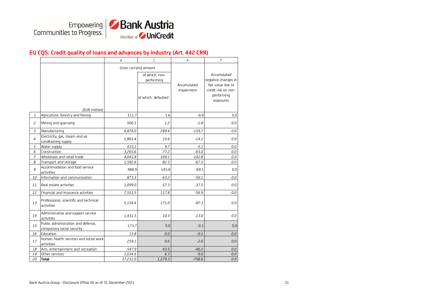

#### **EU CQ5: Credit quality of loans and advances by industry (Art. 442 CRR)**

|                |                                                                  | a                     | $\mathsf{C}$                 | e                         | f                                                                   |
|----------------|------------------------------------------------------------------|-----------------------|------------------------------|---------------------------|---------------------------------------------------------------------|
|                |                                                                  | Gross carrying amount |                              |                           |                                                                     |
|                |                                                                  |                       | of which: non-<br>performing |                           | Accumulated<br>negative changes in                                  |
|                | (EUR million)                                                    |                       | of which: defaulted          | Accumulated<br>impairment | fair value due to<br>credit risk on non-<br>performing<br>exposures |
| 1              | Agriculture, forestry and fishing                                | 111.7                 | 1.6                          | $-0.9$                    | 0.0                                                                 |
| $\overline{c}$ | Mining and quarrying                                             | 500.1                 | 1.2                          | $-1.8$                    | 0.0                                                                 |
| $\overline{3}$ | Manufacturing                                                    | 6,876.0               | 289.4                        | $-159.7$                  | 0.0                                                                 |
| $\overline{4}$ | Electricity, gas, steam and air<br>conditioning supply           | 1,801.4               | 33.6                         | $-14.1$                   | 0.0                                                                 |
| 5              | Water supply                                                     | 415.1                 | 9.7                          | $-5.1$                    | 0.0                                                                 |
| 6              | Construction                                                     | 3,265.6               | 77.2                         | $-65.0$                   | 0.0                                                                 |
| 7              | Wholesale and retail trade                                       | 4,041.8               | 169.1                        | $-102.8$                  | 0.0                                                                 |
| 8              | Transport and storage                                            | 1,592.6               | 82.3                         | $-67.5$                   | 0.0                                                                 |
| 9              | Accommodation and food service<br>activities                     | 488.9                 | 145.0                        | $-69.1$                   | 0.0                                                                 |
| 10             | Information and communication                                    | 873.3                 | 63.2                         | $-50.1$                   | 0.0                                                                 |
| 11             | Real estate activities                                           | 1,099.0               | 57.3                         | $-37.5$                   | 0.0                                                                 |
| 12             | Financial and insurance actvities                                | 7,551.5               | 117.8                        | $-56.9$                   | 0.0                                                                 |
| 13             | Professional, scientific and technical<br>activities             | 5,154.4               | 171.0                        | $-97.3$                   | 0.0                                                                 |
| 14             | Administrative and support service<br>activities                 | 1,431.5               | 10.3                         | $-13.0$                   | 0.0                                                                 |
| 15             | Public administration and defense,<br>compulsory social security | 173.7                 | 0.0                          | $-0.1$                    | 0.0                                                                 |
| 16             | Education                                                        | 13.8                  | 0.0                          | $-0.1$                    | 0.0                                                                 |
| 17             | Human health services and social work<br>activities              | 259.1                 | 0.6                          | -2.6                      | 0.0                                                                 |
| 18             | Arts, entertainment and recreation                               | 547.9                 | 43.5                         | $-46.2$                   | 0.0                                                                 |
| 19             | Other services                                                   | 1,034.6               | 6.3                          | $-9.0$                    | 0.0                                                                 |
| 20             | <b>Total</b>                                                     | 37,232.0              | 1,279.3                      | $-798.6$                  | 0.0                                                                 |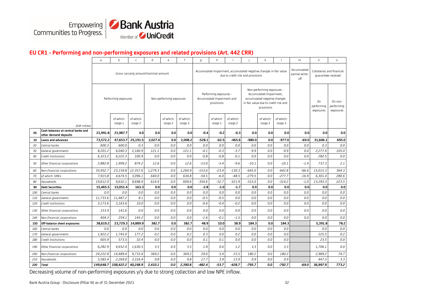

#### **EU CR1 - Performing and non-performing exposures and related provisions (Art. 442 CRR)**

|     |                                                             | $\mathsf{a}$                         | $\mathbf b$          | $\mathsf{C}$         | d       | e                        | f                    | g        | h                                                                  |                      |          | k                                                                                                                                               |                      | m       | n                             | $\Omega$                                         |
|-----|-------------------------------------------------------------|--------------------------------------|----------------------|----------------------|---------|--------------------------|----------------------|----------|--------------------------------------------------------------------|----------------------|----------|-------------------------------------------------------------------------------------------------------------------------------------------------|----------------------|---------|-------------------------------|--------------------------------------------------|
|     |                                                             | Gross carrying amount/nominal amount |                      |                      |         |                          |                      |          |                                                                    |                      |          | Accumulated<br>Accumulated impairment, accumulated negative changes in fair value<br>partial write-<br>due to credit risk and provisions<br>off |                      |         |                               | Collaterals and financial<br>quarantees received |
|     |                                                             |                                      | Performing exposures |                      |         | Non-performing exposures |                      |          | Performing exposures -<br>Accumulated impairment and<br>provisions |                      |          | Non-performing exposures -<br>Accumulated impairment,<br>accumulated negative changes<br>in fair value due to credit risk and<br>provisions     |                      |         | On<br>performing<br>exposures | On non-<br>performing<br>exposures               |
|     | (EUR million)                                               |                                      | of which:<br>stage 1 | of which:<br>stage 2 |         | of which:<br>stage 2     | of which:<br>stage 3 |          | of which:<br>stage 1                                               | of which:<br>stage 2 |          | of which:<br>stage 2                                                                                                                            | of which:<br>stage 3 |         |                               |                                                  |
| 05  | Cash balances at central banks and<br>other demand deposits | 21,991.8                             | 21,987.7             | 4.0                  | 0.0     | 0.0                      | 0.0                  | $-0.4$   | -0.2                                                               | $-0.3$               | 0.0      | 0.0                                                                                                                                             | 0.0                  | 0.0     | 0.0                           | 0.0                                              |
| 10  | Loans and advances                                          | 73,572.2                             | 47,653.7             | 25,191.5             | 2,027.4 | 0.0                      | 2,008.2              | -528.1   | $-62.5$                                                            | $-465.6$             | -980.0   | 0.0                                                                                                                                             | $-977.0$             | -69.0   | 31,606.1                      | 695.0                                            |
| 20  | Central banks                                               | 600.3                                | 600.0                | 0.3                  | 0.0     | 0.0                      | 0.0                  | 0.0      | 0.0                                                                | 0.0                  | 0.0      | 0.0                                                                                                                                             | 0.0                  | 0.0     | 0.3                           | 0.0                                              |
| 30  | General governments                                         | 8,201.2                              | 6,040.3              | 2,160.9              | 121.1   | 0.0                      | 121.1                | $-4.1$   | $-0.3$                                                             | $-3.7$               | -9.9     | 0.0                                                                                                                                             | -9.9                 | 0.0     | 2,277.4                       | 105.0                                            |
| 40  | Credit institutions                                         | 6,323.2                              | 6,222.3              | 100.9                | 0.0     | 0.0                      | 0.0                  | $-0.8$   | $-0.8$                                                             | $-0.1$               | 0.0      | 0.0                                                                                                                                             | 0.0                  | 0.0     | 282.5                         | 0.0                                              |
| 50  | Other financial corporations                                | 2,882.8                              | 1,999.2              | 874.2                | 12.6    | 0.0                      | 12.6                 | $-15.0$  | $-5.4$                                                             | $-9.6$               | $-10.1$  | 0.0                                                                                                                                             | $-10.1$              | $-1.4$  | 737.3                         | 2.1                                              |
| 60  | Non-financial corporations                                  | 35,952.7                             | 23,159.8             | 12,357.0             | 1,279.3 | 0.0                      | 1,264.9              | $-153.6$ | $-23.4$                                                            | $-130.3$             | $-645.0$ | 0.0                                                                                                                                             | $-642.8$             | $-66.6$ | 15,015.3                      | 364.3                                            |
| 70  | of which: SMEs                                              | 7,915.8                              | 4,674.5              | 3,096.1              | 640.0   | 0.0                      | 634.8                | $-54.5$  | $-6.0$                                                             | $-48.5$              | $-279.5$ | 0.0                                                                                                                                             | $-277.7$             | $-16.9$ | 6,301.4                       | 280.6                                            |
| 80  | Households                                                  | 19,612.0                             | 9,632.1              | 9,698.4              | 614.4   | 0.0                      | 609.6                | $-354.6$ | $-32.7$                                                            | $-321.9$             | $-315.0$ | 0.0                                                                                                                                             | $-314.2$             | $-1.0$  | 13,293.3                      | 223.5                                            |
| 90  | <b>Debt Securities</b>                                      | 15,465.5                             | 15,051.4             | 163.3                | 0.0     | 0.0                      | 0.0                  | $-2.8$   | $-1.0$                                                             | $-1.7$               | 0.0      | 0.0                                                                                                                                             | 0.0                  | 0.0     | 0.0                           | 0.0                                              |
| 100 | Central banks                                               | 0.0                                  | 0.0                  | 0.0                  | 0.0     | 0.0                      | 0.0                  | 0.0      | 0.0                                                                | 0.0                  | 0.0      | $0.0\,$                                                                                                                                         | 0.0                  | 0.0     | 0.0                           | 0.0                                              |
| 110 | General governments                                         | 11,733.6                             | 11,487.2             | 8.1                  | 0.0     | 0.0                      | 0.0                  | $-0.5$   | $-0.5$                                                             | 0.0                  | 0.0      | 0.0                                                                                                                                             | 0.0                  | 0.0     | 0.0                           | 0.0                                              |
| 120 | Credit institutions                                         | 3,173.6                              | 3,163.6              | 10.0                 | 0.0     | 0.0                      | 0.0                  | $-0.6$   | $-0.4$                                                             | $-0.2$               | 0.0      | 0.0                                                                                                                                             | 0.0                  | 0.0     | 0.0                           | 0.0                                              |
| 130 | Other financial corporations                                | 153.9                                | 141.6                | 0.0                  | 0.0     | 0.0                      | 0.0                  | 0.0      | 0.0                                                                | 0.0                  | 0.0      | 0.0                                                                                                                                             | 0.0                  | 0.0     | 0.0                           | 0.0                                              |
| 140 | Non-financial corporations                                  | 404.3                                | 259.1                | 145.2                | 0.0     | 0.0                      | 0.0                  | $-1.6$   | $-0.1$                                                             | $-1.5$               | 0.0      | 0.0                                                                                                                                             | 0.0                  | 0.0     | 0.0                           | 0.0                                              |
| 150 | Off-balance sheet exposures                                 | 38,619.2                             | 23,729.3             | 14,889.9             | 382.7   | 0.0                      | 382.7                | 48.9     | 10.0                                                               | 38.9                 | 184.3    | 0.0                                                                                                                                             | 184.3                |         | 5,391.8                       | 78.2                                             |
| 160 | Central banks                                               | 0.0                                  | 0.0                  | 0.0                  | 0.0     | 0.0                      | 0.0                  | 0.0      | 0.0                                                                | 0.0                  | 0.0      | 0.0                                                                                                                                             | 0.0                  |         | 0.0                           | 0.0                                              |
| 170 | General governments                                         | 1,922.2                              | 1,745.0              | 177.2                | 0.2     | 0.0                      | 0.2                  | 0.3      | 0.0                                                                | 0.2                  | 0.0      | 0.0                                                                                                                                             | 0.0                  |         | 225.5                         | 0.2                                              |
| 180 | Credit institutions                                         | 605.9                                | 573.5                | 32.4                 | 0.0     | 0.0                      | 0.0                  | 0.1      | 0.1                                                                | 0.0                  | 0.0      | 0.0                                                                                                                                             | 0.0                  |         | 23.5                          | 0.0                                              |
| 190 | Other financial corporations                                | 6,282.9                              | 4,652.4              | 1,630.5              | 3.5     | 0.0                      | 3.5                  | 1.8      | 0.6                                                                | 1.2                  | 3.3      | 0.0                                                                                                                                             | 3.3                  |         | 1,706.1                       | 0.0                                              |
| 200 | Non-financial corporations                                  | 24,222.8                             | 14,489.4             | 9,733.4              | 369.2   | 0.0                      | 369.2                | 29.0     | 5.4                                                                | 23.5                 | 180.2    | 0.0                                                                                                                                             | 180.2                |         | 2,989.2                       | 74.7                                             |
| 210 | Households                                                  | 5,585.4                              | 2,269.0              | 3,316.4              | 9.8     | 0.0                      | 9.8                  | 17.7     | 3.9                                                                | 13.9                 | 0.9      | 0.0                                                                                                                                             | 0.9                  |         | 447.5                         | 3.3                                              |
| 220 | <b>Total</b>                                                |                                      | 149,648.7 108,422.2  | 40,248.9             | 2,410.1 | 0.0                      | 2,390.8              | $-482.4$ | $-53.7$                                                            | $-428.7$             | $-795.7$ | 0.0                                                                                                                                             | $-792.7$             | -69.0   | 36,997.9                      | 773.2                                            |

Decreasing volume of non-performing exposures y/y due to strong collection and low NPE inflow.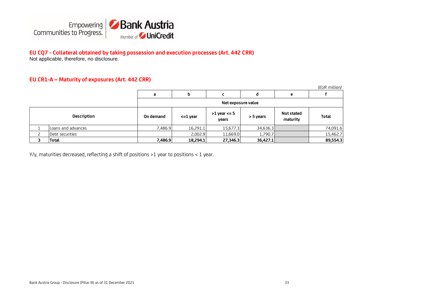

#### **EU CQ7 - Collateral obtained by taking possession and execution processes (Art. 442 CRR)** Not applicable, therefore, no disclosure.

#### **EU CR1-A – Maturity of exposures (Art. 442 CRR)**

|                    |           |               |                           |           |                        | (EUR million) |
|--------------------|-----------|---------------|---------------------------|-----------|------------------------|---------------|
|                    | a         | b             |                           | d         | е                      |               |
|                    |           |               | Net exposure value        |           |                        |               |
| <b>Description</b> | On demand | $\leq$ 1 year | $>1$ year $<= 5$<br>vears | > 5 years | Not stated<br>maturity | <b>Total</b>  |
| Loans and advances | 7,486.9   | 16,291.1      | 15,677.3                  | 34,636.3  |                        | 74,091.6      |
| Debt securities    |           | 2,002.9       | 11,669.0                  | 1,790.7   |                        | 15,462.7      |
| <b>Total</b>       | 7,486.9   | 18,294.1      | 27,346.3                  | 36,427.1  |                        | 89,554.3      |

Y/y, maturities decreased, reflecting a shift of positions >1 year to positions < 1 year.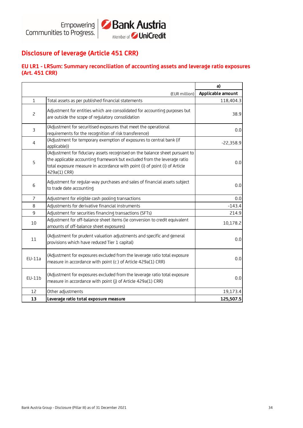

# **Disclosure of leverage (Article 451 CRR)**

#### **EU LR1 - LRSum: Summary reconciliation of accounting assets and leverage ratio exposures (Art. 451 CRR)**

|                |                                                                                                                                                                                                                                                         | a)                |
|----------------|---------------------------------------------------------------------------------------------------------------------------------------------------------------------------------------------------------------------------------------------------------|-------------------|
|                | (EUR million)                                                                                                                                                                                                                                           | Applicable amount |
| 1              | Total assets as per published financial statements                                                                                                                                                                                                      | 118,404.3         |
| $\overline{c}$ | Adjustment for entities which are consolidated for accounting purposes but<br>are outside the scope of regulatory consolidation                                                                                                                         | 38.9              |
| 3              | (Adjustment for securitised exposures that meet the operational<br>requirements for the recognition of risk transference)                                                                                                                               | 0.0               |
| 4              | (Adjustment for temporary exemption of exposures to central bank (if<br>applicable))                                                                                                                                                                    | $-22,358.9$       |
| 5              | (Adjustment for fiduciary assets recognised on the balance sheet pursuant to<br>the applicable accounting framework but excluded from the leverage ratio<br>total exposure measure in accordance with point (i) of point (i) of Article<br>429a(1) CRR) | 0.0               |
| 6              | Adjustment for regular-way purchases and sales of financial assets subject<br>to trade date accounting                                                                                                                                                  | 0.0               |
| 7              | Adjustment for eligible cash pooling transactions                                                                                                                                                                                                       | 0.0               |
| 8              | Adjustments for derivative financial instruments                                                                                                                                                                                                        | $-143.4$          |
| 9              | Adjustment for securities financing transactions (SFTs)                                                                                                                                                                                                 | 214.9             |
| 10             | Adjustment for off-balance sheet items (ie conversion to credit equivalent<br>amounts of off-balance sheet exposures)                                                                                                                                   | 10,178.2          |
| 11             | (Adjustment for prudent valuation adjustments and specific and general<br>provisions which have reduced Tier 1 capital)                                                                                                                                 | 0.0               |
| $EU-11a$       | (Adjustment for exposures excluded from the leverage ratio total exposure<br>measure in accordance with point (c) of Article 429a(1) CRR)                                                                                                               | 0.0               |
| EU-11b         | (Adjustment for exposures excluded from the leverage ratio total exposure<br>measure in accordance with point (j) of Article 429a(1) CRR)                                                                                                               | 0.0               |
| 12             | Other adjustments                                                                                                                                                                                                                                       | 19,173.4          |
| 13             | Leverage ratio total exposure measure                                                                                                                                                                                                                   | 125,507.5         |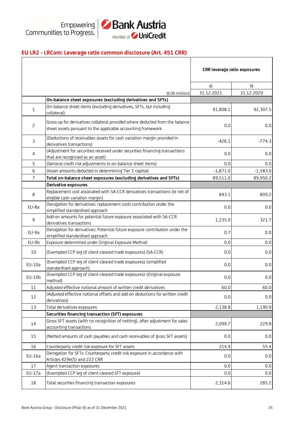

# **EU LR2 - LRCom: Leverage ratio common disclosure (Art. 451 CRR)**

|                |                                                                                                                                              | CRR leverage ratio exposures |            |
|----------------|----------------------------------------------------------------------------------------------------------------------------------------------|------------------------------|------------|
|                |                                                                                                                                              | a)                           | b)         |
|                | (EUR million)                                                                                                                                | 31.12.2021                   | 31.12.2020 |
|                | On-balance sheet exposures (excluding derivatives and SFTs)                                                                                  |                              |            |
| $\mathbf{1}$   | On-balance sheet items (excluding derivatives, SFTs, but including<br>collateral)                                                            | 91,808.1                     | 92,307.5   |
| $\overline{c}$ | Gross-up for derivatives collateral provided where deducted from the balance<br>sheet assets pursuant to the applicable accounting framework | 0.0                          | 0.0        |
| $\mathsf{3}$   | (Deductions of receivables assets for cash variation margin provided in<br>derivatives transactions)                                         | $-426.1$                     | $-774.3$   |
| 4              | (Adjustment for securities received under securities financing transactions<br>that are recognised as an asset)                              | 0.0                          | 0.0        |
| 5              | (General credit risk adjustments to on-balance sheet items)                                                                                  | 0.0                          | 0.0        |
| 6              | (Asset amounts deducted in determining Tier 1 capital)                                                                                       | $-1,871.0$                   | $-1,583.0$ |
| $\overline{7}$ | Total on-balance sheet exposures (excluding derivatives and SFTs)                                                                            | 89,511.0                     | 89,950.2   |
|                | <b>Derivative exposures</b>                                                                                                                  |                              |            |
| 8              | Replacement cost associated with SA-CCR derivatives transactions (ie net of<br>eligible cash variation margin)                               | 843.1                        | 809.2      |
| EU-8a          | Derogation for derivatives: replacement costs contribution under the<br>simplified standardised approach                                     | 0.0                          | 0.0        |
| 9              | Add-on amounts for potential future exposure associated with SA-CCR<br>derivatives transactions                                              | 1,235.0                      | 321.7      |
| EU-9a          | Derogation for derivatives: Potential future exposure contribution under the<br>simplified standardised approach                             | 0.7                          | 0.0        |
| EU-9b          | Exposure determined under Original Exposure Method                                                                                           | 0.0                          | 0.0        |
| 10             | (Exempted CCP leg of client-cleared trade exposures) (SA-CCR)                                                                                | 0.0                          | 0.0        |
| EU-10a         | (Exempted CCP leg of client-cleared trade exposures) (simplified<br>standardised approach)                                                   | 0.0                          | 0.0        |
| EU-10b         | (Exempted CCP leg of client-cleared trade exposures) (Original exposure<br>method)                                                           | 0.0                          | 0.0        |
| 11             | Adjusted effective notional amount of written credit derivatives                                                                             | 60.0                         | 60.0       |
| 12             | (Adjusted effective notional offsets and add-on deductions for written credit<br>derivatives)                                                | 0.0                          | 0.0        |
| 13             | Total derivatives exposures                                                                                                                  | 2,138.8                      | 1,190.9    |
|                | Securities financing transaction (SFT) exposures                                                                                             |                              |            |
| 14             | Gross SFT assets (with no recognition of netting), after adjustment for sales<br>accounting transactions                                     | 2,099.7                      | 229.8      |
| 15             | (Netted amounts of cash payables and cash receivables of gross SFT assets)                                                                   | 0.0                          | 0.0        |
| 16             | Counterparty credit risk exposure for SFT assets                                                                                             | 214.9                        | 55.4       |
| EU-16a         | Derogation for SFTs: Counterparty credit risk exposure in accordance with<br>Articles 429e(5) and 222 CRR                                    | 0.0                          | 0.0        |
| 17             | Agent transaction exposures                                                                                                                  | 0.0                          | 0.0        |
| EU-17a         | (Exempted CCP leg of client-cleared SFT exposure)                                                                                            | 0.0                          | 0.0        |
| 18             | Total securities financing transaction exposures                                                                                             | 2,314.6                      | 285.2      |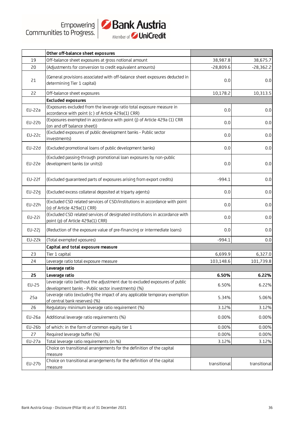

|               | Member of <b>you used cand</b>                                                                                                   |              |              |
|---------------|----------------------------------------------------------------------------------------------------------------------------------|--------------|--------------|
|               | Other off-balance sheet exposures                                                                                                |              |              |
| 19            | Off-balance sheet exposures at gross notional amount                                                                             | 38,987.8     | 38,675.7     |
| 20            | (Adjustments for conversion to credit equivalent amounts)                                                                        | $-28,809.6$  | $-28,362.2$  |
| 21            | (General provisions associated with off-balance sheet exposures deducted in<br>determining Tier 1 capital)                       | 0.0          | 0.0          |
| 22            | Off-balance sheet exposures                                                                                                      | 10,178.2     | 10,313.5     |
|               | <b>Excluded exposures</b>                                                                                                        |              |              |
| EU-22a        | (Exposures excluded from the leverage ratio total exposure measure in<br>accordance with point (c) of Article 429a(1) CRR)       | 0.0          | 0.0          |
| EU-22b        | (Exposures exempted in accordance with point (j) of Article 429a (1) CRR<br>(on and off balance sheet))                          | 0.0          | 0.0          |
| <b>EU-22c</b> | (Excluded exposures of public development banks - Public sector<br>investments)                                                  | 0.0          | 0.0          |
| EU-22d        | (Excluded promotional loans of public development banks)                                                                         | 0.0          | 0.0          |
| EU-22e        | (Excluded passing-through promotional loan exposures by non-public<br>development banks (or units))                              | 0.0          | 0.0          |
| EU-22f        | (Excluded guaranteed parts of exposures arising from export credits)                                                             | $-994.1$     | 0.0          |
| EU-22g        | (Excluded excess collateral deposited at triparty agents)                                                                        | 0.0          | 0.0          |
| EU-22h        | (Excluded CSD related services of CSD/institutions in accordance with point<br>(o) of Article 429a(1) CRR)                       | 0.0          | 0.0          |
| EU-22i        | (Excluded CSD related services of designated institutions in accordance with<br>point (p) of Article 429a(1) CRR)                | 0.0          | 0.0          |
| EU-22j        | (Reduction of the exposure value of pre-financing or intermediate loans)                                                         | 0.0          | 0.0          |
| <b>EU-22k</b> | (Total exempted xposures)                                                                                                        | $-994.1$     | 0.0          |
|               | Capital and total exposure measure                                                                                               |              |              |
| 23            | Tier 1 capital                                                                                                                   | 6,699.9      | 6,327.0      |
| 24            | Leverage ratio total exposure measure                                                                                            | 103,148.6    | 101,739.8    |
|               | Leverage ratio                                                                                                                   |              |              |
| 25            | Leverage ratio                                                                                                                   | 6.50%        | 6.22%        |
| EU-25         | Leverage ratio (without the adjustment due to excluded exposures of public<br>development banks - Public sector investments) (%) | 6.50%        | 6.22%        |
| 25a           | Leverage ratio (excluding the impact of any applicable temporary exemption<br>of central bank reserves) (%)                      | 5.34%        | 5.06%        |
| 26            | Regulatory minimum leverage ratio requirement (%)                                                                                | 3.12%        | 3.12%        |
| EU-26a        | Additional leverage ratio requirements (%)                                                                                       | 0.00%        | 0.00%        |
| EU-26b        | of which: in the form of common equity tier 1                                                                                    | 0.00%        | 0.00%        |
| 27            | Required leverage buffer (%)                                                                                                     | 0.00%        | 0.00%        |
| EU-27a        | Total leverage ratio requirements (in %)                                                                                         | 3.12%        | 3.12%        |
|               | Choice on transitional arrangements for the definition of the capital<br>measure                                                 |              |              |
| EU-27b        | Choice on transitional arrangements for the definition of the capital<br>measure                                                 | transitional | transitional |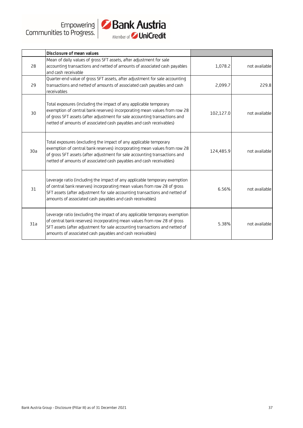

|     | Disclosure of mean values                                                                                                                                                                                                                                                                           |           |               |
|-----|-----------------------------------------------------------------------------------------------------------------------------------------------------------------------------------------------------------------------------------------------------------------------------------------------------|-----------|---------------|
| 28  | Mean of daily values of gross SFT assets, after adjustment for sale<br>accounting transactions and netted of amounts of associated cash payables<br>and cash receivable                                                                                                                             | 1,078.2   | not available |
| 29  | Quarter-end value of gross SFT assets, after adjustment for sale accounting<br>transactions and netted of amounts of associated cash payables and cash<br>receivables                                                                                                                               | 2,099.7   | 229.8         |
| 30  | Total exposures (including the impact of any applicable temporary<br>exemption of central bank reserves) incorporating mean values from row 28<br>of gross SFT assets (after adjustment for sale accounting transactions and<br>netted of amounts of associated cash payables and cash receivables) | 102,127.0 | not available |
| 30a | Total exposures (excluding the impact of any applicable temporary<br>exemption of central bank reserves) incorporating mean values from row 28<br>of gross SFT assets (after adjustment for sale accounting transactions and<br>netted of amounts of associated cash payables and cash receivables) | 124,485.9 | not available |
| 31  | Leverage ratio (including the impact of any applicable temporary exemption<br>of central bank reserves) incorporating mean values from row 28 of gross<br>SFT assets (after adjustment for sale accounting transactions and netted of<br>amounts of associated cash payables and cash receivables)  | 6.56%     | not available |
| 31a | Leverage ratio (excluding the impact of any applicable temporary exemption<br>of central bank reserves) incorporating mean values from row 28 of gross<br>SFT assets (after adjustment for sale accounting transactions and netted of<br>amounts of associated cash payables and cash receivables)  | 5.38%     | not available |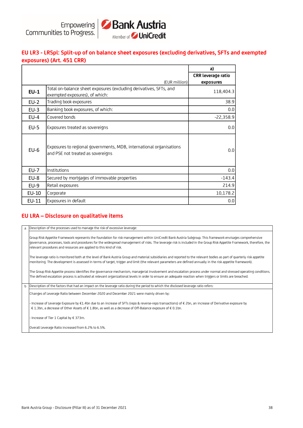

# **EU LR3 - LRSpl: Split-up of on balance sheet exposures (excluding derivatives, SFTs and exempted exposures) (Art. 451 CRR)**

|        |                                                                                                          | a)                 |
|--------|----------------------------------------------------------------------------------------------------------|--------------------|
|        |                                                                                                          | CRR leverage ratio |
|        | (EUR million)                                                                                            | exposures          |
| $EU-1$ | Total on-balance sheet exposures (excluding derivatives, SFTs, and<br>exempted exposures), of which:     | 118,404.3          |
| $EU-2$ | Trading book exposures                                                                                   | 38.9               |
| $EU-3$ | Banking book exposures, of which:                                                                        | 0.0                |
| $EU-4$ | Covered bonds                                                                                            | $-22,358.9$        |
| $EU-5$ | Exposures treated as sovereigns                                                                          | 0.0                |
| $EU-6$ | Exposures to regional governments, MDB, international organisations<br>and PSE not treated as sovereigns | 0.0                |
| $EU-7$ | Institutions                                                                                             | 0.0                |
| EU-8   | Secured by mortgages of immovable properties                                                             | $-143.4$           |
| $EU-9$ | Retail exposures                                                                                         | 214.9              |
| EU-10  | Corporate                                                                                                | 10,178.2           |
| EU-11  | Exposures in default                                                                                     | 0.0                |

#### **EU LRA – Disclosure on qualitative items**

a b Changes of Leverage Ratio between December 2020 and December 2021 were mainly driven by: - Increase of Leverage Exposure by €1.4bn due to an increase of SFTs (repo & reverse-repo transactions) of € 2bn, an increase of Derivative exposure by € 1.3bn, a decrease of Other Assets of € 1.8bn, as well as a decrease of Off-Balance exposure of € 0.1bn. - Increase of Tier 1 Capital by € 373m. Description of the processes used to manage the risk of excessive leverage: Group Risk Appetite Framework represents the foundation for risk management within UniCredit Bank Austria Subgroup. This framework envisages comprehensive governance, processes, tools and procedures for the widespread management of risks. The leverage risk is included in the Group Risk Appetite Framework, therefore, the relevant procedures and resources are applied to this kind of risk. The leverage ratio is monitored both at the level of Bank Austria Group and material subsidiaries and reported to the relevant bodies as part of quarterly risk appetite monitoring. The development is assessed in terms of target, trigger and limit (the relevant parameters are defined annually in the risk appetite framework). The Group Risk Appetite process identifies the governance mechanism, managerial involvement and escalation process under normal and stressed operating conditions. The defined escalation process is activated at relevant organizational levels in order to ensure an adequate reaction when triggers or limits are breached. Description of the factors that had an impact on the leverage ratio during the period to which the disclosed leverage ratio refers:

Overall Leverage Ratio increased from 6.2% to 6.5%.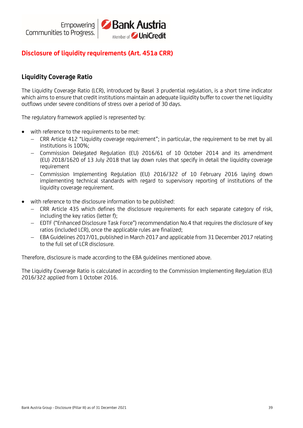

# **Disclosure of liquidity requirements (Art. 451a CRR)**

# **Liquidity Coverage Ratio**

The Liquidity Coverage Ratio (LCR), introduced by Basel 3 prudential regulation, is a short time indicator which aims to ensure that credit institutions maintain an adequate liquidity buffer to cover the net liquidity outflows under severe conditions of stress over a period of 30 days.

The regulatory framework applied is represented by:

- with reference to the requirements to be met:
	- − CRR Article 412 "Liquidity coverage requirement"; in particular, the requirement to be met by all institutions is 100%;
	- − Commission Delegated Regulation (EU) 2016/61 of 10 October 2014 and its amendment (EU) 2018/1620 of 13 July 2018 that lay down rules that specify in detail the liquidity coverage requirement
	- − Commission Implementing Regulation (EU) 2016/322 of 10 February 2016 laying down implementing technical standards with regard to supervisory reporting of institutions of the liquidity coverage requirement.
- with reference to the disclosure information to be published:
	- − CRR Article 435 which defines the disclosure requirements for each separate category of risk, including the key ratios (letter f);
	- − EDTF ("Enhanced Disclosure Task Force") recommendation No.4 that requires the disclosure of key ratios (included LCR), once the applicable rules are finalized;
	- − EBA Guidelines 2017/01, published in March 2017 and applicable from 31 December 2017 relating to the full set of LCR disclosure.

Therefore, disclosure is made according to the EBA guidelines mentioned above.

The Liquidity Coverage Ratio is calculated in according to the Commission Implementing Regulation (EU) 2016/322 applied from 1 October 2016.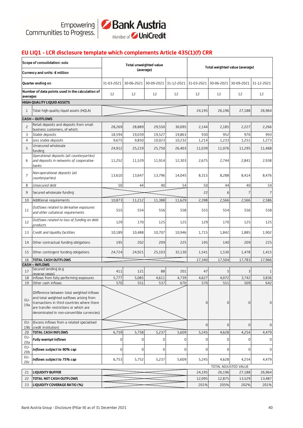

## **EU LIQ1 - LCR disclosure template which complements Article 435(1)(f) CRR**

|                        | Scope of consolidation: solo                                                                                                                                                                                                  |                          |                       | Total unweighted value<br>(average) |        | Total weighted value (average) |                |                       |                  |
|------------------------|-------------------------------------------------------------------------------------------------------------------------------------------------------------------------------------------------------------------------------|--------------------------|-----------------------|-------------------------------------|--------|--------------------------------|----------------|-----------------------|------------------|
|                        | Currency and units: € million                                                                                                                                                                                                 |                          |                       |                                     |        |                                |                |                       |                  |
|                        | Quarter ending on                                                                                                                                                                                                             | 31-03-2021               | 30-06-2021 30-09-2021 |                                     |        | 31-12-2021 31-03-2021          | 30-06-2021     | 30-09-2021 31-12-2021 |                  |
| averages               | Number of data points used in the calculation of                                                                                                                                                                              | 12                       | 12                    | 12                                  | 12     | 12                             | 12             | 12                    | 12               |
|                        | HIGH-QUALITY LIQUID ASSETS                                                                                                                                                                                                    |                          |                       |                                     |        |                                |                |                       |                  |
| 1                      | Total high-quality liquid assets (HQLA)                                                                                                                                                                                       |                          |                       |                                     |        | 24,195                         | 26,196         | 27,188                | 26,964           |
|                        | <b>CASH – OUTFLOWS</b>                                                                                                                                                                                                        |                          |                       |                                     |        |                                |                |                       |                  |
| 2                      | Retail deposits and deposits from small<br>business customers, of which:                                                                                                                                                      | 28,269                   | 28,889                | 29,550                              | 30.095 | 2,144                          | 2,185          | 2,227                 | 2,266            |
| 3                      | Stable deposits                                                                                                                                                                                                               | 18,594                   | 19,039                | 19,527                              | 19,863 | 930                            | 952            | 976                   | 993              |
| $\overline{4}$         | Less stable deposits                                                                                                                                                                                                          | 9,675                    | 9,850                 | 10,023                              | 10,232 | 1,214                          | 1,233          | 1,251                 | 1,273            |
| 5                      | Unsecured wholesale<br>funding                                                                                                                                                                                                | 24,912                   | 25,219                | 25,750                              | 26,403 | 11,039                         | 11,076         | 11,295                | 11,468           |
| 6                      | Operational deposits (all counterparties)<br>and deposits in networks of cooperative<br>banks                                                                                                                                 | 11,252                   | 11,529                | 11,914                              | 12,303 | 2,675                          | 2,744          | 2,841                 | 2,938            |
| 7                      | Non-operational deposits (all<br>counterparties)                                                                                                                                                                              | 13,610                   | 13,647                | 13,796                              | 14,045 | 8,315                          | 8,288          | 8,414                 | 8,476            |
| 8                      | Unsecured debt                                                                                                                                                                                                                | 50                       | 44                    | 40                                  | 54     | 50                             | 44             | 40                    | 54               |
| 9                      | Secured wholesale funding                                                                                                                                                                                                     |                          |                       |                                     |        | 22                             | 6              | 7                     | $\overline{7}$   |
| 10                     | Additional requirements                                                                                                                                                                                                       | 10,873                   | 11,212                | 11,388                              | 11,629 | 2,398                          | 2,566          | 2,566                 | 2,586            |
| 11                     | Outflows related to derivative exposures<br>and other collateral requirements                                                                                                                                                 | 555                      | 554                   | 556                                 | 558    | 555                            | 554            | 556                   | 558              |
| 12                     | Outflows related to loss of funding on debt<br>products                                                                                                                                                                       | 129                      | 170                   | 125                                 | 125    | 129                            | 170            | 125                   | 125              |
| 13                     | Credit and liquidity facilities                                                                                                                                                                                               | 10,189                   | 10,488                | 10,707                              | 10,946 | 1,715                          | 1,842          | 1,885                 | 1,902            |
| 14                     | Other contractual funding obligations                                                                                                                                                                                         | 195                      | 202                   | 209                                 | 225    | 195                            | 140            | 209                   | 225              |
| 15                     | Other contingent funding obligations                                                                                                                                                                                          | 24,724                   | 24,921                | 25,103                              | 32,130 | 1,541                          | 1,530          | 1,478                 | 1,415            |
| 16                     | <b>TOTAL CASH OUTFLOWS</b>                                                                                                                                                                                                    |                          |                       |                                     |        | 17,340                         | 17,504         | 17,783                | 17,966           |
| 17                     | CASH – INFLOWS<br>Secured lending (e.g.                                                                                                                                                                                       | 411                      | 121                   | 88                                  | 201    | 47                             | 5 <sup>1</sup> | 3                     | $\mathbf{1}$     |
|                        | reverse repos)                                                                                                                                                                                                                |                          |                       |                                     |        |                                |                |                       |                  |
| 18<br>19               | Inflows from fully performing exposures<br>Other cash inflows                                                                                                                                                                 | 5,777                    | 5,085                 | 4,611                               | 4,739  | 4,627<br>570                   | 4,072<br>551   | 3,742<br>509          | 3,836<br>642     |
| EU-<br>19a             | (Difference between total weighted inflows<br>and total weighted outflows arising from<br>transactions in third countries where there<br>are transfer restrictions or which are<br>denominated in non-convertible currencies) | 570<br>551<br>537<br>670 |                       |                                     |        | 0                              | $\mathbf{0}$   | $\Omega$              | 0                |
| EU-<br>19 <sub>b</sub> | (Excess inflows from a related specialised<br>credit institution)                                                                                                                                                             |                          |                       |                                     |        | 0                              | $\overline{0}$ | $\overline{0}$        | $\boldsymbol{0}$ |
| 20                     | <b>TOTAL CASH INFLOWS</b>                                                                                                                                                                                                     | 6,759                    | 5,758                 | 5,237                               | 5,609  | 5,245                          | 4,628          | 4,254                 | 4,479            |
| EU-<br>20a             | <b>Fully exempt inflows</b>                                                                                                                                                                                                   | 0                        | 0                     | $\mathbf 0$                         | 0      | 0                              | 0              | $\Omega$              | 0                |
| EU-<br>20 <sub>b</sub> | Inflows subject to 90% cap                                                                                                                                                                                                    | $\mathbf 0$              | $\boldsymbol{0}$      | $\overline{0}$                      | 0      | $\boldsymbol{0}$               | $\overline{0}$ | 0                     | $\boldsymbol{0}$ |
| EU-<br>20c             | Inflows subject to 75% cap                                                                                                                                                                                                    | 6,753                    | 5,752                 | 5,237                               | 5,609  | 5,245                          | 4,628          | 4,254                 | 4,479            |
|                        |                                                                                                                                                                                                                               |                          |                       |                                     |        |                                |                | TOTAL ADJUSTED VALUE  |                  |
| 21                     | <b>LIQUIDITY BUFFER</b>                                                                                                                                                                                                       |                          |                       |                                     |        | 24,195                         | 26,196         | 27,188                | 26,964           |
| 22                     | <b>TOTAL NET CASH OUTFLOWS</b>                                                                                                                                                                                                |                          |                       |                                     |        | 12,095                         | 12,875         | 13,529                | 13,487           |
| 23                     | LIQUIDITY COVERAGE RATIO (%)                                                                                                                                                                                                  |                          |                       |                                     |        | 201%                           | 205%           | 202%                  | 201%             |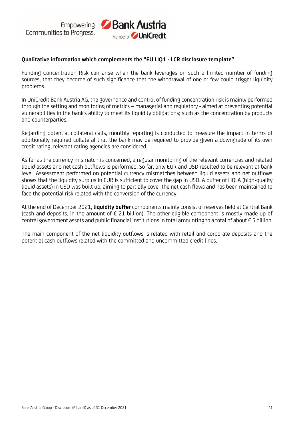

#### **Qualitative information which complements the "EU LIQ1 - LCR disclosure template"**

Funding Concentration Risk can arise when the bank leverages on such a limited number of funding sources, that they become of such significance that the withdrawal of one or few could trigger liquidity problems.

In UniCredit Bank Austria AG, the governance and control of funding concentration risk is mainly performed through the setting and monitoring of metrics – managerial and regulatory - aimed at preventing potential vulnerabilities in the bank's ability to meet its liquidity obligations; such as the concentration by products and counterparties.

Regarding potential collateral calls, monthly reporting is conducted to measure the impact in terms of additionally required collateral that the bank may be required to provide given a downgrade of its own credit rating, relevant rating agencies are considered.

As far as the currency mismatch is concerned, a regular monitoring of the relevant currencies and related liquid assets and net cash outflows is performed. So far, only EUR and USD resulted to be relevant at bank level. Assessment performed on potential currency mismatches between liquid assets and net outflows shows that the liquidity surplus in EUR is sufficient to cover the gap in USD. A buffer of HQLA (high-quality liquid assets) in USD was built up, aiming to partially cover the net cash flows and has been maintained to face the potential risk related with the conversion of the currency.

At the end of December 2021, **liquidity buffer** components mainly consist of reserves held at Central Bank (cash and deposits, in the amount of  $\epsilon$  21 billion). The other eligible component is mostly made up of central government assets and public financial institutions in total amounting to a total of about € 5 billion.

The main component of the net liquidity outflows is related with retail and corporate deposits and the potential cash outflows related with the committed and uncommitted credit lines.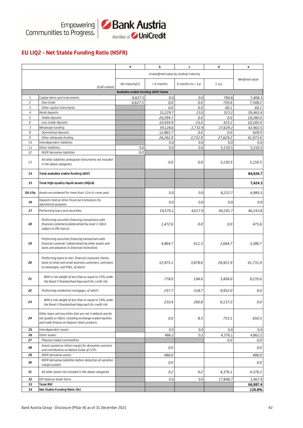

# **EU LIQ2 - Net Stable Funding Ratio (NSFR)**

|                |                                                                                                                                                                     | a                                    | b               | c                                     | d               | e               |
|----------------|---------------------------------------------------------------------------------------------------------------------------------------------------------------------|--------------------------------------|-----------------|---------------------------------------|-----------------|-----------------|
|                |                                                                                                                                                                     |                                      |                 |                                       |                 |                 |
|                |                                                                                                                                                                     |                                      |                 | Unweighted value by residual maturity |                 | Weighted value  |
|                |                                                                                                                                                                     | No maturity[1]                       | < 6 months      | 6 months to $< 1$ yr                  | $\geq 1$ yr     |                 |
|                | (EUR million)                                                                                                                                                       | Available stable funding (ASF) Items |                 |                                       |                 |                 |
| 1              | Capital items and instruments                                                                                                                                       | 6,627.5                              | 0.0             | 0.0                                   | 780.8           | 7,408.3         |
| $\overline{c}$ | Own funds                                                                                                                                                           | 6,627.5                              | 0.0             | 0.0                                   | 720.6           | 7,348.2         |
| 3              | Other capital instruments                                                                                                                                           |                                      | 0.0             | 0.0                                   | 60.1            | 60.1            |
| $\overline{4}$ | Retail deposits                                                                                                                                                     |                                      | 31,229.7        | 23.0                                  | 323.2           | 29,465.4        |
| 5              | Stable deposits                                                                                                                                                     |                                      | 20,294.7        | 0.0                                   | 0.0             | 19,280.0        |
| 6              | Less stable deposits                                                                                                                                                |                                      | 10,934.9        | 23.0                                  | 323.2           | 10,185.4        |
| 7              | Wholesale funding:                                                                                                                                                  |                                      | 39,128.6        | 2,732.9                               | 27,629.2        | 42,902.5        |
| 8<br>9         | Operational deposits                                                                                                                                                |                                      | 12,865.7        | 0.0                                   | 0.0             | 928.9           |
| 10             | Other wholesale funding<br>nterdependent liabilities                                                                                                                |                                      | 26,262.9<br>0.0 | 2,732.9<br>0.0                        | 27,629.2<br>0.0 | 41,973.6<br>0.0 |
| 11             | Other liabilities:                                                                                                                                                  | 0.0                                  | 0.0             | 0.0                                   | 5,150.5         | 5,150.5         |
| 12             | NSFR derivative liabilities                                                                                                                                         | 0.0                                  |                 |                                       |                 |                 |
|                |                                                                                                                                                                     |                                      |                 |                                       |                 |                 |
| 13             | All other liabilities andcapital instruments not included<br>in the above categories                                                                                |                                      | 0.0             | 0.0                                   | 5,150.5         | 5,150.5         |
| 14             | Total available stable funding (ASF)                                                                                                                                |                                      |                 |                                       |                 | 84,926.7        |
| 15             | Total high-quality liquid assets (HQLA)                                                                                                                             |                                      |                 |                                       |                 | 7,424.3         |
| EU-15a         | Assets encumbered for more than 12m in cover pool                                                                                                                   |                                      | 0.0             | 0.0                                   | 8,222.7         | 6,989.3         |
| 16             | Deposits held at other financial institutions for<br>operational purposes                                                                                           |                                      | 0.0             | 0.0                                   | 0.0             | 0.0             |
| 17             | Performing loans and securities:                                                                                                                                    |                                      | 19,570.1        | 4,617.0                               | 40,291.7        | 46,243.8        |
|                | Performing securities financing transactions with                                                                                                                   |                                      |                 |                                       |                 |                 |
| 18             | financial customerscollateralised by Level 1 HQLA<br>subject to 0% haircut                                                                                          |                                      | 1,472.6         | 0.0                                   | 0.0             | 475.6           |
| 19             | Performing securities financing transactions with<br>financial customer collateralised by other assets and<br>loans and advances to financial institutions          |                                      | 4,864.7         | 411.3                                 | 2,664.7         | 3,386.7         |
| 20             | Performing loans to non-financial corporate clients,<br>loans to retail and small business customers, and loans<br>to sovereigns, and PSEs, of which:               |                                      | 12,975.1        | 3,878.6                               | 26,921.9        | 41,731.0        |
| 21             | With a risk weight of less than or equal to 35% under<br>the Basel II Standardised Approach for credit risk                                                         |                                      | 778.0           | 194.6                                 | 3,404.0         | 9,235.6         |
| 22             | Performing residential mortgages, of which:                                                                                                                         |                                      | 257.7           | 318.7                                 | 9,952.0         | $0.0\,$         |
| 23             | With a risk weight of less than or equal to 35% under<br>the Basel II Standardised Approach for credit risk                                                         |                                      | 210.4           | 260.8                                 | 6,137.2         | 0.0             |
| 24             | Other loans and securities that are not in default and do<br>not qualify as HQLA, including exchange-traded equities<br>and trade finance on-balance sheet products |                                      | 0.0             | 8.5                                   | 753.1           | 650.5           |
| 25             | Interdependent assets                                                                                                                                               |                                      | 0.0             | 0.0                                   | 0.0             | 0.0             |
| 26             | Other assets:                                                                                                                                                       |                                      | 486.2           | 0.2                                   | 4,376.1         | 4,862.2         |
| 27             | Physical traded commodities                                                                                                                                         |                                      |                 |                                       | 0.0             | 0.0             |
| 28             | Assets posted as initial margin for derivative contracts<br>and contributions to default funds of CCPs                                                              |                                      | 0.0             |                                       |                 | 0.0             |
| 29             | NSFR derivative assets                                                                                                                                              |                                      | 486.0           |                                       |                 | 486.0           |
| 30             | NSFR derivative liabilities before deduction of variation<br>margin posted                                                                                          |                                      | 0.0             |                                       |                 | 0.0             |
| 31             | All other assets not included in the above categories                                                                                                               |                                      | 0.2             | 0.2                                   | 4,376.1         | 4,376.2         |
| 32             | Off-balance sheet items                                                                                                                                             |                                      | 0.0             | 0.0                                   | 17,898.7        | 1,467.9         |
| 33             | <b>Total RSF</b>                                                                                                                                                    |                                      |                 |                                       |                 | 66,987.4        |
| 34             | Net Stable Funding Ratio (%)                                                                                                                                        |                                      |                 |                                       |                 | 126.8%          |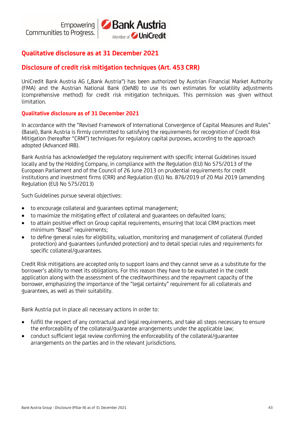# **Qualitative disclosure as at 31 December 2021**

# **Disclosure of credit risk mitigation techniques (Art. 453 CRR)**

UniCredit Bank Austria AG ("Bank Austria") has been authorized by Austrian Financial Market Authority (FMA) and the Austrian National Bank (OeNB) to use its own estimates for volatility adjustments (comprehensive method) for credit risk mitigation techniques. This permission was given without limitation.

#### **Qualitative disclosure as of 31 December 2021**

In accordance with the "Revised Framework of International Convergence of Capital Measures and Rules" (Basel), Bank Austria is firmly committed to satisfying the requirements for recognition of Credit Risk Mitigation (hereafter "CRM") techniques for regulatory capital purposes, according to the approach adopted (Advanced IRB).

Bank Austria has acknowledged the regulatory requirement with specific internal Guidelines issued locally and by the Holding Company, in compliance with the Regulation (EU) No 575/2013 of the European Parliament and of the Council of 26 June 2013 on prudential requirements for credit institutions and investment firms (CRR) and Regulation (EU) No. 876/2019 of 20 Mai 2019 (amending Regulation (EU) No 575/2013)

Such Guidelines pursue several objectives:

- to encourage collateral and guarantees optimal management;
- to maximize the mitigating effect of collateral and guarantees on defaulted loans;
- to attain positive effect on Group capital requirements, ensuring that local CRM practices meet minimum "Basel" requirements;
- to define general rules for eligibility, valuation, monitoring and management of collateral (funded protection) and guarantees (unfunded protection) and to detail special rules and requirements for specific collateral/guarantees.

Credit Risk mitigations are accepted only to support loans and they cannot serve as a substitute for the borrower's ability to meet its obligations. For this reason they have to be evaluated in the credit application along with the assessment of the creditworthiness and the repayment capacity of the borrower, emphasizing the importance of the "legal certainty" requirement for all collaterals and guarantees, as well as their suitability.

Bank Austria put in place all necessary actions in order to:

- fulfill the respect of any contractual and legal requirements, and take all steps necessary to ensure the enforceability of the collateral/guarantee arrangements under the applicable law;
- conduct sufficient legal review confirming the enforceability of the collateral/guarantee arrangements on the parties and in the relevant jurisdictions.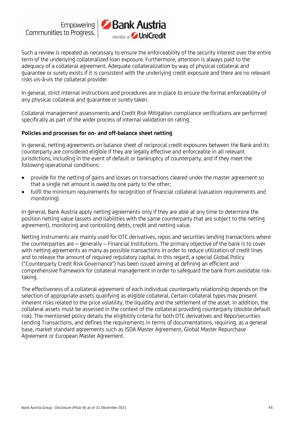

Such a review is repeated as necessary to ensure the enforceability of the security interest over the entire term of the underlying collateralized loan exposure. Furthermore, attention is always paid to the adequacy of a collateral agreement. Adequate collateralization by way of physical collateral and guarantee or surety exists if it is consistent with the underlying credit exposure and there are no relevant risks vis-à-vis the collateral provider.

In general, strict internal instructions and procedures are in place to ensure the formal enforceability of any physical collateral and guarantee or surety taken.

Collateral management assessments and Credit Risk Mitigation compliance verifications are performed specifically as part of the wider process of internal validation on rating.

#### **Policies and processes for on- and off-balance sheet netting**

In general, netting agreements on balance sheet of reciprocal credit exposures between the Bank and its counterparty are considered eligible if they are legally effective and enforceable in all relevant jurisdictions, including in the event of default or bankruptcy of counterparty, and if they meet the following operational conditions:

- provide for the netting of gains and losses on transactions cleared under the master agreement so that a single net amount is owed by one party to the other;
- fulfil the minimum requirements for recognition of financial collateral (valuation requirements and monitoring).

In general, Bank Austria apply netting agreements only if they are able at any time to determine the position netting value (assets and liabilities with the same counterparty that are subject to the netting agreement), monitoring and controlling debts, credit and netting value.

Netting instruments are mainly used for OTC derivatives, repos and securities lending transactions where the counterparties are – generally – Financial Institutions. The primary objective of the bank is to cover with netting agreements as many as possible transactions in order to reduce utilization of credit lines and to release the amount of required regulatory capital. In this regard, a special Global Policy ("Counterparty Credit Risk Governance") has been issued aiming at defining an efficient and comprehensive framework for collateral management in order to safeguard the bank from avoidable risktaking.

The effectiveness of a collateral agreement of each individual counterparty relationship depends on the selection of appropriate assets qualifying as eligible collateral. Certain collateral types may present inherent risks related to the price volatility, the liquidity and the settlement of the asset. In addition, the collateral assets must be assessed in the context of the collateral providing counterparty (double default risk). The mentioned policy details the eligibility criteria for both OTC derivatives and Repo/securities Lending Transactions, and defines the requirements in terms of documentations, requiring, as a general base, market standard agreements such as ISDA Master Agreement, Global Master Repurchase Agreement or European Master Agreement.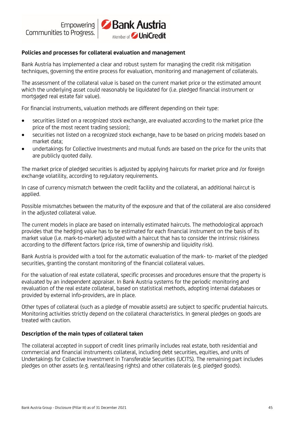

#### **Policies and processes for collateral evaluation and management**

Bank Austria has implemented a clear and robust system for managing the credit risk mitigation techniques, governing the entire process for evaluation, monitoring and management of collaterals.

The assessment of the collateral value is based on the current market price or the estimated amount which the underlying asset could reasonably be liquidated for (i.e. pledged financial instrument or mortgaged real estate fair value).

For financial instruments, valuation methods are different depending on their type:

- securities listed on a recognized stock exchange, are evaluated according to the market price (the price of the most recent trading session);
- securities not listed on a recognized stock exchange, have to be based on pricing models based on market data;
- undertakings for Collective Investments and mutual funds are based on the price for the units that are publicly quoted daily.

The market price of pledged securities is adjusted by applying haircuts for market price and /or foreign exchange volatility, according to regulatory requirements.

In case of currency mismatch between the credit facility and the collateral, an additional haircut is applied.

Possible mismatches between the maturity of the exposure and that of the collateral are also considered in the adjusted collateral value.

The current models in place are based on internally estimated haircuts. The methodological approach provides that the hedging value has to be estimated for each financial instrument on the basis of its market value (i.e. mark-to-market) adjusted with a haircut that has to consider the intrinsic riskiness according to the different factors (price risk, time of ownership and liquidity risk).

Bank Austria is provided with a tool for the automatic evaluation of the mark- to- market of the pledged securities, granting the constant monitoring of the financial collateral values.

For the valuation of real estate collateral, specific processes and procedures ensure that the property is evaluated by an independent appraiser. In Bank Austria systems for the periodic monitoring and revaluation of the real estate collateral, based on statistical methods, adopting internal databases or provided by external info-providers, are in place.

Other types of collateral (such as a pledge of movable assets) are subject to specific prudential haircuts. Monitoring activities strictly depend on the collateral characteristics. In general pledges on goods are treated with caution.

#### **Description of the main types of collateral taken**

The collateral accepted in support of credit lines primarily includes real estate, both residential and commercial and financial instruments collateral, including debt securities, equities, and units of Undertakings for Collective Investment in Transferable Securities (UCITS). The remaining part includes pledges on other assets (e.g. rental/leasing rights) and other collaterals (e.g. pledged goods).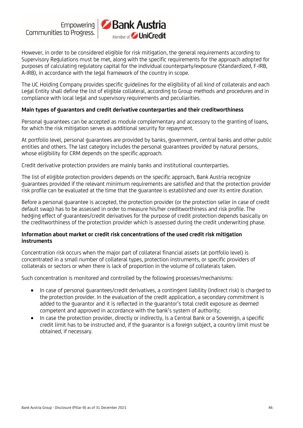

However, in order to be considered eligible for risk mitigation, the general requirements according to Supervisory Regulations must be met, along with the specific requirements for the approach adopted for purposes of calculating regulatory capital for the individual counterparty/exposure (Standardized, F-IRB, A-IRB), in accordance with the legal framework of the country in scope.

The UC Holding Company provides specific guidelines for the eligibility of all kind of collaterals and each Legal Entity shall define the list of eligible collateral, according to Group methods and procedures and in compliance with local legal and supervisory requirements and peculiarities.

#### **Main types of guarantors and credit derivative counterparties and their creditworthiness**

Personal guarantees can be accepted as module complementary and accessory to the granting of loans, for which the risk mitigation serves as additional security for repayment.

At portfolio level, personal guarantees are provided by banks, government, central banks and other public entities and others. The last category includes the personal guarantees provided by natural persons, whose eligibility for CRM depends on the specific approach.

Credit derivative protection providers are mainly banks and institutional counterparties.

The list of eligible protection providers depends on the specific approach, Bank Austria recognize guarantees provided if the relevant minimum requirements are satisfied and that the protection provider risk profile can be evaluated at the time that the guarantee is established and over its entire duration.

Before a personal guarantee is accepted, the protection provider (or the protection seller in case of credit default swap) has to be assessed in order to measure his/her creditworthiness and risk profile. The hedging effect of guarantees/credit derivatives for the purpose of credit protection depends basically on the creditworthiness of the protection provider which is assessed during the credit underwriting phase.

#### **Information about market or credit risk concentrations of the used credit risk mitigation instruments**

Concentration risk occurs when the major part of collateral financial assets (at portfolio level) is concentrated in a small number of collateral types, protection instruments, or specific providers of collaterals or sectors or when there is lack of proportion in the volume of collaterals taken.

Such concentration is monitored and controlled by the following processes/mechanisms:

- In case of personal guarantees/credit derivatives, a contingent liability (indirect risk) is charged to the protection provider. In the evaluation of the credit application, a secondary commitment is added to the guarantor and it is reflected in the guarantor's total credit exposure as deemed competent and approved in accordance with the bank's system of authority;
- In case the protection provider, directly or indirectly, is a Central Bank or a Sovereign, a specific credit limit has to be instructed and, if the guarantor is a foreign subject, a country limit must be obtained, if necessary.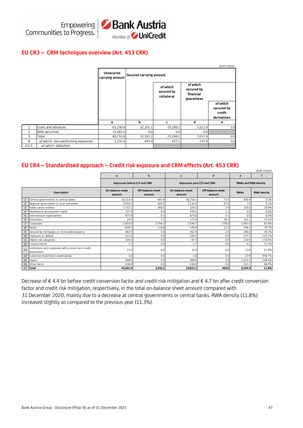

#### **EU CR3 – CRM techniques overview (Art. 453 CRR)**

|                |                                    |                                     |                         |                                      |                                                   | (EUR million)          |  |  |
|----------------|------------------------------------|-------------------------------------|-------------------------|--------------------------------------|---------------------------------------------------|------------------------|--|--|
|                |                                    | <b>Unsecured</b><br>carrying amount | Secured carrying amount |                                      |                                                   |                        |  |  |
|                |                                    |                                     |                         | of which<br>secured by<br>collateral | of which<br>secured by<br>financial<br>guarantees |                        |  |  |
|                |                                    |                                     |                         |                                      |                                                   | of which<br>secured by |  |  |
|                |                                    |                                     |                         |                                      |                                                   | credit                 |  |  |
|                |                                    |                                     |                         |                                      |                                                   | derivatives            |  |  |
|                |                                    | a                                   | b                       | c                                    | d                                                 | e                      |  |  |
| 1              | Loans and advances                 | 65,290.4                            | 32,301.1                | 25,289.1                             | 7,011.9                                           | 0.0                    |  |  |
| 2              | Debt securities                    | 15,465.5                            | 0.0                     | 0.0                                  | 0.0                                               |                        |  |  |
| 3              | Total                              | 80,755.8                            | 32,301.1                | 25,289.1                             | 7,011.9                                           | 0.0                    |  |  |
| $\overline{4}$ | of which: non-performing exposures | 1,332.4                             | 695.0                   | 457.1                                | 237.9                                             | 0.0                    |  |  |
| $EU-5$         | of which: defaulted                |                                     |                         |                                      |                                                   |                        |  |  |

#### **EU CR4 – Standardised approach – Credit risk exposure and CRM effects (Art. 453 CRR)**

|                    | (EUR million)                                                      |                                     |                             |                                   |                             |                             |                    |  |  |  |  |
|--------------------|--------------------------------------------------------------------|-------------------------------------|-----------------------------|-----------------------------------|-----------------------------|-----------------------------|--------------------|--|--|--|--|
|                    |                                                                    | a                                   | b                           | c                                 | d                           | e                           |                    |  |  |  |  |
|                    |                                                                    | <b>Exposures before CCF and CRM</b> |                             | <b>Exposures post CCF and CRM</b> |                             | <b>RWAs and RWA density</b> |                    |  |  |  |  |
| <b>Description</b> |                                                                    | On-balance-sheet<br>amount          | Off-balance-sheet<br>amount | On-balance-sheet<br>amount        | Off-balance-sheet<br>amount | <b>RWAs</b>                 | <b>RWA density</b> |  |  |  |  |
|                    | Central governments or central banks                               | 32,553.4                            | 645.8                       | 36,756.5                          | 72.4                        | 926.9                       | 2.5%               |  |  |  |  |
| $\overline{c}$     | Regional government or local authorities                           | 4,544.2                             | 620.2                       | 7.132.4                           | 67.0                        | 7.9                         | 0.1%               |  |  |  |  |
| $\overline{3}$     | Public sector entities                                             | 1,722.2                             | 268.5                       | 524.2                             | 2.9                         | 105.0                       | 19.9%              |  |  |  |  |
| 4                  | Multilateral development banks                                     | 337.9                               | 0.0                         | 439.1                             | 2.1                         | 0.0                         | 0.0%               |  |  |  |  |
| 5                  | International organisations                                        | 874.8                               | 0.1                         | 874.8                             | 0.1                         | 0.0                         | 0.0%               |  |  |  |  |
| 6                  | Institutions                                                       | 19.5                                | 3.7                         | 272.8                             | 38.3                        | 101.1                       | 32.5%              |  |  |  |  |
|                    | Corporates                                                         | 2.954.9                             | 2,794.2                     | 2,546.7                           | 270.6                       | 2,467.0                     | 87.6%              |  |  |  |  |
| 8                  | Retail                                                             | 839.3                               | 118.8                       | 549.9                             | 13.3                        | 398.3                       | 70.7%              |  |  |  |  |
| 9                  | Secured by mortgages on immovable property                         | 462.9                               | 4.0                         | 462.9                             | 2.0                         | 186.6                       | 40.1%              |  |  |  |  |
| 10                 | Exposures in default                                               | 111.6                               | 0.0                         | 104.5                             | 0.0                         | 127.5                       | 122.1%             |  |  |  |  |
| 11                 | Higher-risk categories                                             | 109.5                               | 0.0                         | 87.3                              | 0.0                         | 130.9                       | 150.0%             |  |  |  |  |
| 12                 | Covered bonds                                                      | 1.7                                 | 0.0                         | 1.7                               | 0.0                         | 0.2                         | 12.3%              |  |  |  |  |
| 13                 | Institutions and corporates with a short-term credit<br>assessment | 23.4                                | 0.0                         | 32.9                              | 0.0                         | 13.8                        | 41.8%              |  |  |  |  |
| 14                 | Collective investment undertakings                                 | 1.8                                 | 0.9                         | 1.8                               | 0.9                         | 22.9                        | 840.7%             |  |  |  |  |
| 15                 | Equity                                                             | 408.9                               | 0.0                         | 408.9                             | 0.0                         | 1.015.5                     | 248.4%             |  |  |  |  |
| 16                 | Other items                                                        | 636.8                               | 0.0                         | 636.8                             | 0.0                         | 553.1                       | 86.9%              |  |  |  |  |
| 17                 | <b>Total</b>                                                       | 45,602.8                            | 4,456.2                     | 50,833.1                          | 469.6                       | 6.056.9                     | 11.8%              |  |  |  |  |

Decrease of € 4.4 bn before credit conversion factor and credit risk mitigation and € 4.7 bn after credit conversion factor and credit risk mitigation, respectively, in the total on-balance sheet amount compared with 31 December 2020, mainly due to a decrease at central governments or central banks. RWA density (11.8%) increased slightly as compared to the previous year (11.3%).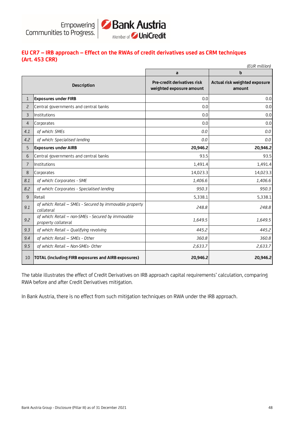

# **EU CR7 – IRB approach – Effect on the RWAs of credit derivatives used as CRM techniques (Art. 453 CRR)**

|                | (EUR million)                                                             |                                                         |                                              |  |  |  |  |  |  |  |  |
|----------------|---------------------------------------------------------------------------|---------------------------------------------------------|----------------------------------------------|--|--|--|--|--|--|--|--|
|                |                                                                           | a                                                       | b<br>Actual risk weighted exposure<br>amount |  |  |  |  |  |  |  |  |
|                | <b>Description</b>                                                        | Pre-credit derivatives risk<br>weighted exposure amount |                                              |  |  |  |  |  |  |  |  |
| $\mathbf 1$    | <b>Exposures under FIRB</b>                                               | 0.0                                                     | 0.0                                          |  |  |  |  |  |  |  |  |
| 2              | Central governments and central banks                                     | 0.0                                                     | 0.0                                          |  |  |  |  |  |  |  |  |
| 3              | Institutions                                                              | 0.0                                                     | 0.0                                          |  |  |  |  |  |  |  |  |
| $\overline{4}$ | Corporates                                                                | 0.0                                                     | 0.0                                          |  |  |  |  |  |  |  |  |
| 4.1            | of which: SMEs                                                            | 0.0                                                     | 0.0                                          |  |  |  |  |  |  |  |  |
| 4.2            | of which: Specialised lending                                             | 0.0                                                     | 0.0                                          |  |  |  |  |  |  |  |  |
| 5              | <b>Exposures under AIRB</b>                                               | 20,946.2                                                | 20,946.2                                     |  |  |  |  |  |  |  |  |
| 6              | Central governments and central banks                                     | 93.5                                                    | 93.5                                         |  |  |  |  |  |  |  |  |
| $\overline{7}$ | Institutions                                                              | 1,491.4                                                 | 1,491.4                                      |  |  |  |  |  |  |  |  |
| 8              | Corporates                                                                | 14,023.3                                                | 14,023.3                                     |  |  |  |  |  |  |  |  |
| 8.1            | of which: Corporates - SME                                                | 1,406.6                                                 | 1,406.6                                      |  |  |  |  |  |  |  |  |
| 8.2            | of which: Corporates - Specialised lending                                | 950.3                                                   | 950.3                                        |  |  |  |  |  |  |  |  |
| 9              | Retail                                                                    | 5,338.1                                                 | 5,338.1                                      |  |  |  |  |  |  |  |  |
| 9.1            | of which: Retail - SMEs - Secured by immovable property<br>collateral     | 248.8                                                   | 248.8                                        |  |  |  |  |  |  |  |  |
| 9.2            | of which: Retail - non-SMEs - Secured by immovable<br>property collateral | 1,649.5                                                 | 1,649.5                                      |  |  |  |  |  |  |  |  |
| 9.3            | of which: Retail - Qualifying revolving                                   | 445.2                                                   | 445.2                                        |  |  |  |  |  |  |  |  |
| 9.4            | of which: Retail - SMEs - Other                                           | 360.8                                                   | 360.8                                        |  |  |  |  |  |  |  |  |
| 9.5            | of which: Retail - Non-SMEs- Other                                        | 2,633.7                                                 | 2,633.7                                      |  |  |  |  |  |  |  |  |
| 10             | TOTAL (including FIRB exposures and AIRB exposures)                       | 20,946.2                                                | 20,946.2                                     |  |  |  |  |  |  |  |  |

The table illustrates the effect of Credit Derivatives on IRB approach capital requirements' calculation, comparing RWA before and after Credit Derivatives mitigation.

In Bank Austria, there is no effect from such mitigation techniques on RWA under the IRB approach.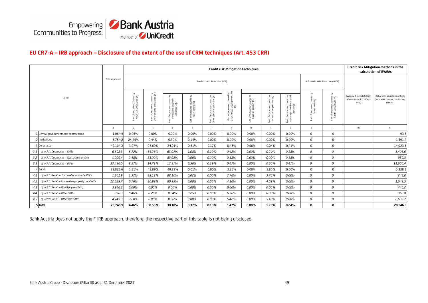

#### **EU CR7-A – IRB approach – Disclosure of the extent of the use of CRM techniques (Art. 453 CRR)**

|       |                                                |                 | Credit risk Mitigation techniques                                                      |                                                                |                                                                           |                                                     |                                                               |                                                                                     |                                                                   |                                                             |                                                                                              | Credit risk Mitigation methods in the<br>calculation of RWEAs |                                                         |                                                                  |                                                                               |
|-------|------------------------------------------------|-----------------|----------------------------------------------------------------------------------------|----------------------------------------------------------------|---------------------------------------------------------------------------|-----------------------------------------------------|---------------------------------------------------------------|-------------------------------------------------------------------------------------|-------------------------------------------------------------------|-------------------------------------------------------------|----------------------------------------------------------------------------------------------|---------------------------------------------------------------|---------------------------------------------------------|------------------------------------------------------------------|-------------------------------------------------------------------------------|
| A-IRB |                                                | Total exposures | Funded credit Protection (FCP)                                                         |                                                                |                                                                           |                                                     |                                                               |                                                                                     |                                                                   | Unfunded credit Protection (UFCP)                           |                                                                                              |                                                               |                                                         |                                                                  |                                                                               |
|       |                                                |                 | covered by<br>terals (%)<br>f exposures o<br>ncial Collate<br>능 등<br>Patt <sub>i</sub> | Part of exposures covered by<br>Other eligible collaterals (%) | ξ<br>f exposures covered t<br>nmovable property<br>Collaterals (%)<br>5 E | ed by<br>Part of exposures cover<br>Receivables (%) | Part of exposures covered by<br>Other physical collateral (%) | osures covered by<br>!d credit protection<br>(%)<br>Part of expos<br>Other funded o | sures covered by<br>deposit (%)<br>: of exposi<br>Cash on<br>Part | Part of exposures covered by<br>Life insurance policies (%) | pupa.<br>Papa.<br>exposures covere<br>ments held by a t<br>party (%)<br>Part of e<br>Instrum | ξ<br>۵ā<br>f exposures coven<br>Guarantees (%)<br>Ä           | 5<br>Part of exposures covered<br>Credt Derivatives (%) | RWEA without substitution<br>effects (reduction effects<br>only) | RWEA with substitution effects<br>(both reduction and sustitution<br>effects) |
|       |                                                | $\mathsf{a}$    | b                                                                                      | $\mathsf{C}$                                                   | d                                                                         | e                                                   | f                                                             | $\mathfrak{g}$                                                                      | h                                                                 |                                                             |                                                                                              |                                                               |                                                         | m                                                                | n                                                                             |
|       | 1 Central governments and central banks        | 1,064.9         | 0.05%                                                                                  | 0.00%                                                          | 0.00%                                                                     | 0.00%                                               | 0.00%                                                         | 0.00%                                                                               | 0.00%                                                             | 0.00%                                                       | 0.00%                                                                                        | $\mathbf 0$                                                   | $\mathbf 0$                                             |                                                                  | 93.5                                                                          |
|       | 2 Institutions                                 | 6,754.2         | 24.45%                                                                                 | 0.44%                                                          | 0.30%                                                                     | 0.14%                                               | 0.00%                                                         | 0.00%                                                                               | 0.00%                                                             | 0.00%                                                       | 0.00%                                                                                        | $\Omega$                                                      | $\mathbf 0$                                             |                                                                  | 1,491.4                                                                       |
|       | 3 Corporates                                   | 42,104.2        | 3.07%                                                                                  | 25.69%                                                         | 24.91%                                                                    | 0.61%                                               | 0.17%                                                         | 0.45%                                                                               | 0.00%                                                             | 0.04%                                                       | 0.41%                                                                                        | 0                                                             | $\mathsf 0$                                             |                                                                  | 14,023.3                                                                      |
| 3.1   | of which: Corporates - SMEs                    | 6,698.3         | 5.72%                                                                                  | 64.26%                                                         | 63.07%                                                                    | 1.08%                                               | 0.10%                                                         | 0.42%                                                                               | 0.00%                                                             | 0.24%                                                       | 0.18%                                                                                        | 0                                                             | 0                                                       |                                                                  | 1,406.6                                                                       |
| 3.2   | of which: Corporates - Specialised lending     | 1,909.4         | 2.48%                                                                                  | 83.02%                                                         | 83.02%                                                                    | 0.00%                                               | 0.00%                                                         | 0.18%                                                                               | 0.00%                                                             | 0.00%                                                       | 0.18%                                                                                        | 0                                                             | 0                                                       |                                                                  | 950.3                                                                         |
| 3.3   | of which: Corporates - Other                   | 33,496.5        | 2.57%                                                                                  | 14.71%                                                         | 13.97%                                                                    | 0.56%                                               | 0.19%                                                         | 0.47%                                                                               | 0.00%                                                             | 0.00%                                                       | 0.47%                                                                                        | 0                                                             | 0                                                       |                                                                  | 11,666.4                                                                      |
|       | 4 Retail                                       | 22,823.6        | 1.31%                                                                                  | 49.89%                                                         | 49.88%                                                                    | 0.01%                                               | 0.00%                                                         | 3.85%                                                                               | 0.00%                                                             | 3.85%                                                       | 0.00%                                                                                        | $\mathbf 0$                                                   | $\mathbf 0$                                             |                                                                  | 5,338.1                                                                       |
| 4.1   | of which: Retail - Immovable property SMEs     | 1,861.9         | 1.37%                                                                                  | 88.12%                                                         | 88.10%                                                                    | 0.02%                                               | 0.00%                                                         | 3.76%                                                                               | 0.00%                                                             | 3.76%                                                       | 0.00%                                                                                        | 0                                                             | 0                                                       |                                                                  | 248.8                                                                         |
| 4.2   | of which: Retail - Immovable property non-SMEs | 12,029.7        | 0.76%                                                                                  | 80.99%                                                         | 80.99%                                                                    | 0.00%                                               | 0.00%                                                         | 4.10%                                                                               | 0.00%                                                             | 4.09%                                                       | 0.00%                                                                                        | 0                                                             | 0                                                       |                                                                  | 1,649.5                                                                       |
| 4.3   | of which: Retail - Qualifying revolving        | 3,246.3         | 0.00%                                                                                  | 0.00%                                                          | 0.00%                                                                     | 0.00%                                               | 0.00%                                                         | 0.00%                                                                               | 0.00%                                                             | 0.00%                                                       | 0.00%                                                                                        | 0                                                             | 0                                                       |                                                                  | 445.2                                                                         |
| 4.4   | of which: Retail - Other SMEs                  | 936.3           | 8.46%                                                                                  | 0.29%                                                          | 0.04%                                                                     | 0.25%                                               | 0.00%                                                         | 6.36%                                                                               | 0.00%                                                             | 6.28%                                                       | 0.08%                                                                                        | 0                                                             | 0                                                       |                                                                  | 360.8                                                                         |
| 4.5   | of which: Retail - Other non-SMEs              | 4,749.3         | 2.20%                                                                                  | 0.00%                                                          | 0.00%                                                                     | 0.00%                                               | 0.00%                                                         | 5.42%                                                                               | 0.00%                                                             | 5.42%                                                       | 0.00%                                                                                        | 0                                                             | 0                                                       |                                                                  | 2,633.7                                                                       |
|       | 5 Total                                        | 72,746.9        | 4.46%                                                                                  | 30.56%                                                         | 30.10%                                                                    | 0.37%                                               | 0.10%                                                         | 1.47%                                                                               | 0.00%                                                             | 1.23%                                                       | 0.24%                                                                                        | 0                                                             | 0                                                       |                                                                  | 20,946.2                                                                      |